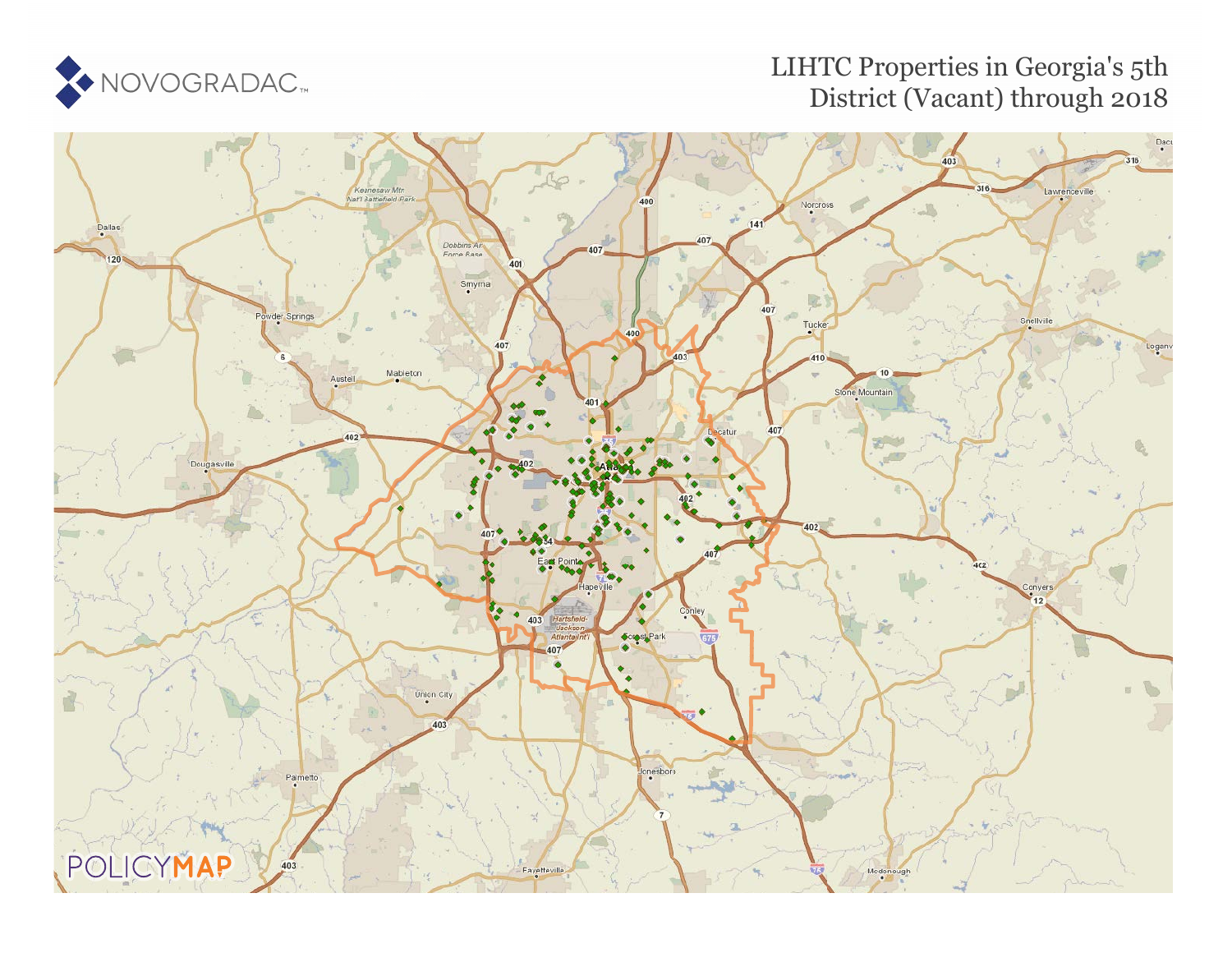

### LIHTC Properties in Georgia's 5th District (Vacant) through 2018

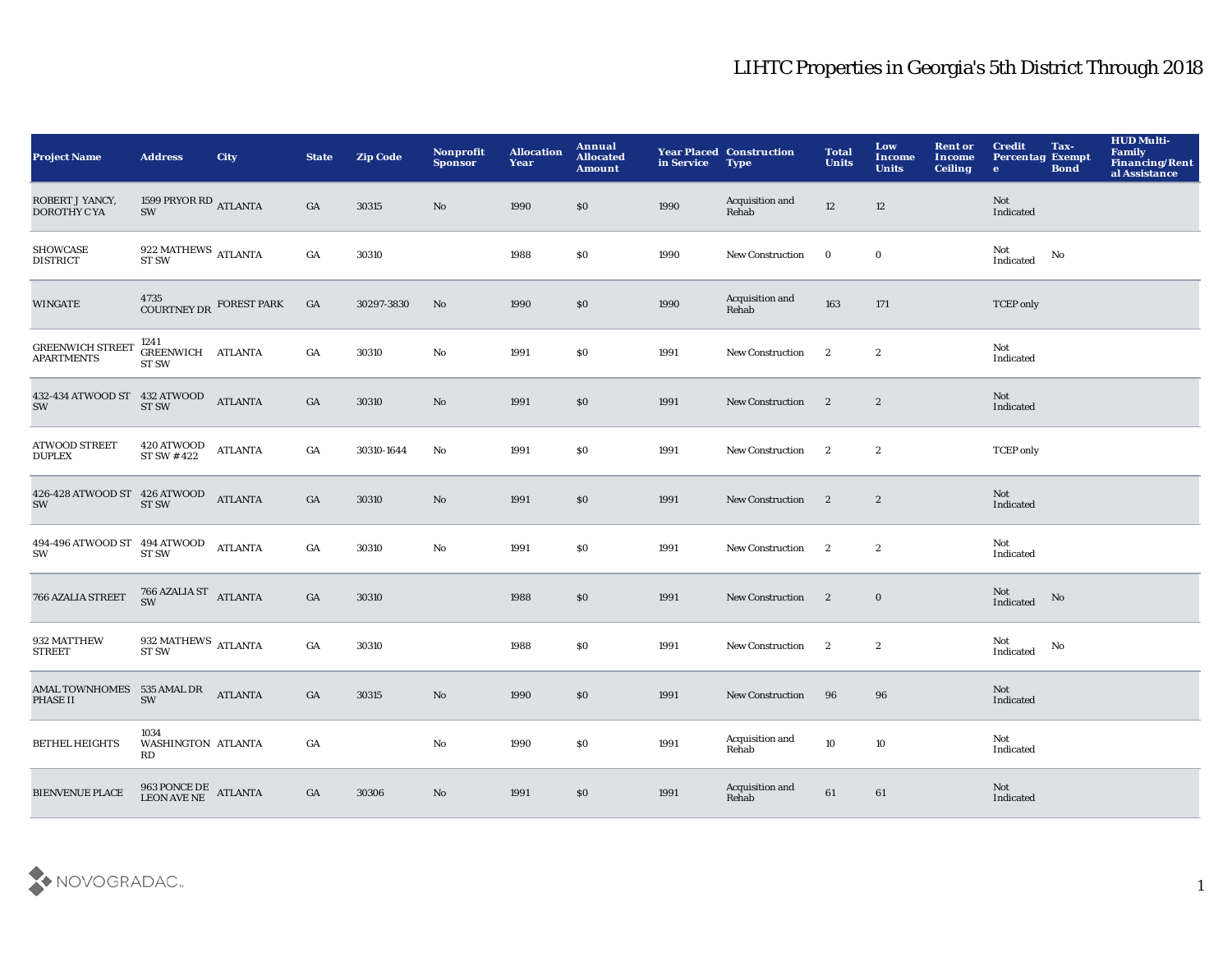| <b>Project Name</b>                               | <b>Address</b>                                                                                                 | <b>City</b>    | <b>State</b>     | <b>Zip Code</b> | Nonprofit<br><b>Sponsor</b> | <b>Allocation</b><br>Year | Annual<br><b>Allocated</b><br><b>Amount</b> | in Service | <b>Year Placed Construction</b><br><b>Type</b> | <b>Total</b><br><b>Units</b> | Low<br>Income<br><b>Units</b> | <b>Rent or</b><br>Income<br><b>Ceiling</b> | <b>Credit</b><br><b>Percentag Exempt</b><br>$\bullet$ | Tax-<br><b>Bond</b> | <b>HUD Multi-</b><br>Family<br>Financing/Rent<br>al Assistance |
|---------------------------------------------------|----------------------------------------------------------------------------------------------------------------|----------------|------------------|-----------------|-----------------------------|---------------------------|---------------------------------------------|------------|------------------------------------------------|------------------------------|-------------------------------|--------------------------------------------|-------------------------------------------------------|---------------------|----------------------------------------------------------------|
| ROBERT J YANCY,<br>DOROTHY C YA                   | 1599 PRYOR RD ATLANTA<br>SW                                                                                    |                | GA               | 30315           | No                          | 1990                      | \$0\$                                       | 1990       | Acquisition and<br>Rehab                       | $12\,$                       | 12                            |                                            | <b>Not</b><br>Indicated                               |                     |                                                                |
| <b>SHOWCASE</b><br><b>DISTRICT</b>                | $922~\mathrm{MATHEWS}$ ATLANTA ST SW                                                                           |                | $_{\mathrm{GA}}$ | 30310           |                             | 1988                      | $\$0$                                       | 1990       | New Construction                               | $\bf{0}$                     | $\bf{0}$                      |                                            | Not<br>Indicated                                      | No                  |                                                                |
| <b>WINGATE</b>                                    | 4735<br>COURTNEY DR FOREST PARK                                                                                |                | GA               | 30297-3830      | No                          | 1990                      | $\$0$                                       | 1990       | Acquisition and<br>Rehab                       | 163                          | 171                           |                                            | <b>TCEP</b> only                                      |                     |                                                                |
| <b>GREENWICH STREET</b><br><b>APARTMENTS</b>      | 1241<br>GREENWICH ATLANTA<br><b>ST SW</b>                                                                      |                | GA               | 30310           | No                          | 1991                      | \$0                                         | 1991       | <b>New Construction</b>                        | $\mathbf{2}$                 | $\boldsymbol{2}$              |                                            | Not<br>Indicated                                      |                     |                                                                |
| 432-434 ATWOOD ST 432 ATWOOD<br>SW                | <b>ST SW</b>                                                                                                   | <b>ATLANTA</b> | GA               | 30310           | No                          | 1991                      | \$0                                         | 1991       | <b>New Construction</b>                        | $\overline{\phantom{a}}$     | $\boldsymbol{2}$              |                                            | Not<br>Indicated                                      |                     |                                                                |
| <b>ATWOOD STREET</b><br><b>DUPLEX</b>             | $420\,\mathrm{ATWOOD} \ \mathrm{ST} \ \mathrm{SW} \ \# \ 422$                                                  | <b>ATLANTA</b> | GA               | 30310-1644      | No                          | 1991                      | S <sub>0</sub>                              | 1991       | New Construction                               | $\mathbf{2}$                 | $\boldsymbol{2}$              |                                            | <b>TCEP</b> only                                      |                     |                                                                |
| 426-428 ATWOOD ST 426 ATWOOD<br>SW                | <b>ST SW</b>                                                                                                   | <b>ATLANTA</b> | GA               | 30310           | No                          | 1991                      | $\$0$                                       | 1991       | <b>New Construction</b>                        | $\mathbf{2}$                 | $\boldsymbol{2}$              |                                            | Not<br>Indicated                                      |                     |                                                                |
| $494\text{-}496$ ATWOOD ST $\,$ 494 ATWOOD<br>SW  | <b>ST SW</b>                                                                                                   | <b>ATLANTA</b> | GA               | 30310           | No                          | 1991                      | \$0                                         | 1991       | <b>New Construction</b>                        | $\mathbf{2}$                 | $\mathbf{2}$                  |                                            | Not<br>Indicated                                      |                     |                                                                |
| 766 AZALIA STREET                                 | $766$ AZALIA ST $$\rm ATLANTA$$                                                                                |                | GA               | 30310           |                             | 1988                      | \$0                                         | 1991       | <b>New Construction</b>                        | $\overline{2}$               | $\bf{0}$                      |                                            | Not<br>Indicated                                      | No                  |                                                                |
| 932 MATTHEW<br><b>STREET</b>                      | 932 MATHEWS $\,$ ATLANTA<br><b>ST SW</b>                                                                       |                | GA               | 30310           |                             | 1988                      | \$0                                         | 1991       | <b>New Construction</b>                        | $\mathbf{2}$                 | $\boldsymbol{2}$              |                                            | Not<br>Indicated                                      | No                  |                                                                |
| AMAL TOWNHOMES 535 AMAL DR<br>ATLANTA<br>PHASE II | SW                                                                                                             |                | GA               | 30315           | No                          | 1990                      | \$0\$                                       | 1991       | <b>New Construction</b>                        | 96                           | 96                            |                                            | Not<br>Indicated                                      |                     |                                                                |
| <b>BETHEL HEIGHTS</b>                             | 1034<br>WASHINGTON ATLANTA<br>RD                                                                               |                | GA               |                 | No                          | 1990                      | \$0\$                                       | 1991       | Acquisition and<br>Rehab                       | 10                           | $10\,$                        |                                            | Not<br>Indicated                                      |                     |                                                                |
| <b>BIENVENUE PLACE</b>                            | $\begin{array}{cc} 963 \, \text{PONCE DE} & \text{ATLANTA} \\ \text{LEON AVE NE} & \text{ATLANTA} \end{array}$ |                | GA               | 30306           | No                          | 1991                      | \$0                                         | 1991       | Acquisition and<br>Rehab                       | 61                           | 61                            |                                            | Not<br>Indicated                                      |                     |                                                                |

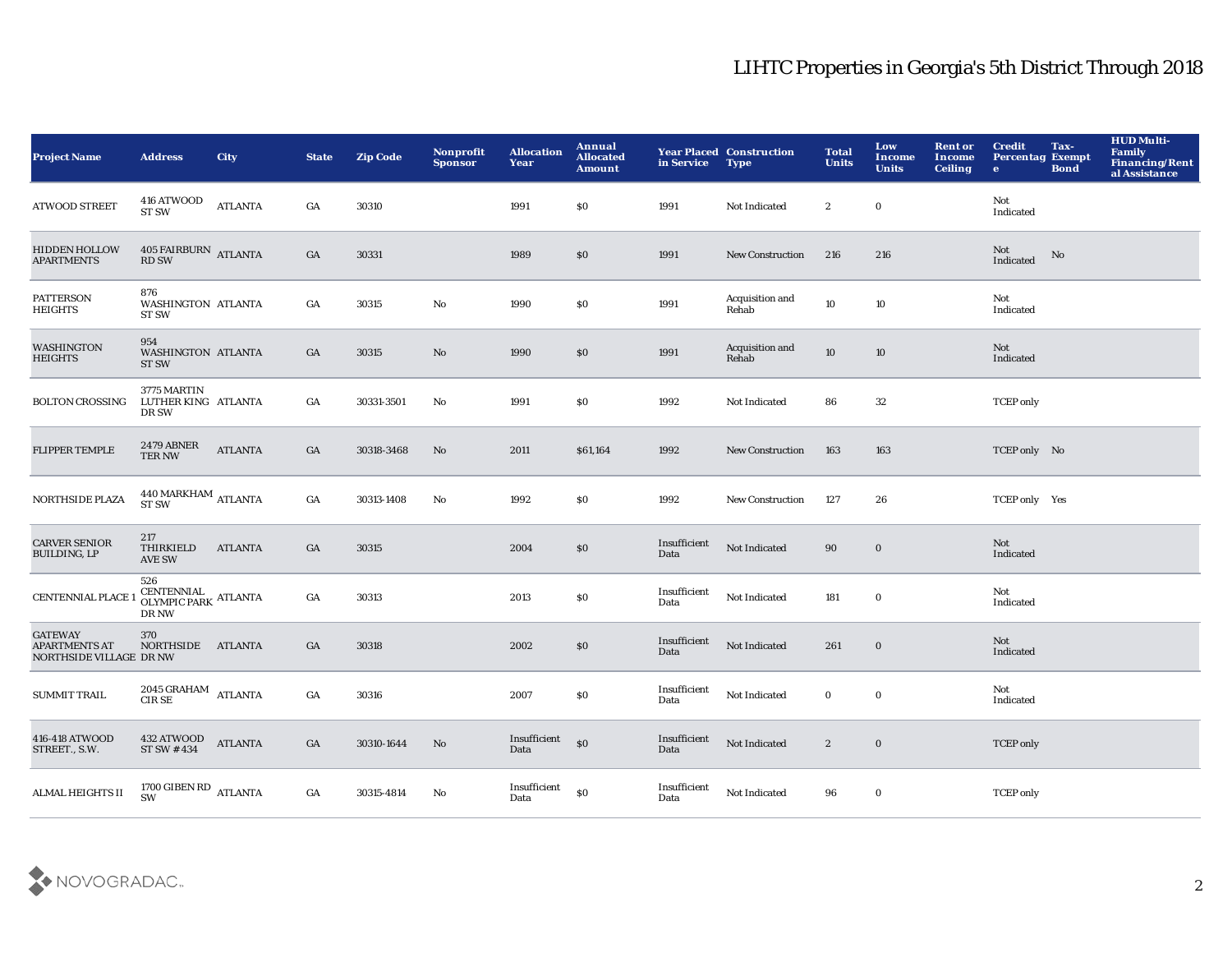| <b>Project Name</b>                                                      | <b>Address</b>                                             | <b>City</b>    | <b>State</b> | <b>Zip Code</b> | <b>Nonprofit</b><br><b>Sponsor</b> | <b>Allocation</b><br>Year | Annual<br><b>Allocated</b><br><b>Amount</b> | in Service           | <b>Year Placed Construction</b><br><b>Type</b> | <b>Total</b><br><b>Units</b> | Low<br><b>Income</b><br><b>Units</b> | <b>Rent or</b><br><b>Income</b><br><b>Ceiling</b> | <b>Credit</b><br><b>Percentag Exempt</b><br>$\bullet$ | Tax-<br><b>Bond</b> | <b>HUD Multi-</b><br>Family<br>Financing/Rent<br>al Assistance |
|--------------------------------------------------------------------------|------------------------------------------------------------|----------------|--------------|-----------------|------------------------------------|---------------------------|---------------------------------------------|----------------------|------------------------------------------------|------------------------------|--------------------------------------|---------------------------------------------------|-------------------------------------------------------|---------------------|----------------------------------------------------------------|
| <b>ATWOOD STREET</b>                                                     | 416 ATWOOD<br><b>ST SW</b>                                 | <b>ATLANTA</b> | GA           | 30310           |                                    | 1991                      | \$0                                         | 1991                 | Not Indicated                                  | $\boldsymbol{2}$             | $\bf{0}$                             |                                                   | Not<br>Indicated                                      |                     |                                                                |
| <b>HIDDEN HOLLOW</b><br><b>APARTMENTS</b>                                | $405$ FAIRBURN $\,$ ATLANTA RD SW                          |                | GA           | 30331           |                                    | 1989                      | \$0                                         | 1991                 | <b>New Construction</b>                        | 216                          | 216                                  |                                                   | Not<br>Indicated                                      | No                  |                                                                |
| <b>PATTERSON</b><br>HEIGHTS                                              | 876<br>WASHINGTON ATLANTA<br><b>ST SW</b>                  |                | GA           | 30315           | $\mathbf{N}\mathbf{o}$             | 1990                      | \$0                                         | 1991                 | Acquisition and<br>Rehab                       | 10                           | 10                                   |                                                   | Not<br>Indicated                                      |                     |                                                                |
| <b>WASHINGTON</b><br><b>HEIGHTS</b>                                      | 954<br>WASHINGTON ATLANTA<br><b>ST SW</b>                  |                | GA           | 30315           | $\mathbf{N}\mathbf{o}$             | 1990                      | \$0                                         | 1991                 | Acquisition and<br>Rehab                       | 10                           | 10                                   |                                                   | Not<br>Indicated                                      |                     |                                                                |
| <b>BOLTON CROSSING</b>                                                   | 3775 MARTIN<br>LUTHER KING ATLANTA<br>DR SW                |                | GA           | 30331-3501      | No                                 | 1991                      | \$0                                         | 1992                 | Not Indicated                                  | 86                           | 32                                   |                                                   | <b>TCEP</b> only                                      |                     |                                                                |
| <b>FLIPPER TEMPLE</b>                                                    | 2479 ABNER<br>TER NW                                       | <b>ATLANTA</b> | GA           | 30318-3468      | No                                 | 2011                      | \$61,164                                    | 1992                 | New Construction                               | 163                          | 163                                  |                                                   | TCEP only No                                          |                     |                                                                |
| <b>NORTHSIDE PLAZA</b>                                                   | $440\, \mbox{MARKHAM}$ ATLANTA<br><b>ST SW</b>             |                | GA           | 30313-1408      | $\mathbf{N}\mathbf{o}$             | 1992                      | \$0                                         | 1992                 | <b>New Construction</b>                        | 127                          | 26                                   |                                                   | TCEP only Yes                                         |                     |                                                                |
| <b>CARVER SENIOR</b><br><b>BUILDING, LP</b>                              | 217<br>THIRKIELD<br><b>AVE SW</b>                          | <b>ATLANTA</b> | GA           | 30315           |                                    | 2004                      | \$0                                         | Insufficient<br>Data | Not Indicated                                  | 90                           | $\mathbf 0$                          |                                                   | Not<br>Indicated                                      |                     |                                                                |
| <b>CENTENNIAL PLACE</b>                                                  | 526<br>CENTENNIAL ATLANTA<br>OLYMPIC PARK ATLANTA<br>DR NW |                | GA           | 30313           |                                    | 2013                      | \$0                                         | Insufficient<br>Data | Not Indicated                                  | 181                          | $\mathbf 0$                          |                                                   | Not<br>Indicated                                      |                     |                                                                |
| <b>GATEWAY</b><br><b>APARTMENTS AT</b><br><b>NORTHSIDE VILLAGE DR NW</b> | 370<br>NORTHSIDE ATLANTA                                   |                | GA           | 30318           |                                    | 2002                      | \$0                                         | Insufficient<br>Data | Not Indicated                                  | 261                          | $\mathbf 0$                          |                                                   | Not<br>Indicated                                      |                     |                                                                |
| <b>SUMMIT TRAIL</b>                                                      | $2045$ GRAHAM $\quad$ ATLANTA<br><b>CIRSE</b>              |                | GA           | 30316           |                                    | 2007                      | \$0                                         | Insufficient<br>Data | Not Indicated                                  | $\bf{0}$                     | $\bf{0}$                             |                                                   | Not<br>Indicated                                      |                     |                                                                |
| 416-418 ATWOOD<br>STREET., S.W.                                          | 432 ATWOOD<br>ST SW #434                                   | <b>ATLANTA</b> | GA           | 30310-1644      | No                                 | Insufficient<br>Data      | \$0                                         | Insufficient<br>Data | Not Indicated                                  | $\boldsymbol{2}$             | $\bf{0}$                             |                                                   | <b>TCEP</b> only                                      |                     |                                                                |
| ALMAL HEIGHTS II                                                         | 1700 GIBEN RD ATLANTA<br><b>SW</b>                         |                | GA           | 30315-4814      | No                                 | Insufficient<br>Data      | \$0                                         | Insufficient<br>Data | Not Indicated                                  | 96                           | $\bf{0}$                             |                                                   | <b>TCEP</b> only                                      |                     |                                                                |

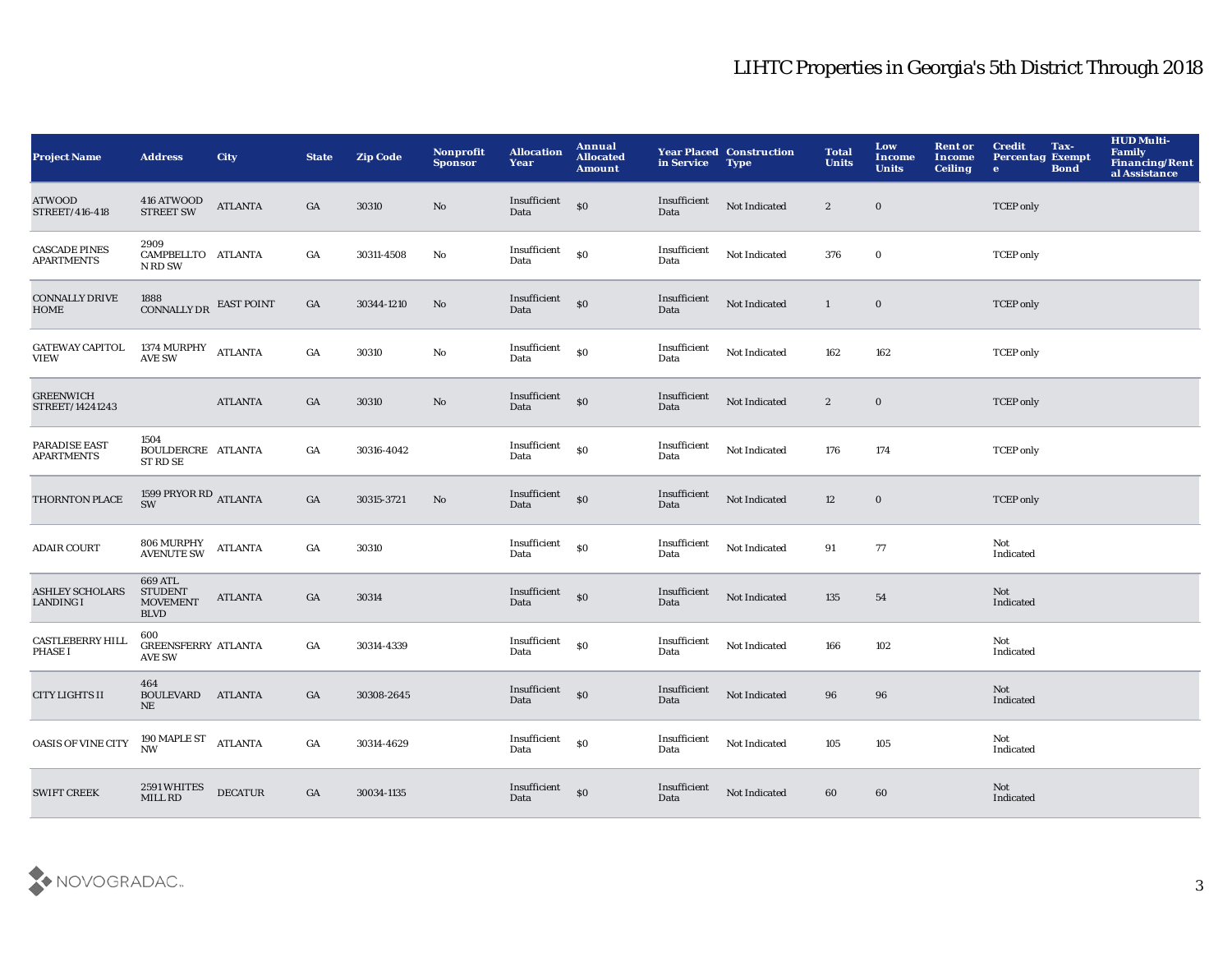| <b>Project Name</b>                        | <b>Address</b>                                              | <b>City</b>    | <b>State</b>     | <b>Zip Code</b> | Nonprofit<br><b>Sponsor</b> | <b>Allocation</b><br>Year          | Annual<br><b>Allocated</b><br><b>Amount</b>      | in Service           | <b>Year Placed Construction</b><br><b>Type</b> | <b>Total</b><br><b>Units</b> | Low<br>Income<br><b>Units</b> | <b>Rent or</b><br>Income<br><b>Ceiling</b> | <b>Credit</b><br><b>Percentag Exempt</b><br>$\bullet$ | Tax-<br><b>Bond</b> | <b>HUD Multi-</b><br>Family<br>Financing/Rent<br>al Assistance |
|--------------------------------------------|-------------------------------------------------------------|----------------|------------------|-----------------|-----------------------------|------------------------------------|--------------------------------------------------|----------------------|------------------------------------------------|------------------------------|-------------------------------|--------------------------------------------|-------------------------------------------------------|---------------------|----------------------------------------------------------------|
| <b>ATWOOD</b><br>STREET/416-418            | <b>416 ATWOOD STREET SW</b>                                 | <b>ATLANTA</b> | GA               | 30310           | No                          | Insufficient<br>Data               | $\boldsymbol{\mathsf{S}}\boldsymbol{\mathsf{O}}$ | Insufficient<br>Data | Not Indicated                                  | $\mathbf{2}$                 | $\boldsymbol{0}$              |                                            | <b>TCEP</b> only                                      |                     |                                                                |
| <b>CASCADE PINES</b><br><b>APARTMENTS</b>  | 2909<br>CAMPBELLTO ATLANTA<br>N RD SW                       |                | $_{\mathrm{GA}}$ | 30311-4508      | No                          | Insufficient<br>Data               | \$0                                              | Insufficient<br>Data | Not Indicated                                  | 376                          | $\boldsymbol{0}$              |                                            | <b>TCEP</b> only                                      |                     |                                                                |
| <b>CONNALLY DRIVE</b><br><b>HOME</b>       | 1888<br>CONNALLY DR EAST POINT                              |                | GA               | 30344-1210      | No                          | Insufficient <sub>SO</sub><br>Data |                                                  | Insufficient<br>Data | Not Indicated                                  | $\mathbf{1}$                 | $\mathbf{0}$                  |                                            | <b>TCEP</b> only                                      |                     |                                                                |
| <b>GATEWAY CAPITOL</b><br><b>VIEW</b>      | 1374 MURPHY<br>AVE SW ATLANTA                               |                | GA               | 30310           | No                          | Insufficient<br>Data               | $\$0$                                            | Insufficient<br>Data | Not Indicated                                  | 162                          | 162                           |                                            | <b>TCEP</b> only                                      |                     |                                                                |
| <b>GREENWICH</b><br>STREET/14241243        |                                                             | <b>ATLANTA</b> | GA               | 30310           | No                          |                                    |                                                  | Insufficient<br>Data | Not Indicated                                  | $\boldsymbol{2}$             | $\bf{0}$                      |                                            | <b>TCEP</b> only                                      |                     |                                                                |
| PARADISE EAST<br><b>APARTMENTS</b>         | 1504<br><b>BOULDERCRE ATLANTA</b><br>ST RD SE               |                | GA               | 30316-4042      |                             | Insufficient <sub>SO</sub><br>Data |                                                  | Insufficient<br>Data | Not Indicated                                  | 176                          | 174                           |                                            | <b>TCEP</b> only                                      |                     |                                                                |
| THORNTON PLACE                             | 1599 PRYOR RD ATLANTA<br><b>SW</b>                          |                | GA               | 30315-3721      | No                          | Insufficient <sub>SO</sub><br>Data |                                                  | Insufficient<br>Data | Not Indicated                                  | 12                           | $\bf{0}$                      |                                            | <b>TCEP</b> only                                      |                     |                                                                |
| <b>ADAIR COURT</b>                         | 806 MURPHY<br>AVENUTE SW                                    | <b>ATLANTA</b> | GA               | 30310           |                             | Insufficient<br>Data               | <sub>so</sub>                                    | Insufficient<br>Data | Not Indicated                                  | 91                           | 77                            |                                            | Not<br>Indicated                                      |                     |                                                                |
| <b>ASHLEY SCHOLARS</b><br><b>LANDING I</b> | 669 ATL<br><b>STUDENT</b><br><b>MOVEMENT</b><br><b>BLVD</b> | ATLANTA        | GA               | 30314           |                             | Insufficient <sub>80</sub><br>Data |                                                  | Insufficient<br>Data | Not Indicated                                  | 135                          | 54                            |                                            | Not<br>Indicated                                      |                     |                                                                |
| <b>CASTLEBERRY HILL</b><br><b>PHASE I</b>  | 600<br><b>GREENSFERRY ATLANTA</b><br><b>AVE SW</b>          |                | GA               | 30314-4339      |                             | Insufficient<br>Data               | \$0                                              | Insufficient<br>Data | Not Indicated                                  | 166                          | 102                           |                                            | Not<br>Indicated                                      |                     |                                                                |
| <b>CITY LIGHTS II</b>                      | 464<br>BOULEVARD ATLANTA<br>NE                              |                | GA               | 30308-2645      |                             | Insufficient <sub>SO</sub><br>Data |                                                  | Insufficient<br>Data | Not Indicated                                  | 96                           | 96                            |                                            | Not<br>Indicated                                      |                     |                                                                |
| <b>OASIS OF VINE CITY</b>                  | 190 MAPLE ST<br>NW ATLANTA                                  |                | GA               | 30314-4629      |                             | Insufficient<br>Data               | $\mathbf{S}$                                     | Insufficient<br>Data | Not Indicated                                  | 105                          | 105                           |                                            | Not<br>Indicated                                      |                     |                                                                |
| <b>SWIFT CREEK</b>                         | 2591 WHITES<br>MILL RD                                      | <b>DECATUR</b> | GA               | 30034-1135      |                             | Insufficient<br>Data               | \$0                                              | Insufficient<br>Data | Not Indicated                                  | 60                           | 60                            |                                            | Not<br>Indicated                                      |                     |                                                                |

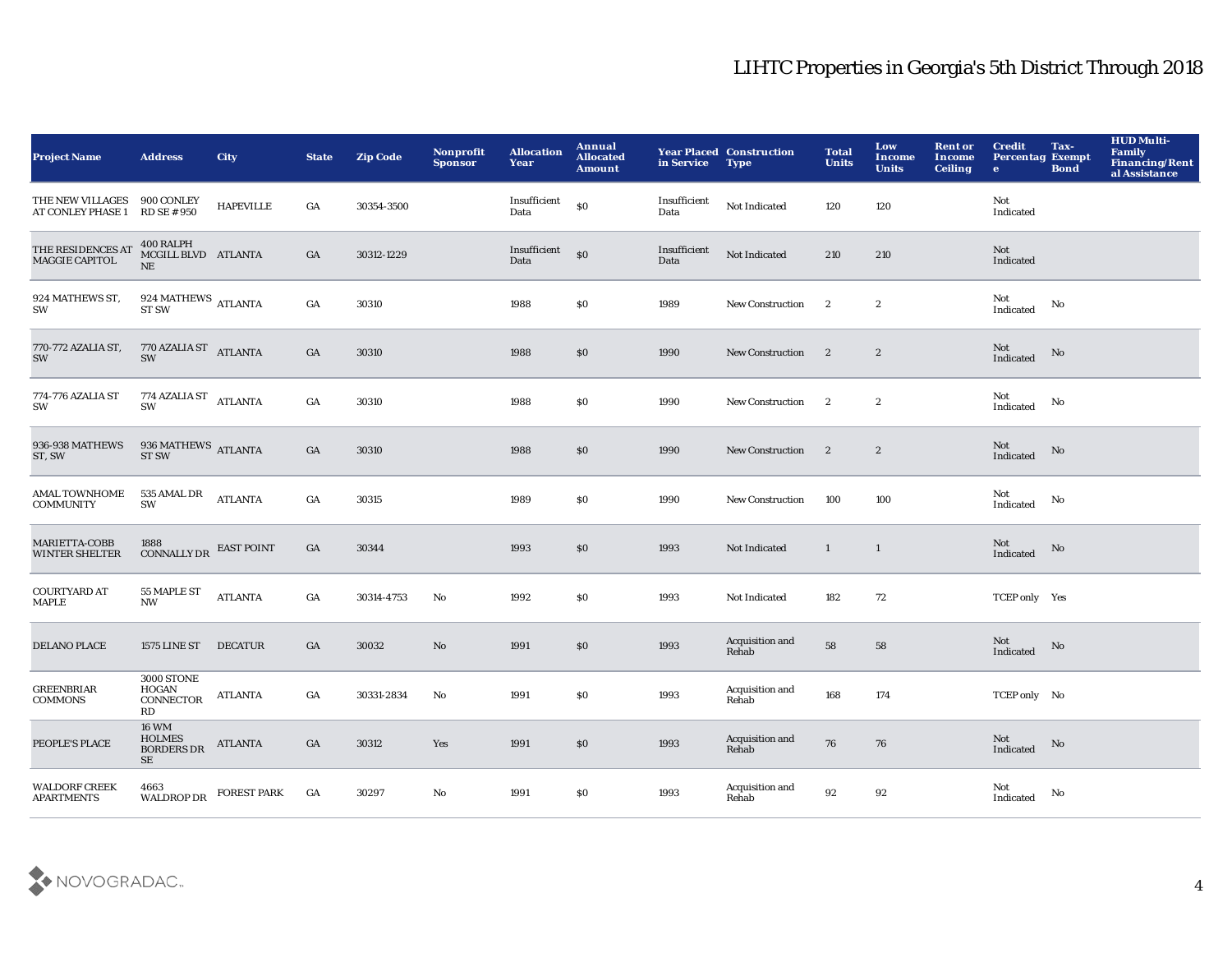| <b>Project Name</b>                       | <b>Address</b>                                           | <b>City</b>        | <b>State</b>     | <b>Zip Code</b> | Nonprofit<br><b>Sponsor</b> | <b>Allocation</b><br>Year | Annual<br><b>Allocated</b><br><b>Amount</b> | in Service           | <b>Year Placed Construction</b><br><b>Type</b> | <b>Total</b><br><b>Units</b> | Low<br><b>Income</b><br><b>Units</b> | <b>Rent or</b><br>Income<br><b>Ceiling</b> | <b>Credit</b><br><b>Percentag Exempt</b><br>$\bullet$ | Tax-<br><b>Bond</b>    | <b>HUD Multi-</b><br>Family<br>Financing/Rent<br>al Assistance |
|-------------------------------------------|----------------------------------------------------------|--------------------|------------------|-----------------|-----------------------------|---------------------------|---------------------------------------------|----------------------|------------------------------------------------|------------------------------|--------------------------------------|--------------------------------------------|-------------------------------------------------------|------------------------|----------------------------------------------------------------|
| THE NEW VILLAGES<br>AT CONLEY PHASE 1     | 900 CONLEY<br><b>RD SE # 950</b>                         | <b>HAPEVILLE</b>   | GA               | 30354-3500      |                             | Insufficient<br>Data      | $\$0$                                       | Insufficient<br>Data | Not Indicated                                  | 120                          | 120                                  |                                            | Not<br>Indicated                                      |                        |                                                                |
| THE RESIDENCES AT<br>MAGGIE CAPITOL       | 400 RALPH<br>MCGILL BLVD ATLANTA<br>$\rm NE$             |                    | GA               | 30312-1229      |                             | Insufficient<br>Data      | $\boldsymbol{\mathsf{S}}$                   | Insufficient<br>Data | Not Indicated                                  | 210                          | 210                                  |                                            | Not<br>Indicated                                      |                        |                                                                |
| 924 MATHEWS ST,<br>SW                     | $924\text{\,MATHEWS}\xspace$ ATLANTA ST SW               |                    | GA               | 30310           |                             | 1988                      | \$0                                         | 1989                 | <b>New Construction</b>                        | $\mathbf{2}$                 | $\boldsymbol{2}$                     |                                            | Not<br>Indicated                                      | No                     |                                                                |
| 770-772 AZALIA ST,<br>SW                  | 770 AZALIA ST<br>ATLANTA<br>SW                           |                    | GA               | 30310           |                             | 1988                      | \$0                                         | 1990                 | <b>New Construction</b>                        | $\mathbf{2}$                 | $\boldsymbol{2}$                     |                                            | Not<br>Indicated                                      | $\mathbf{N}\mathbf{o}$ |                                                                |
| 774-776 AZALIA ST<br>SW                   | 774 AZALIA ST<br>ATLANTA<br>SW                           |                    | $_{\mathrm{GA}}$ | 30310           |                             | 1988                      | \$0                                         | 1990                 | New Construction                               | $\mathbf{2}$                 | $\boldsymbol{2}$                     |                                            | Not<br>Indicated                                      | No                     |                                                                |
| 936-938 MATHEWS<br>ST, SW                 | $936\,{\rm MATHEWS}$ ATLANTA ST SW                       |                    | GA               | 30310           |                             | 1988                      | \$0                                         | 1990                 | <b>New Construction</b>                        | $\overline{2}$               | $\boldsymbol{2}$                     |                                            | Not<br>Indicated                                      | No                     |                                                                |
| <b>AMAL TOWNHOME</b><br><b>COMMUNITY</b>  | 535 AMAL DR<br>SW                                        | <b>ATLANTA</b>     | $_{\mathrm{GA}}$ | 30315           |                             | 1989                      | \$0                                         | 1990                 | <b>New Construction</b>                        | 100                          | 100                                  |                                            | Not<br>Indicated                                      | No                     |                                                                |
| MARIETTA-COBB<br><b>WINTER SHELTER</b>    | 1888<br>CONNALLY DR EAST POINT                           |                    | GA               | 30344           |                             | 1993                      | \$0                                         | 1993                 | Not Indicated                                  | $\mathbf{1}$                 | <sup>1</sup>                         |                                            | Not<br>Indicated                                      | No                     |                                                                |
| <b>COURTYARD AT</b><br><b>MAPLE</b>       | 55 MAPLE ST<br><b>NW</b>                                 | <b>ATLANTA</b>     | GA               | 30314-4753      | No                          | 1992                      | \$0                                         | 1993                 | Not Indicated                                  | 182                          | 72                                   |                                            | TCEP only Yes                                         |                        |                                                                |
| DELANO PLACE                              | <b>1575 LINE ST</b>                                      | <b>DECATUR</b>     | GA               | 30032           | No                          | 1991                      | \$0                                         | 1993                 | Acquisition and<br>Rehab                       | 58                           | 58                                   |                                            | Not<br><b>Indicated</b>                               | No                     |                                                                |
| <b>GREENBRIAR</b><br>COMMONS              | <b>3000 STONE</b><br><b>HOGAN</b><br>CONNECTOR<br>RD     | <b>ATLANTA</b>     | GA               | 30331-2834      | No                          | 1991                      | \$0                                         | 1993                 | Acquisition and<br>Rehab                       | 168                          | 174                                  |                                            | TCEP only No                                          |                        |                                                                |
| PEOPLE'S PLACE                            | <b>16 WM</b><br><b>HOLMES</b><br><b>BORDERS DR</b><br>SE | <b>ATLANTA</b>     | GA               | 30312           | Yes                         | 1991                      | \$0                                         | 1993                 | Acquisition and<br>Rehab                       | 76                           | 76                                   |                                            | Not<br>Indicated                                      | No                     |                                                                |
| <b>WALDORF CREEK</b><br><b>APARTMENTS</b> | 4663<br><b>WALDROP DR</b>                                | <b>FOREST PARK</b> | GA               | 30297           | No                          | 1991                      | \$0                                         | 1993                 | Acquisition and<br>Rehab                       | 92                           | 92                                   |                                            | Not<br>Indicated                                      | No                     |                                                                |

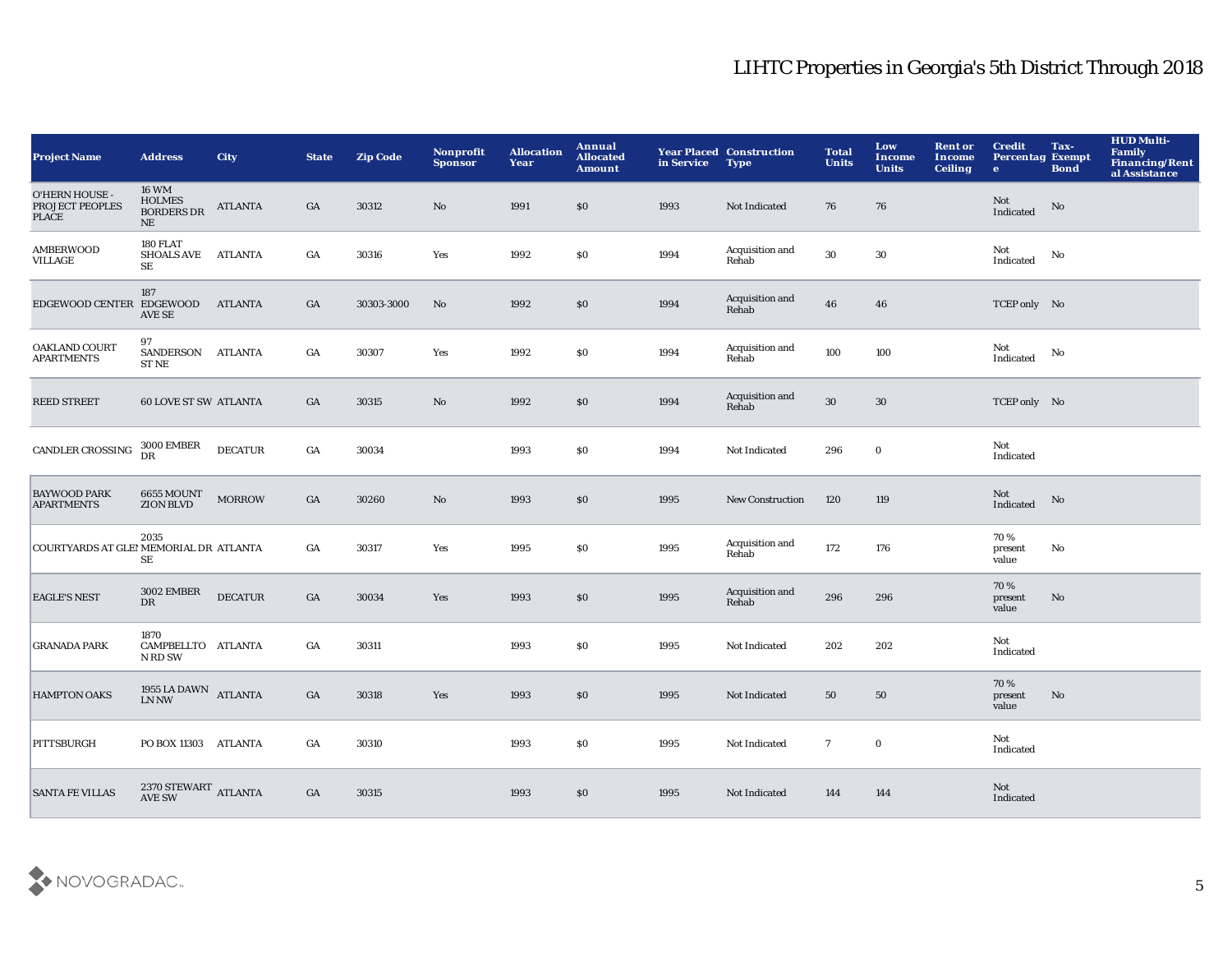| <b>Project Name</b>                                      | <b>Address</b>                                           | <b>City</b>    | <b>State</b>     | <b>Zip Code</b> | Nonprofit<br><b>Sponsor</b> | <b>Allocation</b><br>Year | Annual<br><b>Allocated</b><br><b>Amount</b> | in Service | <b>Year Placed Construction</b><br><b>Type</b> | <b>Total</b><br><b>Units</b> | Low<br><b>Income</b><br><b>Units</b> | <b>Rent or</b><br>Income<br><b>Ceiling</b> | <b>Credit</b><br><b>Percentag Exempt</b><br>$\bullet$ | Tax-<br><b>Bond</b>    | <b>HUD Multi-</b><br>Family<br>Financing/Rent<br>al Assistance |
|----------------------------------------------------------|----------------------------------------------------------|----------------|------------------|-----------------|-----------------------------|---------------------------|---------------------------------------------|------------|------------------------------------------------|------------------------------|--------------------------------------|--------------------------------------------|-------------------------------------------------------|------------------------|----------------------------------------------------------------|
| O'HERN HOUSE -<br><b>PROJECT PEOPLES</b><br><b>PLACE</b> | <b>16 WM</b><br><b>HOLMES</b><br><b>BORDERS DR</b><br>NE | <b>ATLANTA</b> | GA               | 30312           | No                          | 1991                      | \$0                                         | 1993       | Not Indicated                                  | 76                           | 76                                   |                                            | Not<br>Indicated                                      | No                     |                                                                |
| <b>AMBERWOOD</b><br><b>VILLAGE</b>                       | 180 FLAT<br>SHOALS AVE ATLANTA<br>SE                     |                | $_{\mathrm{GA}}$ | 30316           | Yes                         | 1992                      | \$0                                         | 1994       | Acquisition and<br>Rehab                       | 30                           | 30                                   |                                            | Not<br>Indicated                                      | No                     |                                                                |
| EDGEWOOD CENTER EDGEWOOD ATLANTA                         | 187<br>AVE SE                                            |                | GA               | 30303-3000      | No                          | 1992                      | \$0                                         | 1994       | Acquisition and<br>Rehab                       | 46                           | 46                                   |                                            | TCEP only No                                          |                        |                                                                |
| <b>OAKLAND COURT</b><br><b>APARTMENTS</b>                | 97<br>SANDERSON ATLANTA<br>ST NE                         |                | GA               | 30307           | Yes                         | 1992                      | \$0                                         | 1994       | Acquisition and<br>Rehab                       | 100                          | 100                                  |                                            | Not<br>Indicated                                      | No                     |                                                                |
| <b>REED STREET</b>                                       | <b>60 LOVE ST SW ATLANTA</b>                             |                | GA               | 30315           | $\mathbf{N}\mathbf{o}$      | 1992                      | \$0                                         | 1994       | Acquisition and<br>Rehab                       | $30\,$                       | 30                                   |                                            | TCEP only No                                          |                        |                                                                |
| CANDLER CROSSING                                         | $3000\, \mathrm{EMBER}$ DR                               | <b>DECATUR</b> | $_{\mathrm{GA}}$ | 30034           |                             | 1993                      | <b>SO</b>                                   | 1994       | Not Indicated                                  | 296                          | $\mathbf 0$                          |                                            | Not<br>Indicated                                      |                        |                                                                |
| <b>BAYWOOD PARK</b><br><b>APARTMENTS</b>                 | <b>6655 MOUNT</b><br><b>ZION BLVD</b>                    | <b>MORROW</b>  | GA               | 30260           | No                          | 1993                      | \$0                                         | 1995       | <b>New Construction</b>                        | 120                          | 119                                  |                                            | Not<br>Indicated                                      | No                     |                                                                |
| COURTYARDS AT GLEI MEMORIAL DR ATLANTA                   | 2035<br>SE                                               |                | $_{\mathrm{GA}}$ | 30317           | Yes                         | 1995                      | \$0                                         | 1995       | Acquisition and<br>Rehab                       | 172                          | 176                                  |                                            | 70%<br>present<br>value                               | $\mathbf{N}\mathbf{o}$ |                                                                |
| <b>EAGLE'S NEST</b>                                      | <b>3002 EMBER</b><br><b>DR</b>                           | <b>DECATUR</b> | $_{\mathrm{GA}}$ | 30034           | Yes                         | 1993                      | \$0                                         | 1995       | Acquisition and<br>Rehab                       | 296                          | 296                                  |                                            | 70%<br>present<br>value                               | No                     |                                                                |
| <b>GRANADA PARK</b>                                      | 1870<br>CAMPBELLTO ATLANTA<br>N RD SW                    |                | GA               | 30311           |                             | 1993                      | <b>SO</b>                                   | 1995       | Not Indicated                                  | 202                          | 202                                  |                                            | Not<br>Indicated                                      |                        |                                                                |
| <b>HAMPTON OAKS</b>                                      | 1955 LA DAWN ATLANTA<br>LN NW                            |                | $_{\mathrm{GA}}$ | 30318           | Yes                         | 1993                      | \$0                                         | 1995       | Not Indicated                                  | 50                           | 50                                   |                                            | 70%<br>present<br>value                               | No                     |                                                                |
| PITTSBURGH                                               | PO BOX 11303 ATLANTA                                     |                | GA               | 30310           |                             | 1993                      | \$0                                         | 1995       | Not Indicated                                  | $\overline{7}$               | $\mathbf 0$                          |                                            | Not<br>Indicated                                      |                        |                                                                |
| <b>SANTA FE VILLAS</b>                                   | $2370\,{\rm STEWART}$ ATLANTA AVE SW                     |                | GA               | 30315           |                             | 1993                      | \$0                                         | 1995       | Not Indicated                                  | 144                          | 144                                  |                                            | Not<br>Indicated                                      |                        |                                                                |

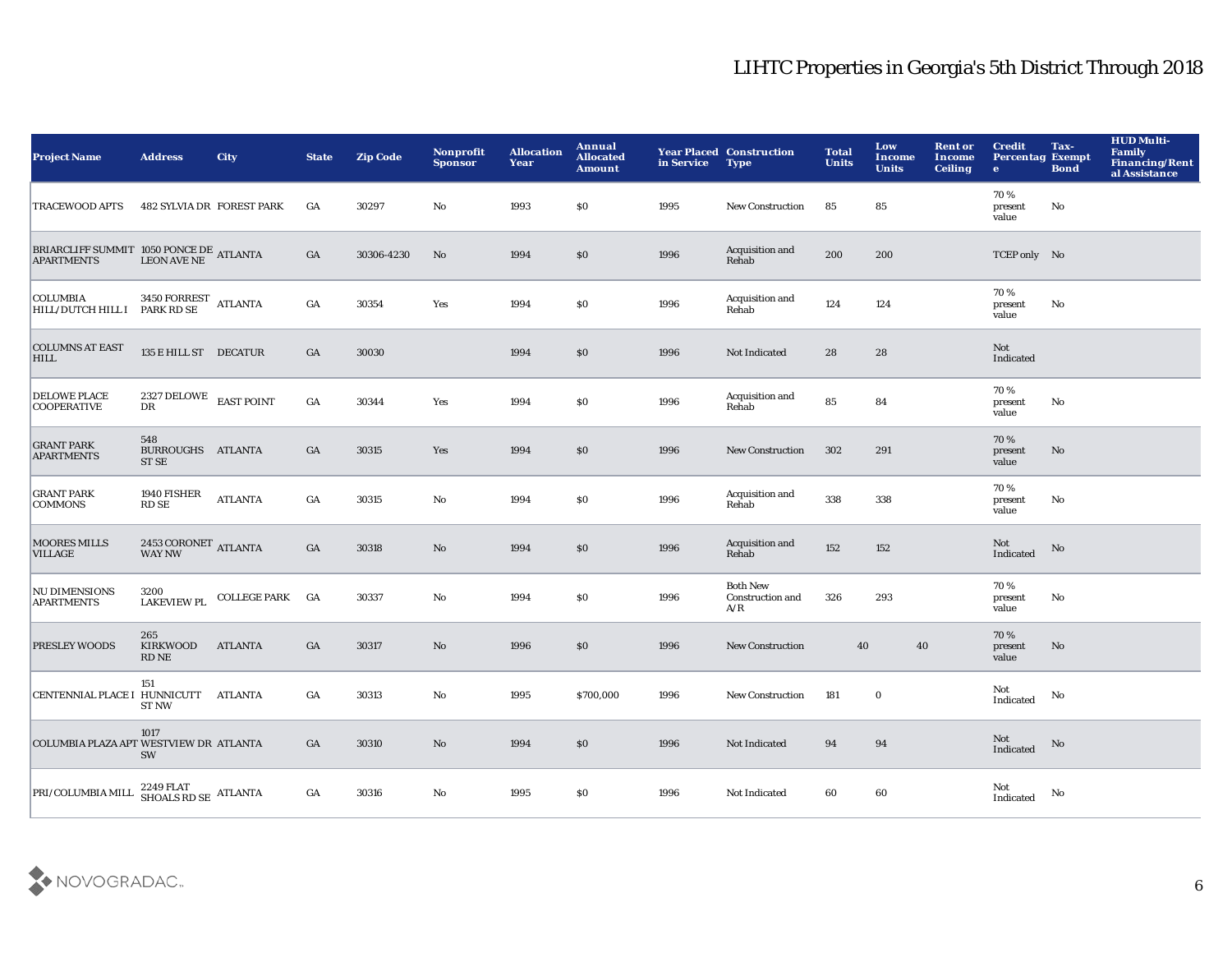| <b>Project Name</b>                                                                                                                                                                                  | <b>Address</b>                                | <b>City</b>     | <b>State</b>     | <b>Zip Code</b> | <b>Nonprofit</b><br><b>Sponsor</b> | <b>Allocation</b><br>Year | Annual<br><b>Allocated</b><br><b>Amount</b> | in Service | <b>Year Placed Construction</b><br><b>Type</b> | <b>Total</b><br><b>Units</b> | Low<br><b>Income</b><br><b>Units</b> | <b>Rent or</b><br>Income<br><b>Ceiling</b> | <b>Credit</b><br><b>Percentag Exempt</b><br>$\mathbf{e}$ | Tax-<br><b>Bond</b>    | <b>HUD Multi-</b><br>Family<br>Financing/Rent<br>al Assistance |
|------------------------------------------------------------------------------------------------------------------------------------------------------------------------------------------------------|-----------------------------------------------|-----------------|------------------|-----------------|------------------------------------|---------------------------|---------------------------------------------|------------|------------------------------------------------|------------------------------|--------------------------------------|--------------------------------------------|----------------------------------------------------------|------------------------|----------------------------------------------------------------|
| <b>TRACEWOOD APTS</b>                                                                                                                                                                                | <b>482 SYLVIA DR FOREST PARK</b>              |                 | GA               | 30297           | No                                 | 1993                      | \$0\$                                       | 1995       | New Construction                               | 85                           | ${\bf 85}$                           |                                            | 70%<br>present<br>value                                  | No                     |                                                                |
| $\begin{array}{ll} \texttt{BRIARCHFF SUMMIT} & \texttt{1050 PONCE DE} \\ \texttt{APARTMENTS} & \texttt{LEON AVE NE} \end{array} \texttt{ATLANTA}$                                                    |                                               |                 | GA               | 30306-4230      | No                                 | 1994                      | \$0                                         | 1996       | Acquisition and<br>Rehab                       | 200                          | 200                                  |                                            | TCEP only No                                             |                        |                                                                |
| $\begin{tabular}{ c c c c } \hline \textbf{COLUMBIA} & \textbf{3450 FORREST} & \textbf{ATLANTA} \\ \hline \textbf{HILL/DUTCH HILL} & \textbf{PARK RD SE} & \textbf{ATLANTA} \\ \hline \end{tabular}$ |                                               |                 | GA               | 30354           | Yes                                | 1994                      | \$0                                         | 1996       | Acquisition and<br>Rehab                       | 124                          | 124                                  |                                            | 70%<br>present<br>value                                  | $\mathbf{No}$          |                                                                |
| <b>COLUMNS AT EAST</b><br><b>HILL</b>                                                                                                                                                                | 135 E HILL ST DECATUR                         |                 | GA               | 30030           |                                    | 1994                      | $\$0$                                       | 1996       | Not Indicated                                  | 28                           | 28                                   |                                            | Not<br>Indicated                                         |                        |                                                                |
| <b>DELOWE PLACE</b><br><b>COOPERATIVE</b>                                                                                                                                                            | $2327\:\mathrm{DELOWE}\quad$ EAST POINT<br>DR |                 | $_{\mathrm{GA}}$ | 30344           | Yes                                | 1994                      | \$0                                         | 1996       | Acquisition and<br>Rehab                       | 85                           | 84                                   |                                            | 70%<br>present<br>value                                  | No                     |                                                                |
| <b>GRANT PARK</b><br><b>APARTMENTS</b>                                                                                                                                                               | 548<br>BURROUGHS ATLANTA<br>ST SE             |                 | GA               | 30315           | Yes                                | 1994                      | \$0                                         | 1996       | <b>New Construction</b>                        | 302                          | 291                                  |                                            | 70%<br>present<br>value                                  | No                     |                                                                |
| <b>GRANT PARK</b><br><b>COMMONS</b>                                                                                                                                                                  | 1940 FISHER<br>RD SE                          | <b>ATLANTA</b>  | GA               | 30315           | No                                 | 1994                      | \$0                                         | 1996       | Acquisition and<br>Rehab                       | 338                          | 338                                  |                                            | 70%<br>present<br>value                                  | No                     |                                                                |
| <b>MOORES MILLS</b><br><b>VILLAGE</b>                                                                                                                                                                | $2453 \, \mbox{CORONET}$ ATLANTA WAY NW       |                 | GA               | 30318           | $\mathbf{No}$                      | 1994                      | \$0                                         | 1996       | Acquisition and<br>Rehab                       | 152                          | 152                                  |                                            | Not<br>Indicated                                         | No                     |                                                                |
| <b>NU DIMENSIONS</b><br><b>APARTMENTS</b>                                                                                                                                                            | 3200<br><b>LAKEVIEW PL</b>                    | COLLEGE PARK GA |                  | 30337           | No                                 | 1994                      | \$0                                         | 1996       | <b>Both New</b><br>Construction and<br>A/R     | 326                          | 293                                  |                                            | 70%<br>present<br>value                                  | No                     |                                                                |
| <b>PRESLEY WOODS</b>                                                                                                                                                                                 | 265<br>KIRKWOOD<br>RD NE                      | <b>ATLANTA</b>  | GA               | 30317           | $\mathbf{N}\mathbf{o}$             | 1996                      | $\$0$                                       | 1996       | New Construction                               | 40                           | $40\,$                               |                                            | 70%<br>present<br>value                                  | $\mathbf{N}\mathbf{o}$ |                                                                |
| CENTENNIAL PLACE I HUNNICUTT ATLANTA                                                                                                                                                                 | 151<br><b>ST NW</b>                           |                 | GA               | 30313           | No                                 | 1995                      | \$700,000                                   | 1996       | <b>New Construction</b>                        | 181                          | $\bf{0}$                             |                                            | Not<br>Indicated                                         | No                     |                                                                |
| COLUMBIA PLAZA APT WESTVIEW DR ATLANTA                                                                                                                                                               | 1017<br>SW                                    |                 | GA               | 30310           | $\mathbf{N}\mathbf{o}$             | 1994                      | \$0                                         | 1996       | Not Indicated                                  | 94                           | 94                                   |                                            | Not<br>Indicated                                         | No                     |                                                                |
| PRI/COLUMBIA MILL                                                                                                                                                                                    | 2249 FLAT<br>SHOALS RD SE ATLANTA             |                 | GA               | 30316           | No                                 | 1995                      | <b>SO</b>                                   | 1996       | Not Indicated                                  | 60                           | 60                                   |                                            | Not<br>Indicated                                         | No                     |                                                                |

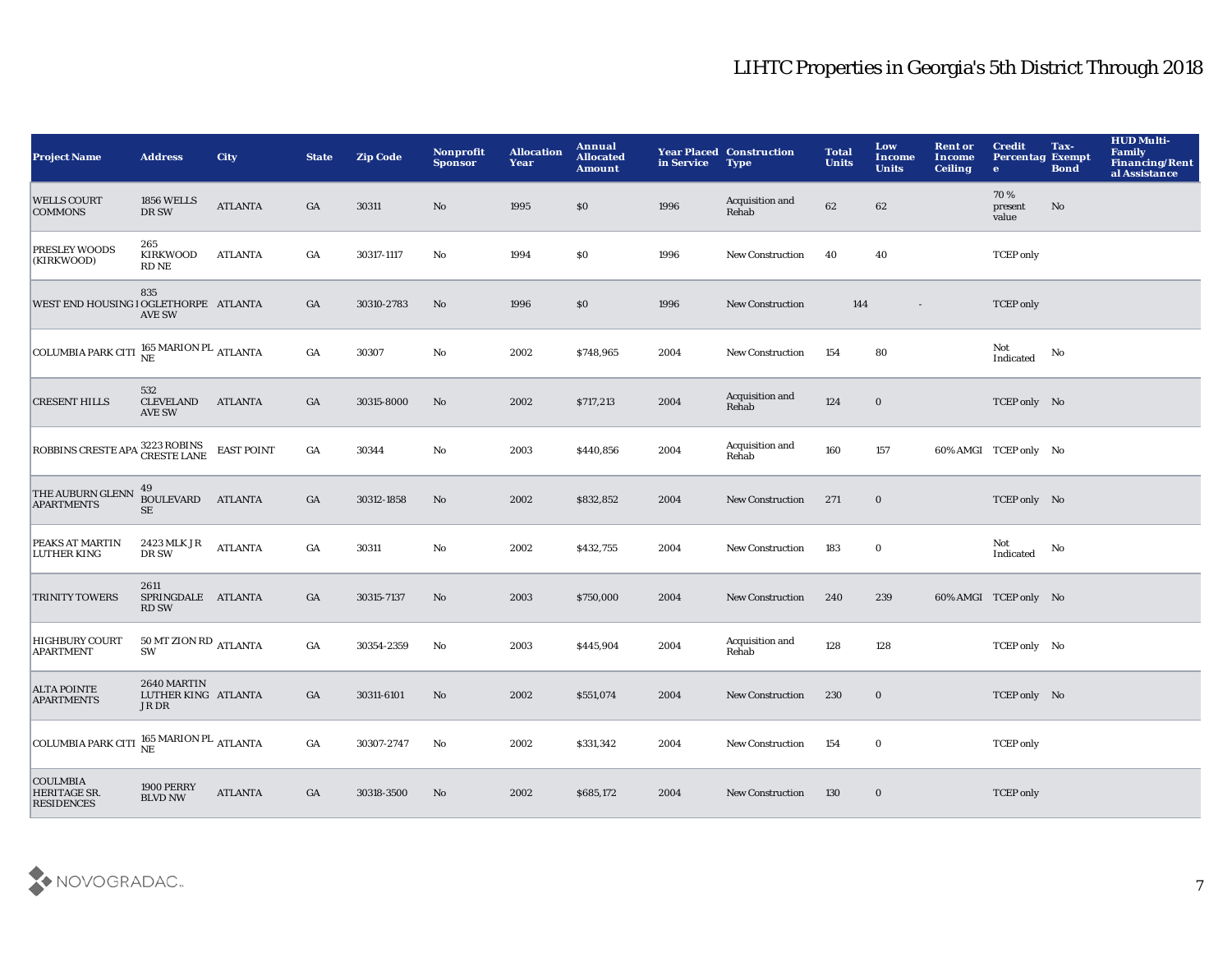| <b>Project Name</b>                                   | <b>Address</b>                              | <b>City</b>       | <b>State</b>     | <b>Zip Code</b> | Nonprofit<br><b>Sponsor</b> | <b>Allocation</b><br>Year | <b>Annual</b><br><b>Allocated</b><br><b>Amount</b> | in Service | <b>Year Placed Construction</b><br><b>Type</b> | <b>Total</b><br><b>Units</b> | Low<br>Income<br><b>Units</b> | <b>Rent or</b><br>Income<br><b>Ceiling</b> | <b>Credit</b><br><b>Percentag Exempt</b><br>$\bullet$ | Tax-<br><b>Bond</b> | <b>HUD Multi-</b><br>Family<br><b>Financing/Rent</b><br>al Assistance |
|-------------------------------------------------------|---------------------------------------------|-------------------|------------------|-----------------|-----------------------------|---------------------------|----------------------------------------------------|------------|------------------------------------------------|------------------------------|-------------------------------|--------------------------------------------|-------------------------------------------------------|---------------------|-----------------------------------------------------------------------|
| <b>WELLS COURT</b><br><b>COMMONS</b>                  | <b>1856 WELLS</b><br>DR SW                  | <b>ATLANTA</b>    | GA               | 30311           | No                          | 1995                      | \$0                                                | 1996       | Acquisition and<br>Rehab                       | 62                           | 62                            |                                            | 70%<br>present<br>value                               | No                  |                                                                       |
| PRESLEY WOODS<br>(KIRKWOOD)                           | 265<br><b>KIRKWOOD</b><br>RD NE             | <b>ATLANTA</b>    | GA               | 30317-1117      | No                          | 1994                      | \$0                                                | 1996       | <b>New Construction</b>                        | 40                           | 40                            |                                            | <b>TCEP</b> only                                      |                     |                                                                       |
| WEST END HOUSING I OGLETHORPE ATLANTA                 | 835<br><b>AVE SW</b>                        |                   | GA               | 30310-2783      | No                          | 1996                      | \$0                                                | 1996       | <b>New Construction</b>                        | 144                          | $\sim$                        |                                            | <b>TCEP</b> only                                      |                     |                                                                       |
| COLUMBIA PARK CITI NE MARION PL ATLANTA               |                                             |                   | $_{\mathrm{GA}}$ | 30307           | No                          | 2002                      | \$748,965                                          | 2004       | <b>New Construction</b>                        | 154                          | 80                            |                                            | Not<br>Indicated                                      | No                  |                                                                       |
| <b>CRESENT HILLS</b>                                  | 532<br><b>CLEVELAND</b><br><b>AVE SW</b>    | <b>ATLANTA</b>    | GA               | 30315-8000      | No                          | 2002                      | \$717,213                                          | 2004       | Acquisition and<br>Rehab                       | 124                          | $\bf{0}$                      |                                            | TCEP only No                                          |                     |                                                                       |
| ROBBINS CRESTE APAL 3223 ROBINS                       |                                             | <b>EAST POINT</b> | GA               | 30344           | $\mathbf{No}$               | 2003                      | \$440,856                                          | 2004       | Acquisition and<br>Rehab                       | 160                          | 157                           |                                            | 60% AMGI TCEP only No                                 |                     |                                                                       |
| THE AUBURN GLENN<br><b>APARTMENTS</b>                 | 49<br><b>BOULEVARD</b><br>$\rm SE$          | <b>ATLANTA</b>    | GA               | 30312-1858      | No                          | 2002                      | \$832,852                                          | 2004       | <b>New Construction</b>                        | 271                          | $\bf{0}$                      |                                            | TCEP only No                                          |                     |                                                                       |
| PEAKS AT MARTIN<br>LUTHER KING                        | 2423 MLK JR<br>DR SW                        | <b>ATLANTA</b>    | GA               | 30311           | No                          | 2002                      | \$432,755                                          | 2004       | <b>New Construction</b>                        | 183                          | $\mathbf 0$                   |                                            | Not<br>Indicated                                      | No                  |                                                                       |
| <b>TRINITY TOWERS</b>                                 | 2611<br>SPRINGDALE ATLANTA<br><b>RD SW</b>  |                   | GA               | 30315-7137      | No                          | 2003                      | \$750,000                                          | 2004       | <b>New Construction</b>                        | 240                          | 239                           |                                            | 60% AMGI TCEP only No                                 |                     |                                                                       |
| <b>HIGHBURY COURT</b><br><b>APARTMENT</b>             | $50$ MT ZION RD $\,$ ATLANTA<br>SW          |                   | $_{\mathrm{GA}}$ | 30354-2359      | No                          | 2003                      | \$445,904                                          | 2004       | Acquisition and<br>Rehab                       | 128                          | 128                           |                                            | TCEP only No                                          |                     |                                                                       |
| <b>ALTA POINTE</b><br><b>APARTMENTS</b>               | 2640 MARTIN<br>LUTHER KING ATLANTA<br>JR DR |                   | GA               | 30311-6101      | No                          | 2002                      | \$551,074                                          | 2004       | <b>New Construction</b>                        | 230                          | $\bf{0}$                      |                                            | TCEP only No                                          |                     |                                                                       |
| COLUMBIA PARK CITI $\frac{165}{NE}$ MARION PL ATLANTA |                                             |                   | GA               | 30307-2747      | No                          | 2002                      | \$331,342                                          | 2004       | <b>New Construction</b>                        | 154                          | $\bf{0}$                      |                                            | <b>TCEP</b> only                                      |                     |                                                                       |
| <b>COULMBIA</b><br>HERITAGE SR.<br><b>RESIDENCES</b>  | 1900 PERRY<br><b>BLVD NW</b>                | <b>ATLANTA</b>    | $_{\mathrm{GA}}$ | 30318-3500      | No                          | 2002                      | \$685,172                                          | 2004       | <b>New Construction</b>                        | 130                          | $\bf{0}$                      |                                            | <b>TCEP</b> only                                      |                     |                                                                       |

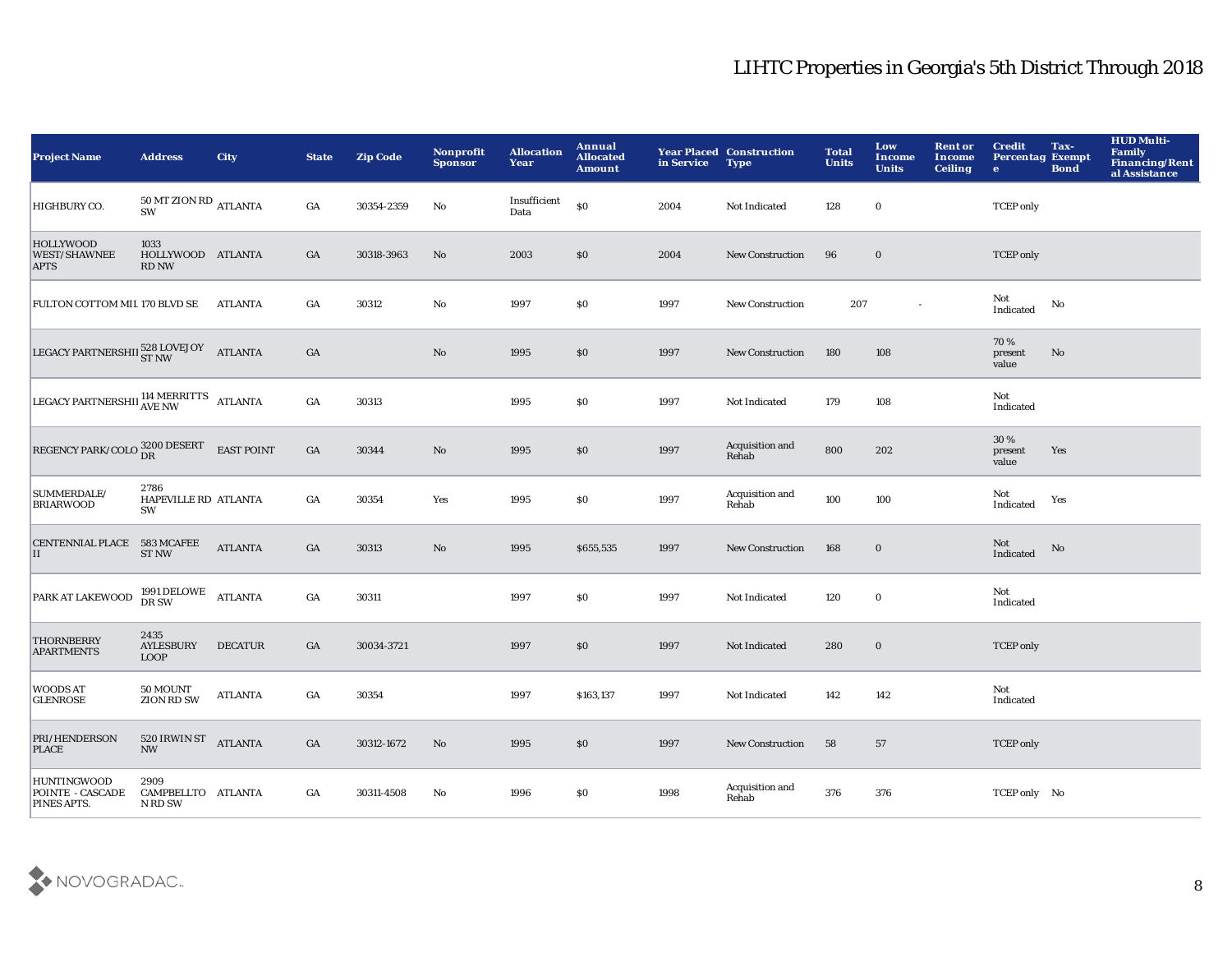| <b>Project Name</b>                                    | <b>Address</b>                                    | <b>City</b>       | <b>State</b>     | <b>Zip Code</b> | Nonprofit<br><b>Sponsor</b> | <b>Allocation</b><br>Year | Annual<br><b>Allocated</b><br><b>Amount</b> | in Service | <b>Year Placed Construction</b><br><b>Type</b> | <b>Total</b><br><b>Units</b> | Low<br>Income<br><b>Units</b> | <b>Rent or</b><br>Income<br><b>Ceiling</b> | <b>Credit</b><br><b>Percentag Exempt</b><br>$\bullet$ | Tax-<br><b>Bond</b> | <b>HUD Multi-</b><br><b>Family</b><br><b>Financing/Rent</b><br>al Assistance |
|--------------------------------------------------------|---------------------------------------------------|-------------------|------------------|-----------------|-----------------------------|---------------------------|---------------------------------------------|------------|------------------------------------------------|------------------------------|-------------------------------|--------------------------------------------|-------------------------------------------------------|---------------------|------------------------------------------------------------------------------|
| HIGHBURY CO.                                           | $50\,\mathrm{MT}$ ZION RD $_{\rm ATLANTA}$<br>SW  |                   | $_{\mathrm{GA}}$ | 30354-2359      | No                          | Insufficient<br>Data      | $\$0$                                       | 2004       | Not Indicated                                  | 128                          | $\mathbf 0$                   |                                            | <b>TCEP</b> only                                      |                     |                                                                              |
| <b>HOLLYWOOD</b><br><b>WEST/SHAWNEE</b><br><b>APTS</b> | 1033<br>HOLLYWOOD ATLANTA<br><b>RD NW</b>         |                   | GA               | 30318-3963      | No                          | 2003                      | \$0                                         | 2004       | <b>New Construction</b>                        | 96                           | $\bf{0}$                      |                                            | <b>TCEP</b> only                                      |                     |                                                                              |
| FULTON COTTOM MIL 170 BLVD SE                          |                                                   | <b>ATLANTA</b>    | GA               | 30312           | $\mathbf {No}$              | 1997                      | \$0                                         | 1997       | <b>New Construction</b>                        | 207                          | $\sim$                        |                                            | Not<br>Indicated                                      | No                  |                                                                              |
| LEGACY PARTNERSHII 528 LOVEJOY ATLANTA                 |                                                   |                   | $_{\mathrm{GA}}$ |                 | $\mathbf{N}\mathbf{o}$      | 1995                      | \$0                                         | 1997       | <b>New Construction</b>                        | 180                          | 108                           |                                            | 70%<br>present<br>value                               | No                  |                                                                              |
| LEGACY PARTNERSHII AVE NW ATLANTA                      |                                                   |                   | GA               | 30313           |                             | 1995                      | <b>SO</b>                                   | 1997       | Not Indicated                                  | 179                          | 108                           |                                            | Not<br>Indicated                                      |                     |                                                                              |
| REGENCY PARK/COLO $^{3200}_{\rm DR}$                   |                                                   | <b>EAST POINT</b> | GA               | 30344           | $\mathbf {No}$              | 1995                      | \$0                                         | 1997       | Acquisition and<br>Rehab                       | 800                          | 202                           |                                            | 30 %<br>present<br>value                              | Yes                 |                                                                              |
| SUMMERDALE/<br><b>BRIARWOOD</b>                        | 2786<br>HAPEVILLE RD ATLANTA<br>SW                |                   | GA               | 30354           | Yes                         | 1995                      | \$0                                         | 1997       | Acquisition and<br>Rehab                       | 100                          | 100                           |                                            | Not<br>Indicated                                      | Yes                 |                                                                              |
| CENTENNIAL PLACE 583 MCAFEE<br>II                      | <b>ST NW</b>                                      | <b>ATLANTA</b>    | GA               | 30313           | $\rm No$                    | 1995                      | \$655,535                                   | 1997       | <b>New Construction</b>                        | 168                          | $\bf{0}$                      |                                            | Not<br>Indicated                                      | No                  |                                                                              |
| PARK AT LAKEWOOD                                       | 1991 DELOWE<br>DR SW                              | <b>ATLANTA</b>    | GA               | 30311           |                             | 1997                      | \$0                                         | 1997       | Not Indicated                                  | 120                          | $\bf{0}$                      |                                            | Not<br>Indicated                                      |                     |                                                                              |
| <b>THORNBERRY</b><br><b>APARTMENTS</b>                 | 2435<br><b>AYLESBURY</b><br><b>LOOP</b>           | <b>DECATUR</b>    | GA               | 30034-3721      |                             | 1997                      | \$0                                         | 1997       | Not Indicated                                  | 280                          | $\bf{0}$                      |                                            | <b>TCEP</b> only                                      |                     |                                                                              |
| <b>WOODS AT</b><br><b>GLENROSE</b>                     | 50 MOUNT<br><b>ZION RD SW</b>                     | <b>ATLANTA</b>    | $_{\mathrm{GA}}$ | 30354           |                             | 1997                      | \$163,137                                   | 1997       | Not Indicated                                  | 142                          | 142                           |                                            | Not<br>Indicated                                      |                     |                                                                              |
| PRI/HENDERSON<br><b>PLACE</b>                          | 520 IRWIN ST<br>ATLANTA<br>$\mathbf{N}\mathbf{W}$ |                   | GA               | 30312-1672      | No                          | 1995                      | \$0                                         | 1997       | <b>New Construction</b>                        | 58                           | 57                            |                                            | <b>TCEP</b> only                                      |                     |                                                                              |
| <b>HUNTINGWOOD</b><br>POINTE - CASCADE<br>PINES APTS.  | 2909<br>CAMPBELLTO ATLANTA<br>N RD SW             |                   | GA               | 30311-4508      | No                          | 1996                      | <b>SO</b>                                   | 1998       | Acquisition and<br>Rehab                       | 376                          | 376                           |                                            | TCEP only No                                          |                     |                                                                              |

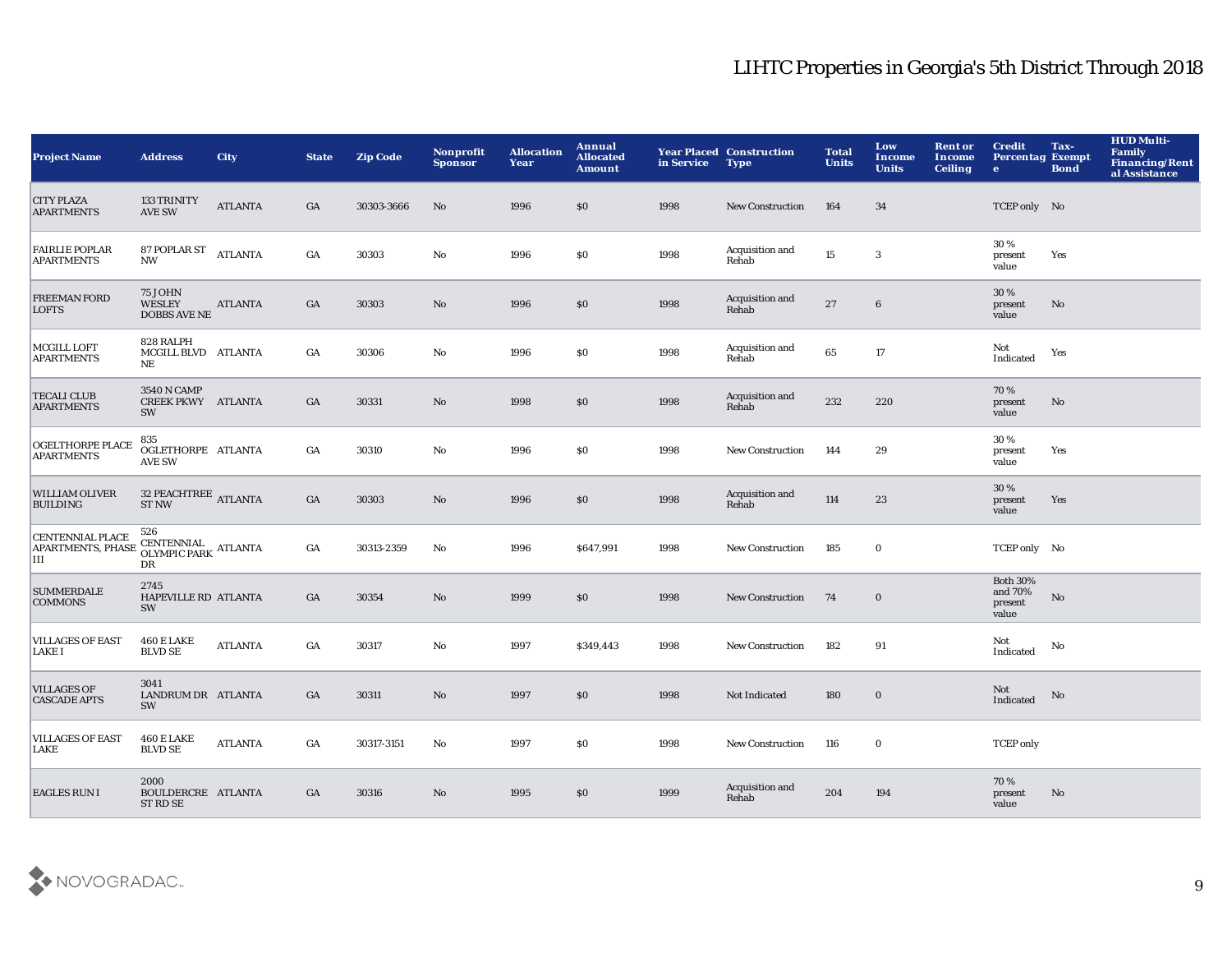| <b>Project Name</b>                                      | <b>Address</b>                                         | City           | <b>State</b> | <b>Zip Code</b> | Nonprofit<br><b>Sponsor</b> | <b>Allocation</b><br>Year | Annual<br><b>Allocated</b><br><b>Amount</b> | in Service | <b>Year Placed Construction</b><br><b>Type</b> | <b>Total</b><br><b>Units</b> | Low<br>Income<br><b>Units</b> | <b>Rent or</b><br>Income<br><b>Ceiling</b> | <b>Credit</b><br><b>Percentag Exempt</b><br>$\bullet$ | Tax-<br><b>Bond</b> | <b>HUD Multi-</b><br>Family<br><b>Financing/Rent</b><br>al Assistance |
|----------------------------------------------------------|--------------------------------------------------------|----------------|--------------|-----------------|-----------------------------|---------------------------|---------------------------------------------|------------|------------------------------------------------|------------------------------|-------------------------------|--------------------------------------------|-------------------------------------------------------|---------------------|-----------------------------------------------------------------------|
| <b>CITY PLAZA</b><br><b>APARTMENTS</b>                   | <b>133 TRINITY</b><br><b>AVE SW</b>                    | <b>ATLANTA</b> | GA           | 30303-3666      | No                          | 1996                      | \$0                                         | 1998       | <b>New Construction</b>                        | 164                          | 34                            |                                            | TCEP only No                                          |                     |                                                                       |
| <b>FAIRLIE POPLAR</b><br><b>APARTMENTS</b>               | 87 POPLAR ST<br><b>NW</b>                              | <b>ATLANTA</b> | GA           | 30303           | No                          | 1996                      | \$0                                         | 1998       | Acquisition and<br>Rehab                       | 15                           | $\bf{3}$                      |                                            | 30%<br>present<br>value                               | Yes                 |                                                                       |
| <b>FREEMAN FORD</b><br><b>LOFTS</b>                      | <b>75 JOHN</b><br><b>WESLEY</b><br><b>DOBBS AVE NE</b> | <b>ATLANTA</b> | GA           | 30303           | $\mathbf{N}\mathbf{o}$      | 1996                      | \$0                                         | 1998       | Acquisition and<br>Rehab                       | 27                           | $6\phantom{1}6$               |                                            | 30 %<br>present<br>value                              | No                  |                                                                       |
| MCGILL LOFT<br><b>APARTMENTS</b>                         | 828 RALPH<br>MCGILL BLVD ATLANTA<br>NE                 |                | GA           | 30306           | No                          | 1996                      | \$0                                         | 1998       | Acquisition and<br>Rehab                       | 65                           | 17                            |                                            | Not<br>Indicated                                      | Yes                 |                                                                       |
| <b>TECALI CLUB</b><br><b>APARTMENTS</b>                  | 3540 N CAMP<br><b>CREEK PKWY ATLANTA</b><br>SW         |                | GA           | 30331           | No                          | 1998                      | \$0                                         | 1998       | Acquisition and<br>Rehab                       | 232                          | 220                           |                                            | 70%<br>present<br>value                               | No                  |                                                                       |
| <b>OGELTHORPE PLACE</b><br><b>APARTMENTS</b>             | 835<br>OGLETHORPE ATLANTA<br><b>AVE SW</b>             |                | GA           | 30310           | No                          | 1996                      | \$0                                         | 1998       | <b>New Construction</b>                        | 144                          | 29                            |                                            | 30%<br>present<br>value                               | Yes                 |                                                                       |
| <b>WILLIAM OLIVER</b><br><b>BUILDING</b>                 | 32 PEACHTREE ATLANTA<br><b>ST NW</b>                   |                | GA           | 30303           | $\mathbf{N}\mathbf{o}$      | 1996                      | \$0                                         | 1998       | Acquisition and<br>Rehab                       | 114                          | 23                            |                                            | $30\,\%$<br>present<br>value                          | Yes                 |                                                                       |
| <b>CENTENNIAL PLACE</b><br><b>APARTMENTS, PHASE</b><br>Ш | 526<br>CENTENNIAL<br>OLYMPIC PARK ATLANTA<br>DR        |                | GA           | 30313-2359      | No                          | 1996                      | \$647,991                                   | 1998       | <b>New Construction</b>                        | 185                          | $\bf{0}$                      |                                            | TCEP only No                                          |                     |                                                                       |
| <b>SUMMERDALE</b><br><b>COMMONS</b>                      | 2745<br>HAPEVILLE RD ATLANTA<br>SW                     |                | GA           | 30354           | No                          | 1999                      | \$0                                         | 1998       | <b>New Construction</b>                        | 74                           | $\bf{0}$                      |                                            | <b>Both 30%</b><br>and 70%<br>present<br>value        | No                  |                                                                       |
| <b>VILLAGES OF EAST</b><br><b>LAKE I</b>                 | <b>460 E LAKE</b><br><b>BLVD SE</b>                    | <b>ATLANTA</b> | GA           | 30317           | No                          | 1997                      | \$349,443                                   | 1998       | <b>New Construction</b>                        | 182                          | 91                            |                                            | Not<br>Indicated                                      | No                  |                                                                       |
| <b>VILLAGES OF</b><br><b>CASCADE APTS</b>                | 3041<br>LANDRUM DR ATLANTA<br>SW                       |                | GA           | 30311           | No                          | 1997                      | \$0                                         | 1998       | Not Indicated                                  | 180                          | $\mathbf 0$                   |                                            | Not<br>Indicated                                      | No                  |                                                                       |
| <b>VILLAGES OF EAST</b><br><b>LAKE</b>                   | <b>460 E LAKE</b><br><b>BLVD SE</b>                    | <b>ATLANTA</b> | GA           | 30317-3151      | No                          | 1997                      | <b>SO</b>                                   | 1998       | <b>New Construction</b>                        | 116                          | $\bf{0}$                      |                                            | <b>TCEP</b> only                                      |                     |                                                                       |
| <b>EAGLES RUN I</b>                                      | 2000<br>BOULDERCRE ATLANTA<br>ST RD SE                 |                | GA           | 30316           | No                          | 1995                      | \$0                                         | 1999       | Acquisition and<br>Rehab                       | 204                          | 194                           |                                            | 70%<br>present<br>value                               | No                  |                                                                       |

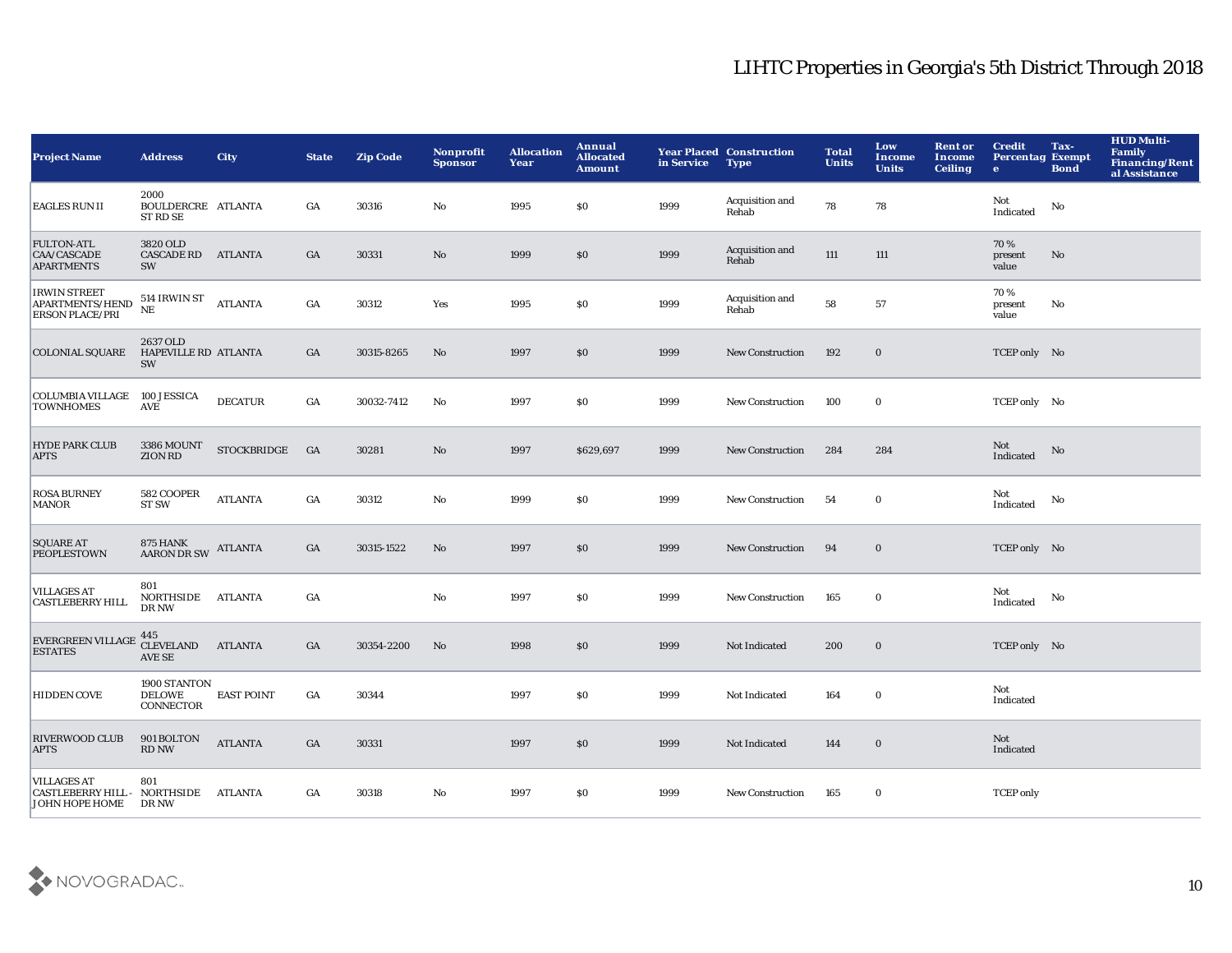| <b>Project Name</b>                                                         | <b>Address</b>                                | <b>City</b>        | <b>State</b> | <b>Zip Code</b> | <b>Nonprofit</b><br><b>Sponsor</b> | <b>Allocation</b><br>Year | Annual<br><b>Allocated</b><br><b>Amount</b> | in Service | <b>Year Placed Construction</b><br><b>Type</b> | <b>Total</b><br><b>Units</b> | Low<br>Income<br><b>Units</b> | <b>Rent or</b><br>Income<br><b>Ceiling</b> | <b>Credit</b><br><b>Percentag Exempt</b><br>$\bullet$ | Tax-<br><b>Bond</b>    | <b>HUD Multi-</b><br><b>Family</b><br>Financing/Rent<br>al Assistance |
|-----------------------------------------------------------------------------|-----------------------------------------------|--------------------|--------------|-----------------|------------------------------------|---------------------------|---------------------------------------------|------------|------------------------------------------------|------------------------------|-------------------------------|--------------------------------------------|-------------------------------------------------------|------------------------|-----------------------------------------------------------------------|
| <b>EAGLES RUN II</b>                                                        | 2000<br>BOULDERCRE ATLANTA<br><b>ST RD SE</b> |                    | GA           | 30316           | No                                 | 1995                      | \$0                                         | 1999       | Acquisition and<br>Rehab                       | 78                           | 78                            |                                            | Not<br>Indicated                                      | No                     |                                                                       |
| <b>FULTON-ATL</b><br>CAA/CASCADE<br><b>APARTMENTS</b>                       | 3820 OLD<br>CASCADE RD ATLANTA<br>SW          |                    | GA           | 30331           | $\mathbf{No}$                      | 1999                      | \$0                                         | 1999       | Acquisition and<br>Rehab                       | $111$                        | 111                           |                                            | 70%<br>present<br>value                               | No                     |                                                                       |
| <b>IRWIN STREET</b><br>APARTMENTS/HEND<br><b>ERSON PLACE/PRI</b>            | 514 IRWIN ST<br>$\rm NE$                      | <b>ATLANTA</b>     | GA           | 30312           | Yes                                | 1995                      | \$0                                         | 1999       | Acquisition and<br>Rehab                       | 58                           | 57                            |                                            | 70%<br>present<br>value                               | No                     |                                                                       |
| <b>COLONIAL SQUARE</b>                                                      | 2637 OLD<br><b>HAPEVILLE RD ATLANTA</b><br>SW |                    | GA           | 30315-8265      | No                                 | 1997                      | \$0                                         | 1999       | <b>New Construction</b>                        | 192                          | $\bf{0}$                      |                                            | TCEP only No                                          |                        |                                                                       |
| <b>COLUMBIA VILLAGE</b><br><b>TOWNHOMES</b>                                 | 100 JESSICA<br><b>AVE</b>                     | <b>DECATUR</b>     | GA           | 30032-7412      | No                                 | 1997                      | \$0                                         | 1999       | <b>New Construction</b>                        | 100                          | $\bf{0}$                      |                                            | TCEP only No                                          |                        |                                                                       |
| <b>HYDE PARK CLUB</b><br><b>APTS</b>                                        | 3386 MOUNT<br>ZION RD                         | <b>STOCKBRIDGE</b> | GA           | 30281           | $\mathbf{No}$                      | 1997                      | \$629,697                                   | 1999       | <b>New Construction</b>                        | 284                          | 284                           |                                            | Not<br>Indicated                                      | $\mathbf{N}\mathbf{o}$ |                                                                       |
| <b>ROSA BURNEY</b><br><b>MANOR</b>                                          | 582 COOPER<br><b>ST SW</b>                    | <b>ATLANTA</b>     | GA           | 30312           | No                                 | 1999                      | \$0                                         | 1999       | <b>New Construction</b>                        | 54                           | $\bf{0}$                      |                                            | Not<br>Indicated                                      | No                     |                                                                       |
| <b>SQUARE AT</b><br><b>PEOPLESTOWN</b>                                      | <b>875 HANK</b><br>AARON DR SW ATLANTA        |                    | GA           | 30315-1522      | No                                 | 1997                      | \$0                                         | 1999       | <b>New Construction</b>                        | 94                           | $\bf{0}$                      |                                            | TCEP only No                                          |                        |                                                                       |
| <b>VILLAGES AT</b><br><b>CASTLEBERRY HILL</b>                               | 801<br>NORTHSIDE ATLANTA<br>DR NW             |                    | GA           |                 | No                                 | 1997                      | <b>SO</b>                                   | 1999       | <b>New Construction</b>                        | 165                          | $\bf{0}$                      |                                            | Not<br>Indicated                                      | No                     |                                                                       |
| <b>EVERGREEN VILLAGE</b><br><b>ESTATES</b>                                  | $445\atop \text{CLEVELAND}$<br>AVE SE         | <b>ATLANTA</b>     | GA           | 30354-2200      | No                                 | 1998                      | \$0                                         | 1999       | Not Indicated                                  | 200                          | $\bf{0}$                      |                                            | TCEP only No                                          |                        |                                                                       |
| <b>HIDDEN COVE</b>                                                          | 1900 STANTON<br><b>DELOWE</b><br>CONNECTOR    | <b>EAST POINT</b>  | GA           | 30344           |                                    | 1997                      | \$0                                         | 1999       | Not Indicated                                  | 164                          | $\mathbf 0$                   |                                            | Not<br>Indicated                                      |                        |                                                                       |
| <b>RIVERWOOD CLUB</b><br><b>APTS</b>                                        | 901 BOLTON<br><b>RD NW</b>                    | <b>ATLANTA</b>     | GA           | 30331           |                                    | 1997                      | \$0                                         | 1999       | Not Indicated                                  | 144                          | $\bf{0}$                      |                                            | Not<br>Indicated                                      |                        |                                                                       |
| <b>VILLAGES AT</b><br><b>CASTLEBERRY HILL - NORTHSIDE</b><br>JOHN HOPE HOME | 801<br>DR NW                                  | ATLANTA            | GA           | 30318           | No                                 | 1997                      | <b>SO</b>                                   | 1999       | <b>New Construction</b>                        | 165                          | $\bf{0}$                      |                                            | <b>TCEP</b> only                                      |                        |                                                                       |

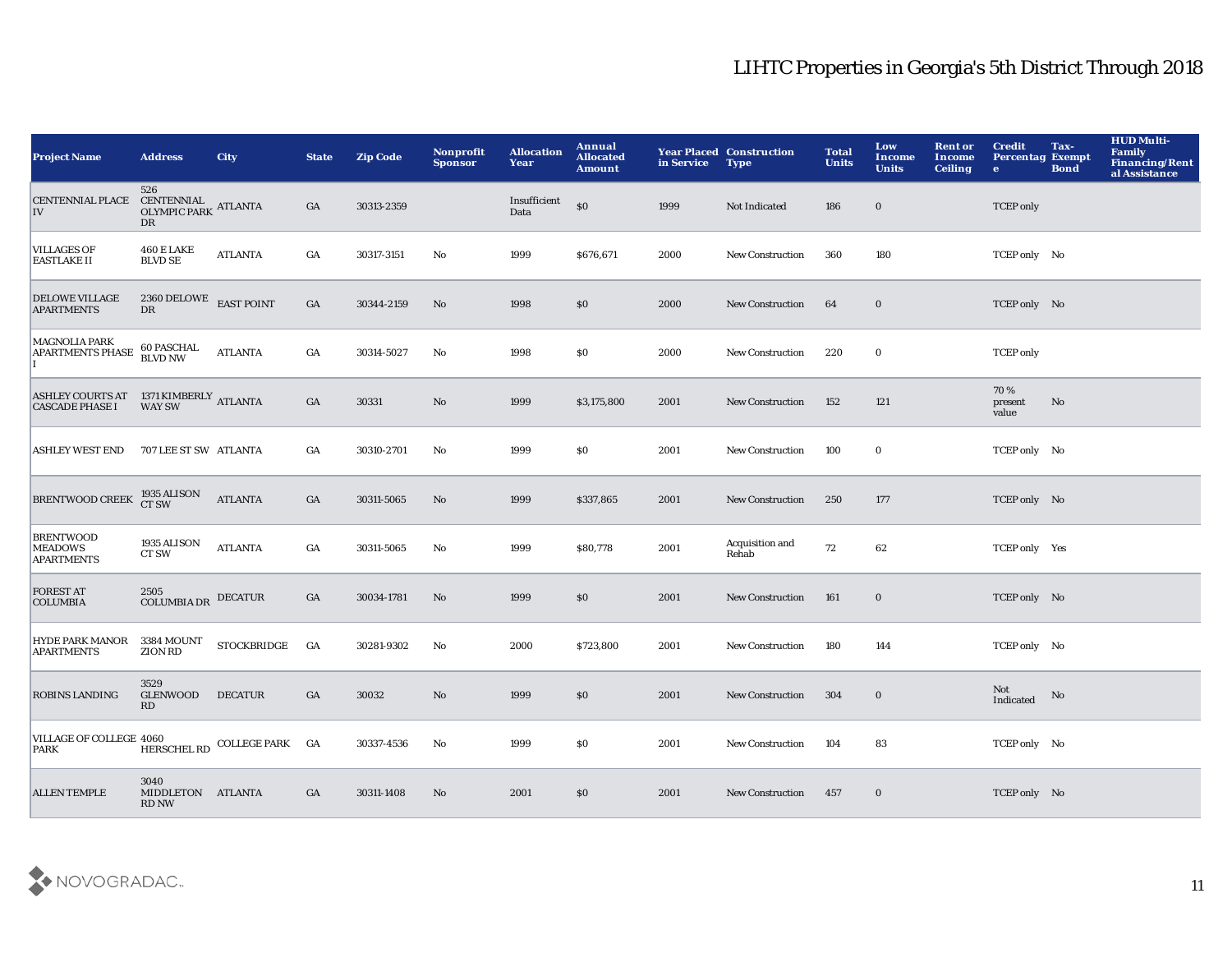| <b>Project Name</b>                                                                                                                       | <b>Address</b>                                          | <b>City</b>                 | <b>State</b>     | <b>Zip Code</b> | Nonprofit<br><b>Sponsor</b> | <b>Allocation</b><br>Year | Annual<br><b>Allocated</b><br><b>Amount</b> | in Service | <b>Year Placed Construction</b><br><b>Type</b> | <b>Total</b><br><b>Units</b> | Low<br>Income<br><b>Units</b> | <b>Rent or</b><br>Income<br><b>Ceiling</b> | <b>Credit</b><br><b>Percentag Exempt</b><br>$\bullet$ | Tax-<br><b>Bond</b> | HUD Multi-<br>Family<br><b>Financing/Rent</b><br>al Assistance |
|-------------------------------------------------------------------------------------------------------------------------------------------|---------------------------------------------------------|-----------------------------|------------------|-----------------|-----------------------------|---------------------------|---------------------------------------------|------------|------------------------------------------------|------------------------------|-------------------------------|--------------------------------------------|-------------------------------------------------------|---------------------|----------------------------------------------------------------|
| <b>CENTENNIAL PLACE</b><br>IV                                                                                                             | 526<br>CENTENNIAL ATLANTA<br>OLYMPIC PARK ATLANTA<br>DR |                             | GA               | 30313-2359      |                             | Insufficient<br>Data      | \$0                                         | 1999       | Not Indicated                                  | 186                          | $\bf{0}$                      |                                            | <b>TCEP</b> only                                      |                     |                                                                |
| <b>VILLAGES OF</b><br><b>EASTLAKE II</b>                                                                                                  | <b>460 E LAKE</b><br><b>BLVD SE</b>                     | <b>ATLANTA</b>              | GA               | 30317-3151      | No                          | 1999                      | \$676,671                                   | 2000       | <b>New Construction</b>                        | 360                          | 180                           |                                            | TCEP only No                                          |                     |                                                                |
| <b>DELOWE VILLAGE</b><br><b>APARTMENTS</b>                                                                                                | 2360 DELOWE<br>${\rm D}{\rm R}$                         | <b>EAST POINT</b>           | GA               | 30344-2159      | $\mathbf{N}\mathbf{o}$      | 1998                      | \$0                                         | 2000       | <b>New Construction</b>                        | 64                           | $\bf{0}$                      |                                            | TCEP only No                                          |                     |                                                                |
| <b>MAGNOLIA PARK</b><br><b>APARTMENTS PHASE</b>                                                                                           | 60 PASCHAL<br><b>BLVD NW</b>                            | <b>ATLANTA</b>              | GA               | 30314-5027      | No                          | 1998                      | \$0                                         | 2000       | <b>New Construction</b>                        | 220                          | $\mathbf 0$                   |                                            | <b>TCEP</b> only                                      |                     |                                                                |
| ${\small \underline{\sf ASHLEY\ COURTS\ AT\quad \ 1371\ KIMBERLY\ ATLANTA}} {\small \underline{\sf CASCADE\ PHASE\ I}\quad \  WAY\ SW\ }$ |                                                         |                             | GA               | 30331           | $\rm No$                    | 1999                      | \$3,175,800                                 | 2001       | New Construction                               | 152                          | 121                           |                                            | 70%<br>present<br>value                               | No                  |                                                                |
| <b>ASHLEY WEST END</b>                                                                                                                    | 707 LEE ST SW ATLANTA                                   |                             | GA               | 30310-2701      | No                          | 1999                      | \$0                                         | 2001       | <b>New Construction</b>                        | 100                          | $\mathbf 0$                   |                                            | TCEP only No                                          |                     |                                                                |
| <b>BRENTWOOD CREEK</b>                                                                                                                    | 1935 ALISON<br>CT SW                                    | <b>ATLANTA</b>              | $_{\mathrm{GA}}$ | 30311-5065      | No                          | 1999                      | \$337,865                                   | 2001       | New Construction                               | 250                          | 177                           |                                            | TCEP only No                                          |                     |                                                                |
| <b>BRENTWOOD</b><br><b>MEADOWS</b><br><b>APARTMENTS</b>                                                                                   | 1935 ALISON<br>CT SW                                    | <b>ATLANTA</b>              | GA               | 30311-5065      | No                          | 1999                      | \$80,778                                    | 2001       | Acquisition and<br>Rehab                       | 72                           | 62                            |                                            | TCEP only Yes                                         |                     |                                                                |
| <b>FOREST AT</b><br><b>COLUMBIA</b>                                                                                                       | 2505<br><b>COLUMBIA DR</b>                              | <b>DECATUR</b>              | GA               | 30034-1781      | No                          | 1999                      | \$0                                         | 2001       | New Construction                               | 161                          | $\bf{0}$                      |                                            | TCEP only No                                          |                     |                                                                |
| <b>HYDE PARK MANOR</b><br><b>APARTMENTS</b>                                                                                               | 3384 MOUNT<br><b>ZION RD</b>                            | <b>STOCKBRIDGE</b>          | GA               | 30281-9302      | No                          | 2000                      | \$723,800                                   | 2001       | <b>New Construction</b>                        | 180                          | 144                           |                                            | TCEP only No                                          |                     |                                                                |
| <b>ROBINS LANDING</b>                                                                                                                     | 3529<br>GLENWOOD<br>RD                                  | <b>DECATUR</b>              | GA               | 30032           | No                          | 1999                      | \$0                                         | 2001       | <b>New Construction</b>                        | 304                          | $\bf{0}$                      |                                            | Not<br>Indicated                                      | No                  |                                                                |
| VILLAGE OF COLLEGE 4060<br><b>PARK</b>                                                                                                    |                                                         | HERSCHEL RD COLLEGE PARK GA |                  | 30337-4536      | No                          | 1999                      | <b>SO</b>                                   | 2001       | <b>New Construction</b>                        | 104                          | 83                            |                                            | TCEP only No                                          |                     |                                                                |
| <b>ALLEN TEMPLE</b>                                                                                                                       | 3040<br>MIDDLETON ATLANTA<br><b>RD NW</b>               |                             | GA               | 30311-1408      | No                          | 2001                      | \$0                                         | 2001       | <b>New Construction</b>                        | 457                          | $\bf{0}$                      |                                            | TCEP only No                                          |                     |                                                                |

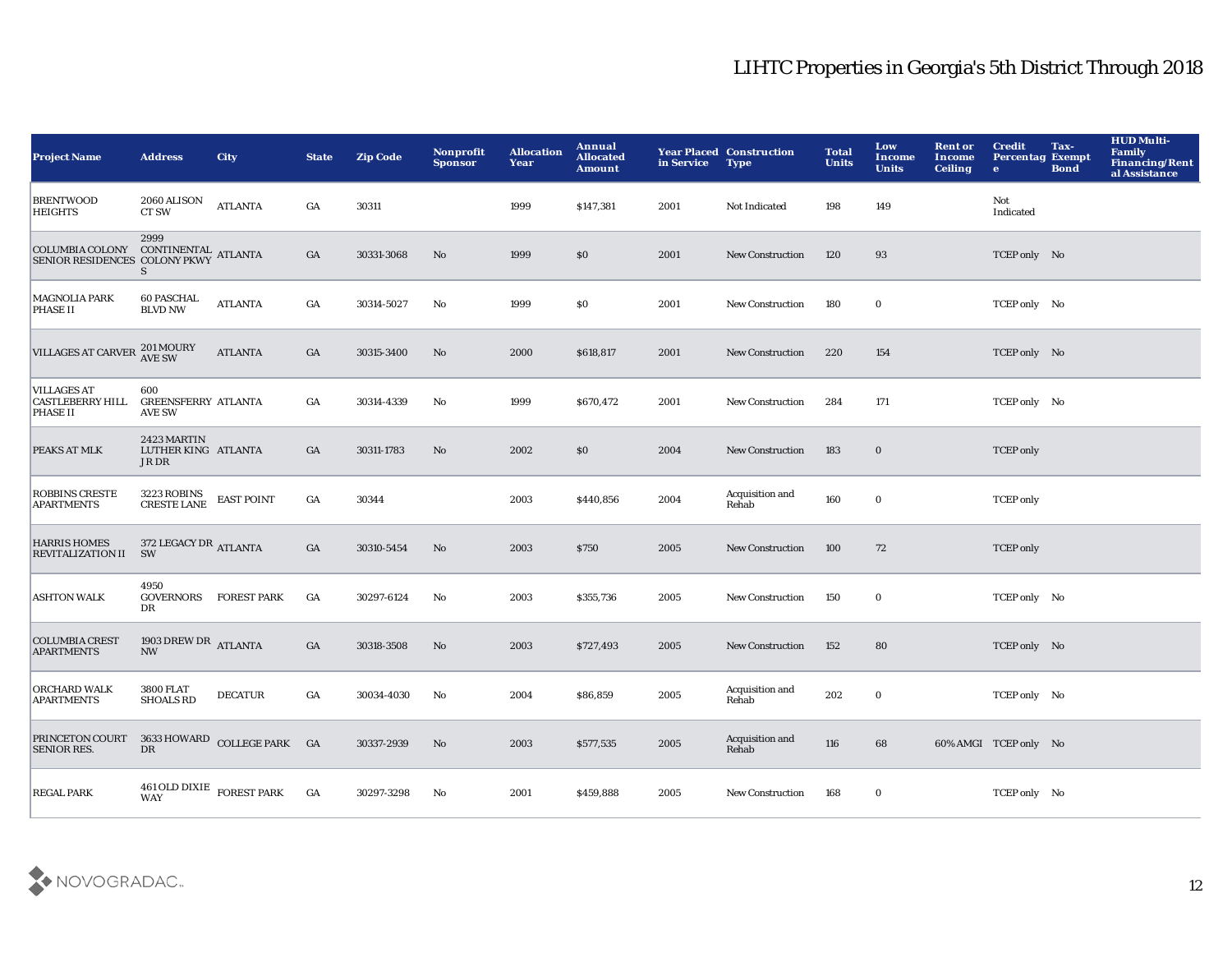| <b>Project Name</b>                                                                                                                                                                                                             | <b>Address</b>                                     | <b>City</b>              | <b>State</b>     | <b>Zip Code</b> | <b>Nonprofit</b><br><b>Sponsor</b> | <b>Allocation</b><br>Year | Annual<br><b>Allocated</b><br><b>Amount</b> | in Service | <b>Year Placed Construction</b><br><b>Type</b> | <b>Total</b><br><b>Units</b> | Low<br>Income<br><b>Units</b> | <b>Rent or</b><br>Income<br><b>Ceiling</b> | <b>Credit</b><br><b>Percentag Exempt</b><br>$\bullet$ | Tax-<br><b>Bond</b> | <b>HUD Multi-</b><br><b>Family</b><br><b>Financing/Rent</b><br>al Assistance |
|---------------------------------------------------------------------------------------------------------------------------------------------------------------------------------------------------------------------------------|----------------------------------------------------|--------------------------|------------------|-----------------|------------------------------------|---------------------------|---------------------------------------------|------------|------------------------------------------------|------------------------------|-------------------------------|--------------------------------------------|-------------------------------------------------------|---------------------|------------------------------------------------------------------------------|
| <b>BRENTWOOD</b><br><b>HEIGHTS</b>                                                                                                                                                                                              | 2060 ALISON<br>CT SW                               | $\operatorname{ATLANTA}$ | GA               | 30311           |                                    | 1999                      | \$147,381                                   | 2001       | Not Indicated                                  | 198                          | 149                           |                                            | Not<br>Indicated                                      |                     |                                                                              |
| $\begin{tabular}{ll} \multicolumn{2}{l}{\textbf{COL}OMBIA\ COLONY} & \multicolumn{2}{l}{\textbf{CONTINENTIAL}\ \textbf{ATLANTA}} \\ \multicolumn{2}{l}{\textbf{SENIOR RESIDENCES\ COLONY \textbf{PKWY} ATLANTA}} \end{tabular}$ | 2999<br>S                                          |                          | GA               | 30331-3068      | No                                 | 1999                      | <b>SO</b>                                   | 2001       | <b>New Construction</b>                        | 120                          | 93                            |                                            | TCEP only No                                          |                     |                                                                              |
| <b>MAGNOLIA PARK</b><br><b>PHASE II</b>                                                                                                                                                                                         | <b>60 PASCHAL</b><br><b>BLVD NW</b>                | <b>ATLANTA</b>           | $_{\mathrm{GA}}$ | 30314-5027      | $\mathbf{No}$                      | 1999                      | \$0                                         | 2001       | <b>New Construction</b>                        | 180                          | $\mathbf 0$                   |                                            | TCEP only No                                          |                     |                                                                              |
| <b>VILLAGES AT CARVER</b>                                                                                                                                                                                                       | 201 MOURY<br>AVE SW                                | <b>ATLANTA</b>           | GA               | 30315-3400      | No                                 | 2000                      | \$618,817                                   | 2001       | New Construction                               | 220                          | 154                           |                                            | TCEP only No                                          |                     |                                                                              |
| <b>VILLAGES AT</b><br><b>CASTLEBERRY HILL</b><br><b>PHASE II</b>                                                                                                                                                                | 600<br><b>GREENSFERRY ATLANTA</b><br><b>AVE SW</b> |                          | GA               | 30314-4339      | No                                 | 1999                      | \$670,472                                   | 2001       | <b>New Construction</b>                        | 284                          | 171                           |                                            | TCEP only No                                          |                     |                                                                              |
| PEAKS AT MLK                                                                                                                                                                                                                    | 2423 MARTIN<br>LUTHER KING ATLANTA<br>JR DR        |                          | GA               | 30311-1783      | No                                 | 2002                      | \$0                                         | 2004       | <b>New Construction</b>                        | 183                          | $\mathbf 0$                   |                                            | <b>TCEP</b> only                                      |                     |                                                                              |
| <b>ROBBINS CRESTE</b><br>APARTMENTS                                                                                                                                                                                             | 3223 ROBINS<br>CRESTE LANE                         | <b>EAST POINT</b>        | GA               | 30344           |                                    | 2003                      | \$440,856                                   | 2004       | Acquisition and<br>Rehab                       | 160                          | $\mathbf 0$                   |                                            | <b>TCEP</b> only                                      |                     |                                                                              |
| <b>HARRIS HOMES</b><br>REVITALIZATION II SW                                                                                                                                                                                     | 372 LEGACY DR ATLANTA                              |                          | $_{\mathrm{GA}}$ | 30310-5454      | No                                 | 2003                      | \$750                                       | 2005       | <b>New Construction</b>                        | 100                          | 72                            |                                            | <b>TCEP</b> only                                      |                     |                                                                              |
| <b>ASHTON WALK</b>                                                                                                                                                                                                              | 4950<br><b>GOVERNORS</b><br>DR                     | <b>FOREST PARK</b>       | GA               | 30297-6124      | No                                 | 2003                      | \$355,736                                   | 2005       | <b>New Construction</b>                        | 150                          | $\mathbf 0$                   |                                            | TCEP only No                                          |                     |                                                                              |
| <b>COLUMBIA CREST</b><br><b>APARTMENTS</b>                                                                                                                                                                                      | 1903 DREW DR ATLANTA<br><b>NW</b>                  |                          | $_{\mathrm{GA}}$ | 30318-3508      | No                                 | 2003                      | \$727,493                                   | 2005       | <b>New Construction</b>                        | 152                          | 80                            |                                            | TCEP only No                                          |                     |                                                                              |
| ORCHARD WALK<br><b>APARTMENTS</b>                                                                                                                                                                                               | <b>3800 FLAT</b><br><b>SHOALS RD</b>               | <b>DECATUR</b>           | GA               | 30034-4030      | No                                 | 2004                      | \$86,859                                    | 2005       | Acquisition and<br>Rehab                       | 202                          | $\bf{0}$                      |                                            | TCEP only No                                          |                     |                                                                              |
| PRINCETON COURT 3633 HOWARD COLLEGE PARK GA<br><b>SENIOR RES.</b>                                                                                                                                                               | DR                                                 |                          |                  | 30337-2939      | No                                 | 2003                      | \$577,535                                   | 2005       | Acquisition and<br>Rehab                       | 116                          | 68                            |                                            | 60% AMGI TCEP only No                                 |                     |                                                                              |
| <b>REGAL PARK</b>                                                                                                                                                                                                               | $461$ OLD DIXIE $\,$ FOREST PARK<br><b>WAY</b>     |                          | GA               | 30297-3298      | No                                 | 2001                      | \$459,888                                   | 2005       | <b>New Construction</b>                        | 168                          | $\bf{0}$                      |                                            | TCEP only No                                          |                     |                                                                              |

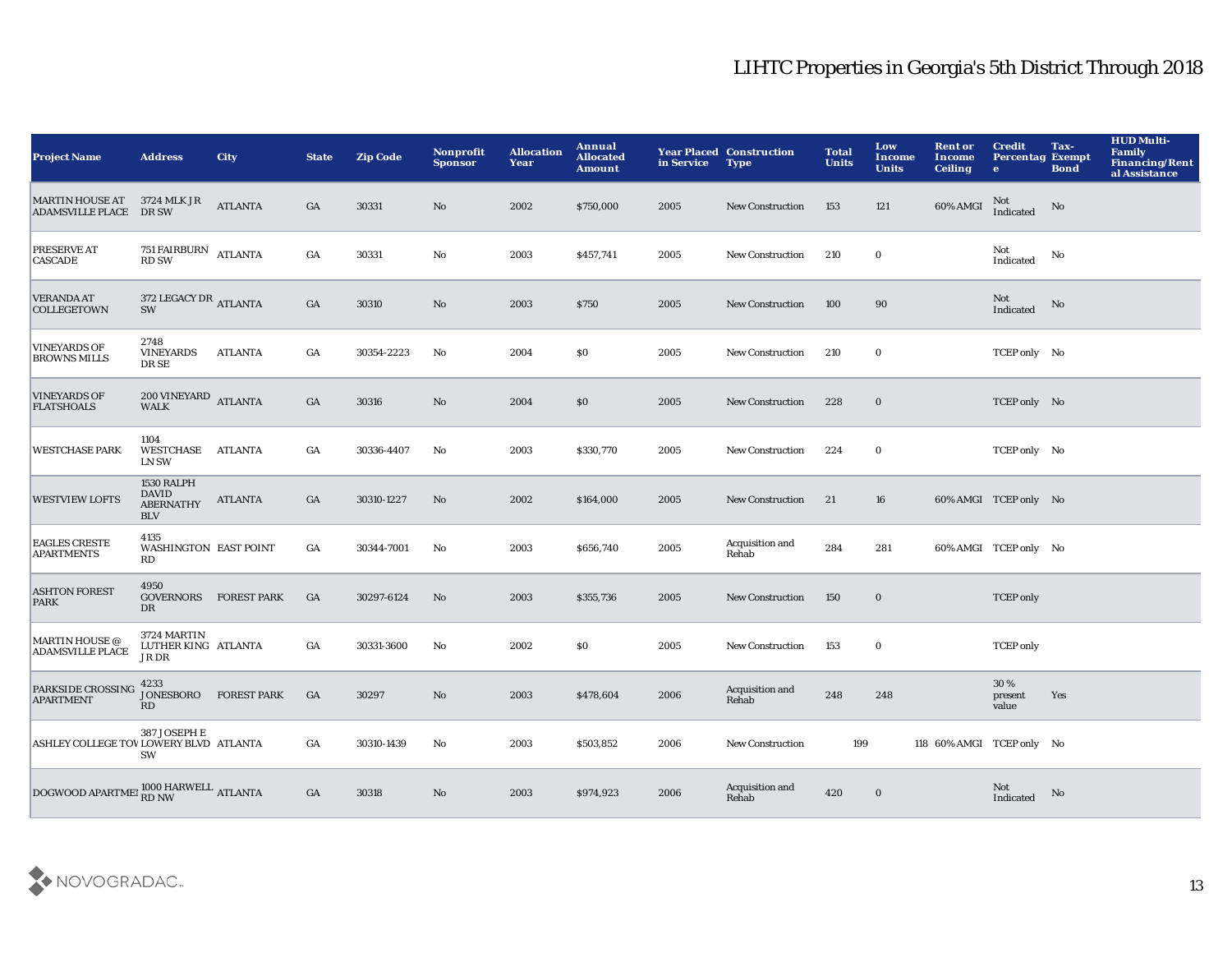| <b>Project Name</b>                              | <b>Address</b>                                               | <b>City</b>        | <b>State</b>     | <b>Zip Code</b> | Nonprofit<br><b>Sponsor</b> | <b>Allocation</b><br>Year | Annual<br><b>Allocated</b><br><b>Amount</b> | in Service | <b>Year Placed Construction</b><br><b>Type</b> | <b>Total</b><br><b>Units</b> | Low<br>Income<br><b>Units</b> | <b>Rent or</b><br><b>Income</b><br><b>Ceiling</b> | <b>Credit</b><br><b>Percentag Exempt</b><br>$\bullet$ | Tax-<br><b>Bond</b> | <b>HUD Multi-</b><br><b>Family</b><br><b>Financing/Rent</b><br>al Assistance |
|--------------------------------------------------|--------------------------------------------------------------|--------------------|------------------|-----------------|-----------------------------|---------------------------|---------------------------------------------|------------|------------------------------------------------|------------------------------|-------------------------------|---------------------------------------------------|-------------------------------------------------------|---------------------|------------------------------------------------------------------------------|
| <b>MARTIN HOUSE AT</b><br>ADAMSVILLE PLACE DR SW | 3724 MLK JR                                                  | <b>ATLANTA</b>     | GA               | 30331           | No                          | 2002                      | \$750,000                                   | 2005       | <b>New Construction</b>                        | 153                          | 121                           | 60% AMGI                                          | Not<br>Indicated                                      | No                  |                                                                              |
| <b>PRESERVE AT</b><br><b>CASCADE</b>             | 751 FAIRBURN ATLANTA<br><b>RD SW</b>                         |                    | $_{\mathrm{GA}}$ | 30331           | No                          | 2003                      | \$457,741                                   | 2005       | New Construction                               | 210                          | $\bf{0}$                      |                                                   | Not<br>Indicated                                      | No                  |                                                                              |
| <b>VERANDA AT</b><br><b>COLLEGETOWN</b>          | 372 LEGACY DR ATLANTA<br>SW                                  |                    | GA               | 30310           | $\rm No$                    | 2003                      | <b>\$750</b>                                | 2005       | <b>New Construction</b>                        | 100                          | 90                            |                                                   | Not<br>Indicated                                      | No                  |                                                                              |
| <b>VINEYARDS OF</b><br><b>BROWNS MILLS</b>       | 2748<br><b>VINEYARDS</b><br>DR SE                            | <b>ATLANTA</b>     | GA               | 30354-2223      | No                          | 2004                      | \$0                                         | 2005       | New Construction                               | 210                          | $\bf{0}$                      |                                                   | TCEP only No                                          |                     |                                                                              |
| <b>VINEYARDS OF</b><br><b>FLATSHOALS</b>         | $200$ VINEYARD $\quad$ ATLANTA<br><b>WALK</b>                |                    | GA               | 30316           | No                          | 2004                      | \$0                                         | 2005       | New Construction                               | 228                          | $\mathbf 0$                   |                                                   | TCEP only No                                          |                     |                                                                              |
| <b>WESTCHASE PARK</b>                            | 1104<br>WESTCHASE<br><b>LN SW</b>                            | ATLANTA            | GA               | 30336-4407      | No                          | 2003                      | \$330,770                                   | 2005       | <b>New Construction</b>                        | 224                          | $\bf{0}$                      |                                                   | TCEP only No                                          |                     |                                                                              |
| <b>WESTVIEW LOFTS</b>                            | 1530 RALPH<br><b>DAVID</b><br><b>ABERNATHY</b><br><b>BLV</b> | <b>ATLANTA</b>     | GA               | 30310-1227      | No                          | 2002                      | \$164,000                                   | 2005       | <b>New Construction</b>                        | 21                           | 16                            |                                                   | 60% AMGI TCEP only No                                 |                     |                                                                              |
| <b>EAGLES CRESTE</b><br><b>APARTMENTS</b>        | 4135<br><b>WASHINGTON EAST POINT</b><br>RD                   |                    | GA               | 30344-7001      | No                          | 2003                      | \$656,740                                   | 2005       | Acquisition and<br>Rehab                       | 284                          | 281                           |                                                   | 60% AMGI TCEP only No                                 |                     |                                                                              |
| <b>ASHTON FOREST</b><br><b>PARK</b>              | 4950<br><b>GOVERNORS</b><br>DR                               | <b>FOREST PARK</b> | GA               | 30297-6124      | No                          | 2003                      | \$355,736                                   | 2005       | <b>New Construction</b>                        | 150                          | $\mathbf 0$                   |                                                   | <b>TCEP</b> only                                      |                     |                                                                              |
| <b>MARTIN HOUSE</b> @<br><b>ADAMSVILLE PLACE</b> | 3724 MARTIN<br>LUTHER KING ATLANTA<br>JR DR                  |                    | GA               | 30331-3600      | No                          | 2002                      | \$0                                         | 2005       | <b>New Construction</b>                        | 153                          | $\bf{0}$                      |                                                   | <b>TCEP</b> only                                      |                     |                                                                              |
| PARKSIDE CROSSING<br><b>APARTMENT</b>            | 4233<br>JONESBORO<br>RD                                      | <b>FOREST PARK</b> | GA               | 30297           | $\mathbf{N}\mathbf{o}$      | 2003                      | \$478,604                                   | 2006       | Acquisition and<br>Rehab                       | 248                          | 248                           |                                                   | 30%<br>present<br>value                               | Yes                 |                                                                              |
| ASHLEY COLLEGE TOV LOWERY BLVD ATLANTA           | 387 JOSEPH E<br>SW                                           |                    | GA               | 30310-1439      | No                          | 2003                      | \$503,852                                   | 2006       | <b>New Construction</b>                        | 199                          |                               | 118 60% AMGI TCEP only No                         |                                                       |                     |                                                                              |
| DOGWOOD APARTMEI RD NW ATLANTA                   |                                                              |                    | GA               | 30318           | No                          | 2003                      | \$974,923                                   | 2006       | Acquisition and<br>Rehab                       | 420                          | $\bf{0}$                      |                                                   | Not<br>Indicated                                      | No                  |                                                                              |

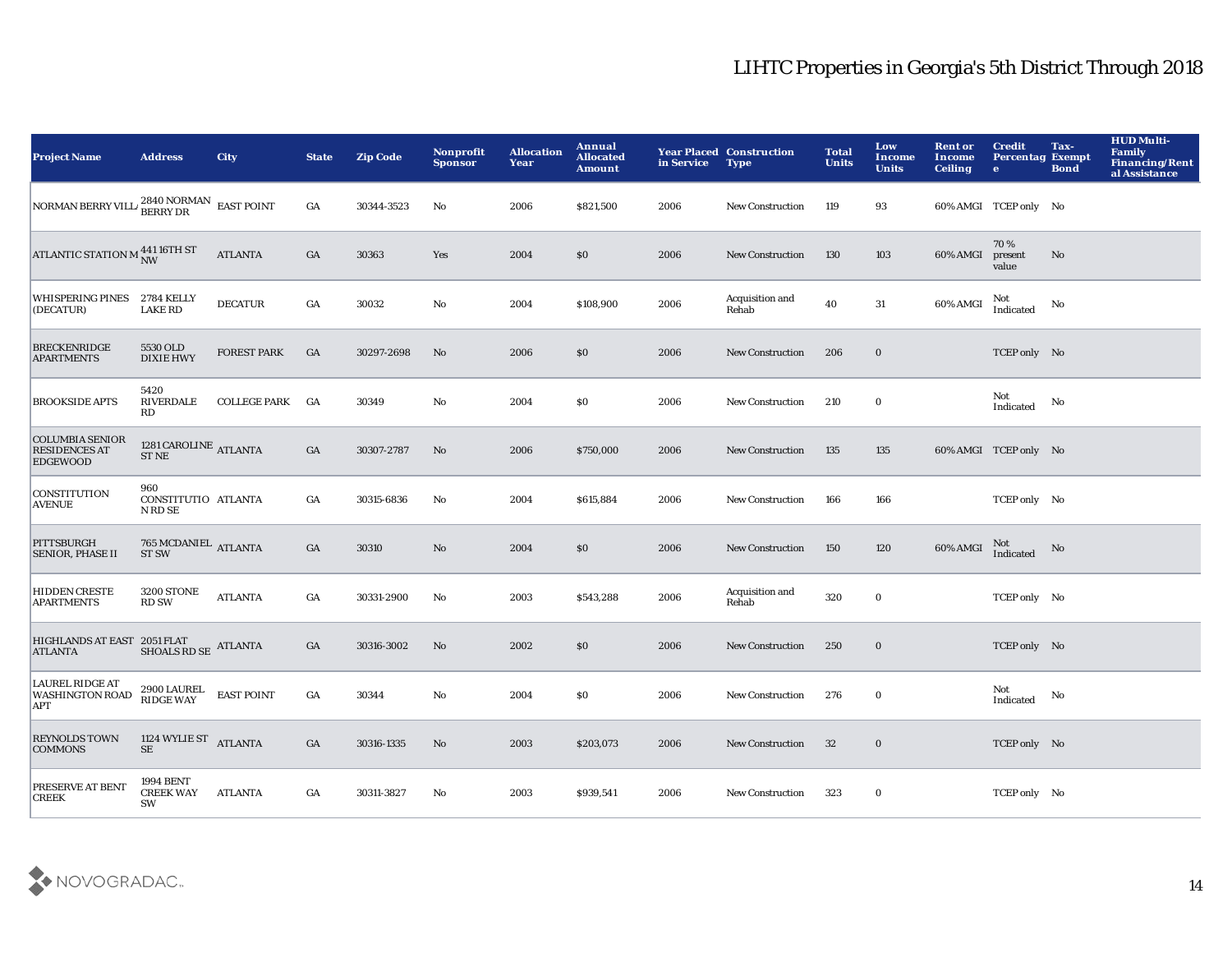| <b>Project Name</b>                                               | <b>Address</b>                             | <b>City</b>        | <b>State</b>     | <b>Zip Code</b> | Nonprofit<br><b>Sponsor</b> | <b>Allocation</b><br>Year | Annual<br><b>Allocated</b><br><b>Amount</b> | in Service | <b>Year Placed Construction</b><br><b>Type</b> | <b>Total</b><br><b>Units</b> | Low<br>Income<br><b>Units</b> | <b>Rent or</b><br>Income<br><b>Ceiling</b> | <b>Credit</b><br><b>Percentag Exempt</b><br>$\bullet$ | Tax-<br><b>Bond</b>    | <b>HUD Multi-</b><br><b>Family</b><br><b>Financing/Rent</b><br>al Assistance |
|-------------------------------------------------------------------|--------------------------------------------|--------------------|------------------|-----------------|-----------------------------|---------------------------|---------------------------------------------|------------|------------------------------------------------|------------------------------|-------------------------------|--------------------------------------------|-------------------------------------------------------|------------------------|------------------------------------------------------------------------------|
| NORMAN BERRY VILL/ $^{2840}_{\rm BERRY\,DR}$ EAST POINT           |                                            |                    | GA               | 30344-3523      | No                          | 2006                      | \$821,500                                   | 2006       | <b>New Construction</b>                        | 119                          | 93                            |                                            | 60% AMGI TCEP only No                                 |                        |                                                                              |
| ATLANTIC STATION M $_{\rm NW}^{441\,16\mathrm{TH}\,\mathrm{ST}}$  |                                            | <b>ATLANTA</b>     | $_{\mathrm{GA}}$ | 30363           | Yes                         | 2004                      | \$0                                         | 2006       | <b>New Construction</b>                        | 130                          | 103                           | 60% AMGI                                   | 70%<br>present<br>value                               | $\mathbf{N}\mathbf{o}$ |                                                                              |
| WHISPERING PINES 2784 KELLY<br>(DECATUR)                          | <b>LAKE RD</b>                             | <b>DECATUR</b>     | $_{\mathrm{GA}}$ | 30032           | $\mathbf{No}$               | 2004                      | \$108,900                                   | 2006       | Acquisition and<br>Rehab                       | 40                           | 31                            | 60% AMGI                                   | Not<br>Indicated                                      | No                     |                                                                              |
| <b>BRECKENRIDGE</b><br><b>APARTMENTS</b>                          | 5530 OLD<br><b>DIXIE HWY</b>               | <b>FOREST PARK</b> | GA               | 30297-2698      | No                          | 2006                      | \$0                                         | 2006       | <b>New Construction</b>                        | 206                          | $\mathbf 0$                   |                                            | TCEP only No                                          |                        |                                                                              |
| <b>BROOKSIDE APTS</b>                                             | 5420<br>RIVERDALE<br>RD                    | COLLEGE PARK GA    |                  | 30349           | No                          | 2004                      | \$0                                         | 2006       | <b>New Construction</b>                        | 210                          | $\mathbf 0$                   |                                            | Not<br>Indicated                                      | No                     |                                                                              |
| <b>COLUMBIA SENIOR</b><br><b>RESIDENCES AT</b><br><b>EDGEWOOD</b> | 1281 CAROLINE ATLANTA<br>${\cal ST}$ NE    |                    | GA               | 30307-2787      | No                          | 2006                      | \$750,000                                   | 2006       | <b>New Construction</b>                        | 135                          | 135                           |                                            | 60% AMGI TCEP only No                                 |                        |                                                                              |
| <b>CONSTITUTION</b><br><b>AVENUE</b>                              | 960<br>CONSTITUTIO ATLANTA<br>N RD SE      |                    | GA               | 30315-6836      | No                          | 2004                      | \$615,884                                   | 2006       | <b>New Construction</b>                        | 166                          | 166                           |                                            | TCEP only No                                          |                        |                                                                              |
| PITTSBURGH<br><b>SENIOR, PHASE II</b>                             | 765 MCDANIEL ATLANTA<br>ST <sub>SW</sub>   |                    | GA               | 30310           | $\rm No$                    | 2004                      | \$0                                         | 2006       | <b>New Construction</b>                        | 150                          | 120                           | 60% AMGI                                   | Not<br>Indicated                                      | No                     |                                                                              |
| <b>HIDDEN CRESTE</b><br><b>APARTMENTS</b>                         | <b>3200 STONE</b><br><b>RD SW</b>          | <b>ATLANTA</b>     | $_{\mathrm{GA}}$ | 30331-2900      | No                          | 2003                      | \$543,288                                   | 2006       | Acquisition and<br>Rehab                       | 320                          | $\mathbf 0$                   |                                            | TCEP only No                                          |                        |                                                                              |
| HIGHLANDS AT EAST 2051 FLAT<br><b>ATLANTA</b>                     | SHOALS RD SE ATLANTA                       |                    | GA               | 30316-3002      | No                          | 2002                      | \$0                                         | 2006       | <b>New Construction</b>                        | 250                          | $\mathbf 0$                   |                                            | TCEP only No                                          |                        |                                                                              |
| <b>LAUREL RIDGE AT</b><br><b>WASHINGTON ROAD</b><br><b>APT</b>    | 2900 LAUREL<br>RIDGE WAY                   | <b>EAST POINT</b>  | $_{\mathrm{GA}}$ | 30344           | $\mathbf{No}$               | 2004                      | \$0                                         | 2006       | <b>New Construction</b>                        | 276                          | $\mathbf 0$                   |                                            | Not<br>Indicated                                      | No                     |                                                                              |
| <b>REYNOLDS TOWN</b><br><b>COMMONS</b>                            | 1124 WYLIE ST ATLANTA<br>$\rm SE$          |                    | GA               | 30316-1335      | No                          | 2003                      | \$203,073                                   | 2006       | <b>New Construction</b>                        | 32                           | $\mathbf 0$                   |                                            | TCEP only No                                          |                        |                                                                              |
| PRESERVE AT BENT<br><b>CREEK</b>                                  | <b>1994 BENT</b><br><b>CREEK WAY</b><br>SW | <b>ATLANTA</b>     | GA               | 30311-3827      | No                          | 2003                      | \$939,541                                   | 2006       | <b>New Construction</b>                        | 323                          | 0                             |                                            | TCEP only No                                          |                        |                                                                              |

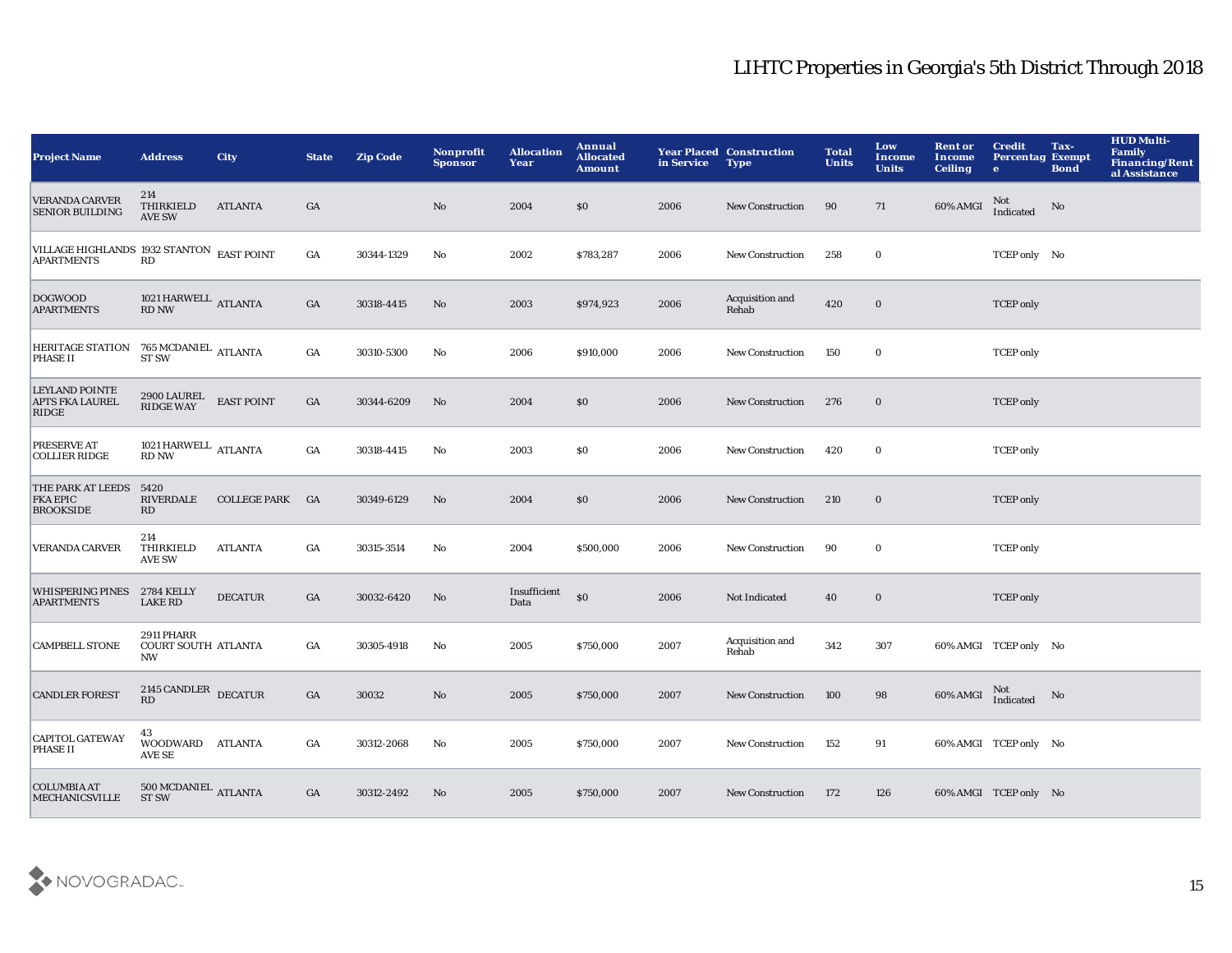| <b>Project Name</b>                                                                                                                                                                  | <b>Address</b>                                 | <b>City</b>         | <b>State</b>     | <b>Zip Code</b> | Nonprofit<br><b>Sponsor</b> | <b>Allocation</b><br>Year | Annual<br><b>Allocated</b><br><b>Amount</b> | in Service | <b>Year Placed Construction</b><br><b>Type</b> | <b>Total</b><br><b>Units</b> | Low<br>Income<br><b>Units</b> | <b>Rent or</b><br>Income<br><b>Ceiling</b> | <b>Credit</b><br><b>Percentag Exempt</b><br>$\bullet$ | Tax-<br><b>Bond</b> | <b>HUD Multi-</b><br>Family<br><b>Financing/Rent</b><br>al Assistance |
|--------------------------------------------------------------------------------------------------------------------------------------------------------------------------------------|------------------------------------------------|---------------------|------------------|-----------------|-----------------------------|---------------------------|---------------------------------------------|------------|------------------------------------------------|------------------------------|-------------------------------|--------------------------------------------|-------------------------------------------------------|---------------------|-----------------------------------------------------------------------|
| <b>VERANDA CARVER</b><br><b>SENIOR BUILDING</b>                                                                                                                                      | 214<br>THIRKIELD<br><b>AVE SW</b>              | <b>ATLANTA</b>      | GA               |                 | No                          | 2004                      | \$0                                         | 2006       | <b>New Construction</b>                        | 90                           | 71                            | 60% AMGI                                   | Not<br>Indicated                                      | No                  |                                                                       |
| VILLAGE HIGHLANDS 1932 STANTON EAST POINT<br><b>APARTMENTS</b>                                                                                                                       | RD                                             |                     | $_{\mathrm{GA}}$ | 30344-1329      | No                          | 2002                      | \$783,287                                   | 2006       | <b>New Construction</b>                        | 258                          | $\bf{0}$                      |                                            | TCEP only No                                          |                     |                                                                       |
| <b>DOGWOOD</b><br><b>APARTMENTS</b>                                                                                                                                                  | $1021\,\mathrm{HARMELL}$ ATLANTA RD NW         |                     | GA               | 30318-4415      | No                          | 2003                      | \$974,923                                   | 2006       | Acquisition and<br>Rehab                       | 420                          | $\bf{0}$                      |                                            | <b>TCEP</b> only                                      |                     |                                                                       |
| $\begin{tabular}{ll} HERITAGE STATION & 765 MCDANIEL \\ PHASE II & ST SW \\ \end{tabular} \begin{tabular}{ll} \bf{HERTAGE} & \bf{ATLANTA} \\ \bf{STSW} & \bf{STSW} \\ \end{tabular}$ |                                                |                     | $_{\mathrm{GA}}$ | 30310-5300      | No                          | 2006                      | \$910,000                                   | 2006       | <b>New Construction</b>                        | 150                          | $\bf{0}$                      |                                            | <b>TCEP</b> only                                      |                     |                                                                       |
| <b>LEYLAND POINTE</b><br><b>APTS FKA LAUREL</b><br>RIDGE                                                                                                                             | 2900 LAUREL<br>RIDGE WAY                       | <b>EAST POINT</b>   | GA               | 30344-6209      | No                          | 2004                      | \$0                                         | 2006       | <b>New Construction</b>                        | 276                          | $\bf{0}$                      |                                            | <b>TCEP</b> only                                      |                     |                                                                       |
| PRESERVE AT<br><b>COLLIER RIDGE</b>                                                                                                                                                  | 1021 HARWELL ATLANTA<br><b>RD NW</b>           |                     | $_{\mathrm{GA}}$ | 30318-4415      | No                          | 2003                      | \$0                                         | 2006       | <b>New Construction</b>                        | 420                          | $\bf{0}$                      |                                            | <b>TCEP</b> only                                      |                     |                                                                       |
| THE PARK AT LEEDS<br><b>FKA EPIC</b><br><b>BROOKSIDE</b>                                                                                                                             | 5420<br><b>RIVERDALE</b><br>RD                 | <b>COLLEGE PARK</b> | <b>GA</b>        | 30349-6129      | No                          | 2004                      | \$0                                         | 2006       | <b>New Construction</b>                        | 210                          | $\bf{0}$                      |                                            | <b>TCEP</b> only                                      |                     |                                                                       |
| VERANDA CARVER                                                                                                                                                                       | 214<br>THIRKIELD<br><b>AVE SW</b>              | <b>ATLANTA</b>      | GA               | 30315-3514      | No                          | 2004                      | \$500,000                                   | 2006       | <b>New Construction</b>                        | 90                           | $\bf{0}$                      |                                            | <b>TCEP</b> only                                      |                     |                                                                       |
| WHISPERING PINES 2784 KELLY<br><b>APARTMENTS</b>                                                                                                                                     | <b>LAKE RD</b>                                 | <b>DECATUR</b>      | GA               | 30032-6420      | No                          | Insufficient<br>Data      | \$0                                         | 2006       | Not Indicated                                  | 40                           | $\mathbf 0$                   |                                            | <b>TCEP</b> only                                      |                     |                                                                       |
| <b>CAMPBELL STONE</b>                                                                                                                                                                | <b>2911 PHARR</b><br>COURT SOUTH ATLANTA<br>NW |                     | GA               | 30305-4918      | No                          | 2005                      | \$750,000                                   | 2007       | Acquisition and<br>Rehab                       | 342                          | 307                           |                                            | 60% AMGI TCEP only No                                 |                     |                                                                       |
| <b>CANDLER FOREST</b>                                                                                                                                                                | 2145 CANDLER DECATUR<br>RD                     |                     | $_{\mathrm{GA}}$ | 30032           | No                          | 2005                      | \$750,000                                   | 2007       | <b>New Construction</b>                        | 100                          | 98                            | 60% AMGI                                   | Not<br>Indicated                                      | No                  |                                                                       |
| <b>CAPITOL GATEWAY</b><br><b>PHASE II</b>                                                                                                                                            | 43<br>WOODWARD ATLANTA<br>AVE SE               |                     | GA               | 30312-2068      | No                          | 2005                      | \$750,000                                   | 2007       | <b>New Construction</b>                        | 152                          | 91                            |                                            | 60% AMGI TCEP only No                                 |                     |                                                                       |
| <b>COLUMBIA AT</b><br><b>MECHANICSVILLE</b>                                                                                                                                          | 500 MCDANIEL ATLANTA<br><b>ST SW</b>           |                     | GA               | 30312-2492      | No                          | 2005                      | \$750,000                                   | 2007       | <b>New Construction</b>                        | 172                          | 126                           |                                            | 60% AMGI TCEP only No                                 |                     |                                                                       |

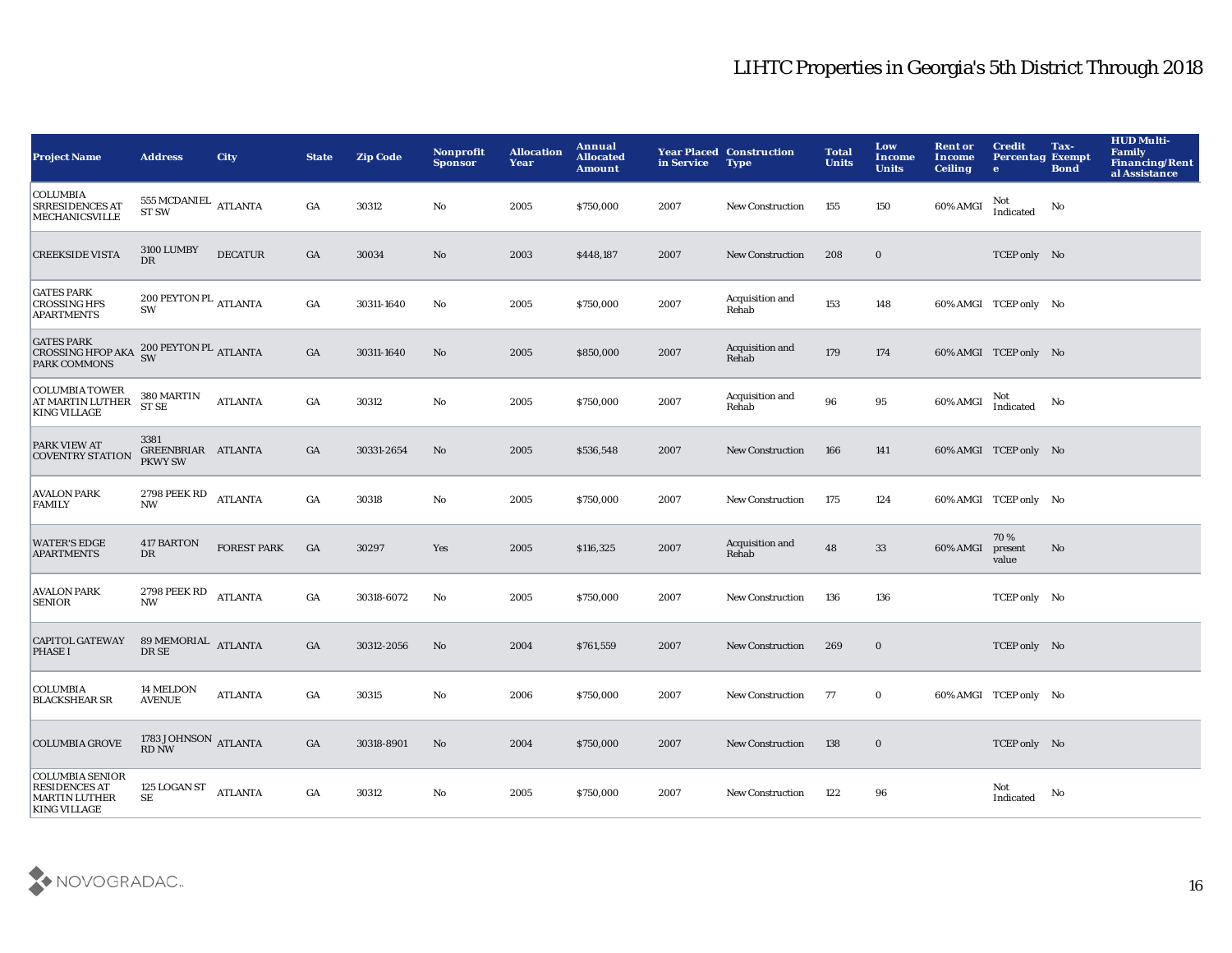| <b>Project Name</b>                                                                           | <b>Address</b>                               | <b>City</b>        | <b>State</b>     | <b>Zip Code</b> | Nonprofit<br><b>Sponsor</b> | <b>Allocation</b><br>Year | Annual<br><b>Allocated</b><br><b>Amount</b> | in Service | <b>Year Placed Construction</b><br><b>Type</b> | <b>Total</b><br><b>Units</b> | Low<br>Income<br><b>Units</b> | <b>Rent or</b><br>Income<br><b>Ceiling</b> | <b>Credit</b><br><b>Percentag Exempt</b><br>$\bullet$ | Tax-<br><b>Bond</b>    | <b>HUD Multi-</b><br><b>Family</b><br><b>Financing/Rent</b><br>al Assistance |
|-----------------------------------------------------------------------------------------------|----------------------------------------------|--------------------|------------------|-----------------|-----------------------------|---------------------------|---------------------------------------------|------------|------------------------------------------------|------------------------------|-------------------------------|--------------------------------------------|-------------------------------------------------------|------------------------|------------------------------------------------------------------------------|
| <b>COLUMBIA</b><br><b>SRRESIDENCES AT</b><br><b>MECHANICSVILLE</b>                            | 555 MCDANIEL $\,$ ATLANTA<br><b>ST SW</b>    |                    | GA               | 30312           | No                          | 2005                      | \$750,000                                   | 2007       | <b>New Construction</b>                        | 155                          | 150                           | 60% AMGI                                   | Not<br>Indicated                                      | No                     |                                                                              |
| <b>CREEKSIDE VISTA</b>                                                                        | <b>3100 LUMBY</b><br>$_{\rm DR}$             | <b>DECATUR</b>     | $_{\mathrm{GA}}$ | 30034           | $\mathbf{N}\mathbf{o}$      | 2003                      | \$448,187                                   | 2007       | <b>New Construction</b>                        | 208                          | $\bf{0}$                      |                                            | TCEP only No                                          |                        |                                                                              |
| <b>GATES PARK</b><br><b>CROSSING HFS</b><br><b>APARTMENTS</b>                                 | 200 PEYTON PL $_{\rm ATLANTA}$<br><b>SW</b>  |                    | $_{\mathrm{GA}}$ | 30311-1640      | No                          | 2005                      | \$750,000                                   | 2007       | Acquisition and<br>Rehab                       | 153                          | 148                           |                                            | 60% AMGI TCEP only No                                 |                        |                                                                              |
| <b>GATES PARK</b><br>CROSSING HFOP AKA SW<br><b>PARK COMMONS</b>                              | $200$ PEYTON PL $_{\rm ATLANTA}$             |                    | GA               | 30311-1640      | No                          | 2005                      | \$850,000                                   | 2007       | Acquisition and<br>Rehab                       | 179                          | 174                           |                                            | 60% AMGI TCEP only No                                 |                        |                                                                              |
| <b>COLUMBIA TOWER</b><br>AT MARTIN LUTHER<br><b>KING VILLAGE</b>                              | 380 MARTIN<br><b>ST SE</b>                   | <b>ATLANTA</b>     | GA               | 30312           | $\mathbf{No}$               | 2005                      | \$750,000                                   | 2007       | Acquisition and<br>Rehab                       | 96                           | 95                            | 60% AMGI                                   | Not<br>Indicated                                      | No                     |                                                                              |
| PARK VIEW AT<br><b>COVENTRY STATION</b>                                                       | 3381<br>GREENBRIAR ATLANTA<br><b>PKWY SW</b> |                    | GA               | 30331-2654      | No                          | 2005                      | \$536,548                                   | 2007       | <b>New Construction</b>                        | 166                          | 141                           |                                            | 60% AMGI TCEP only No                                 |                        |                                                                              |
| <b>AVALON PARK</b><br><b>FAMILY</b>                                                           | 2798 PEEK RD ATLANTA<br><b>NW</b>            |                    | $_{\mathrm{GA}}$ | 30318           | No                          | 2005                      | \$750,000                                   | 2007       | <b>New Construction</b>                        | 175                          | 124                           |                                            | 60% AMGI TCEP only No                                 |                        |                                                                              |
| <b>WATER'S EDGE</b><br><b>APARTMENTS</b>                                                      | 417 BARTON<br>DR                             | <b>FOREST PARK</b> | GA               | 30297           | Yes                         | 2005                      | \$116,325                                   | 2007       | Acquisition and<br>Rehab                       | 48                           | 33                            | 60% AMGI                                   | 70%<br>present<br>value                               | $\mathbf{N}\mathbf{o}$ |                                                                              |
| <b>AVALON PARK</b><br><b>SENIOR</b>                                                           | 2798 PEEK RD<br><b>NW</b>                    | <b>ATLANTA</b>     | GA               | 30318-6072      | $\mathbf{No}$               | 2005                      | \$750,000                                   | 2007       | <b>New Construction</b>                        | 136                          | 136                           |                                            | TCEP only No                                          |                        |                                                                              |
| <b>CAPITOL GATEWAY</b><br><b>PHASE I</b>                                                      | 89 MEMORIAL ATLANTA<br>DR SE                 |                    | GA               | 30312-2056      | No                          | 2004                      | \$761,559                                   | 2007       | <b>New Construction</b>                        | 269                          | $\bf{0}$                      |                                            | TCEP only No                                          |                        |                                                                              |
| <b>COLUMBIA</b><br><b>BLACKSHEAR SR</b>                                                       | 14 MELDON<br><b>AVENUE</b>                   | <b>ATLANTA</b>     | GA               | 30315           | No                          | 2006                      | \$750,000                                   | 2007       | <b>New Construction</b>                        | 77                           | $\bf{0}$                      |                                            | 60% AMGI TCEP only No                                 |                        |                                                                              |
| <b>COLUMBIA GROVE</b>                                                                         | $1783\, \rm{JOHNSON}$ ATLANTA RD NW          |                    | GA               | 30318-8901      | No                          | 2004                      | \$750,000                                   | 2007       | <b>New Construction</b>                        | 138                          | $\mathbf 0$                   |                                            | TCEP only No                                          |                        |                                                                              |
| <b>COLUMBIA SENIOR</b><br><b>RESIDENCES AT</b><br><b>MARTIN LUTHER</b><br><b>KING VILLAGE</b> | 125 LOGAN ST<br>SE                           | <b>ATLANTA</b>     | GA               | 30312           | No                          | 2005                      | \$750,000                                   | 2007       | <b>New Construction</b>                        | 122                          | 96                            |                                            | Not<br>Indicated                                      | No                     |                                                                              |

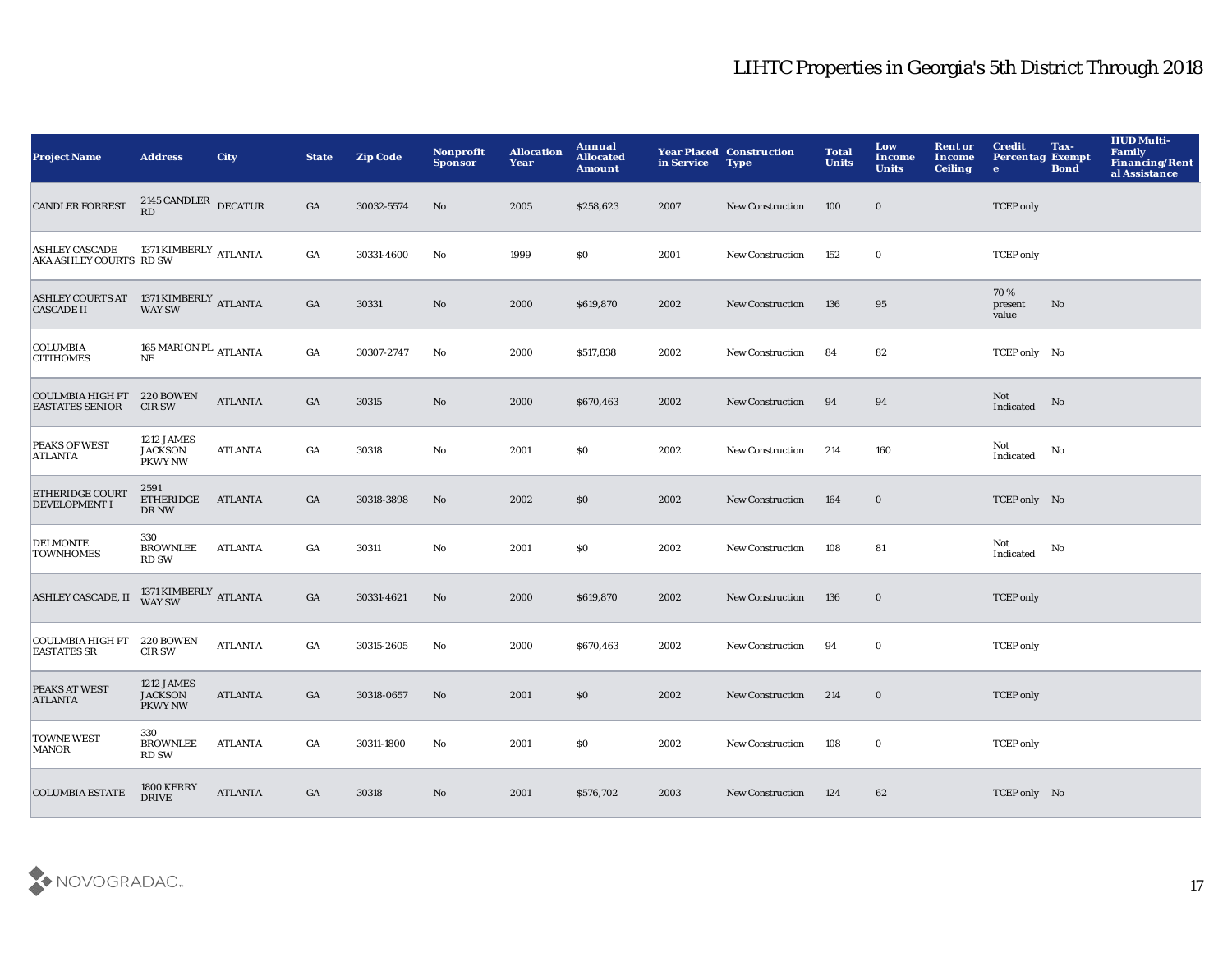| <b>Project Name</b>                                                                                                                                                                   | <b>Address</b>                                 | <b>City</b>    | <b>State</b>     | <b>Zip Code</b> | <b>Nonprofit</b><br><b>Sponsor</b> | <b>Allocation</b><br>Year | Annual<br><b>Allocated</b><br><b>Amount</b> | in Service | <b>Year Placed Construction</b><br><b>Type</b> | <b>Total</b><br><b>Units</b> | Low<br><b>Income</b><br><b>Units</b> | <b>Rent or</b><br>Income<br><b>Ceiling</b> | <b>Credit</b><br><b>Percentag Exempt</b><br>$\mathbf{e}$ | Tax-<br><b>Bond</b> | <b>HUD Multi-</b><br><b>Family</b><br><b>Financing/Rent</b><br>al Assistance |
|---------------------------------------------------------------------------------------------------------------------------------------------------------------------------------------|------------------------------------------------|----------------|------------------|-----------------|------------------------------------|---------------------------|---------------------------------------------|------------|------------------------------------------------|------------------------------|--------------------------------------|--------------------------------------------|----------------------------------------------------------|---------------------|------------------------------------------------------------------------------|
| <b>CANDLER FORREST</b>                                                                                                                                                                | $2145$ CANDLER DECATUR RD                      |                | GA               | 30032-5574      | No                                 | 2005                      | \$258,623                                   | 2007       | <b>New Construction</b>                        | 100                          | $\bf{0}$                             |                                            | <b>TCEP</b> only                                         |                     |                                                                              |
| $\begin{array}{ll} \textbf{ASHLEY CASCADE} & \textbf{1371 KIMBERLY} \\ \textbf{AKA ASHLEY COURTS} & \textbf{RD SW} \end{array} \begin{array}{ll} \textbf{ATLANTA} \end{array}$        |                                                |                | $_{\mathrm{GA}}$ | 30331-4600      | No                                 | 1999                      | \$0                                         | 2001       | New Construction                               | 152                          | $\mathbf 0$                          |                                            | <b>TCEP</b> only                                         |                     |                                                                              |
| ${\small \begin{tabular}{ll} ASHLEY \textbf{COURTS AT} & \textbf{1371 KIMBERLY} \\ CASCADE \textbf{II} & \textbf{WAY SW} \end{tabular} \begin{tabular}{ll} \end{tabular} \normalsize$ |                                                |                | GA               | 30331           | $\mathbf{No}$                      | 2000                      | \$619,870                                   | 2002       | <b>New Construction</b>                        | 136                          | 95                                   |                                            | 70%<br>present<br>value                                  | No                  |                                                                              |
| <b>COLUMBIA</b><br><b>CITIHOMES</b>                                                                                                                                                   | 165 MARION PL $_{\rm ATLANTA}$<br>$_{\rm NE}$  |                | $_{\mathrm{GA}}$ | 30307-2747      | No                                 | 2000                      | \$517,838                                   | 2002       | New Construction                               | 84                           | 82                                   |                                            | TCEP only No                                             |                     |                                                                              |
| <b>COULMBIA HIGH PT</b><br><b>EASTATES SENIOR</b>                                                                                                                                     | 220 BOWEN<br><b>CIR SW</b>                     | <b>ATLANTA</b> | GA               | 30315           | No                                 | 2000                      | \$670,463                                   | 2002       | <b>New Construction</b>                        | 94                           | 94                                   |                                            | Not<br>Indicated                                         | No                  |                                                                              |
| PEAKS OF WEST<br><b>ATLANTA</b>                                                                                                                                                       | 1212 JAMES<br><b>JACKSON</b><br><b>PKWY NW</b> | <b>ATLANTA</b> | GA               | 30318           | No                                 | 2001                      | <b>SO</b>                                   | 2002       | <b>New Construction</b>                        | 214                          | 160                                  |                                            | Not<br>Indicated                                         | No                  |                                                                              |
| <b>ETHERIDGE COURT</b><br><b>DEVELOPMENT I</b>                                                                                                                                        | 2591<br>ETHERIDGE<br>$\rm DR~NW$               | <b>ATLANTA</b> | GA               | 30318-3898      | No                                 | 2002                      | \$0                                         | 2002       | <b>New Construction</b>                        | 164                          | $\bf{0}$                             |                                            | TCEP only No                                             |                     |                                                                              |
| <b>DELMONTE</b><br><b>TOWNHOMES</b>                                                                                                                                                   | 330<br><b>BROWNLEE</b><br><b>RD SW</b>         | <b>ATLANTA</b> | GA               | 30311           | No                                 | 2001                      | \$0                                         | 2002       | New Construction                               | 108                          | 81                                   |                                            | Not<br>Indicated                                         | No                  |                                                                              |
| ASHLEY CASCADE, II                                                                                                                                                                    | $1371\,$ KIMBERLY ATLANTA WAY SW               |                | GA               | 30331-4621      | No                                 | 2000                      | \$619,870                                   | 2002       | <b>New Construction</b>                        | 136                          | $\bf{0}$                             |                                            | <b>TCEP</b> only                                         |                     |                                                                              |
| COULMBIA HIGH PT<br><b>EASTATES SR</b>                                                                                                                                                | 220 BOWEN<br><b>CIR SW</b>                     | <b>ATLANTA</b> | GA               | 30315-2605      | No                                 | 2000                      | \$670,463                                   | 2002       | New Construction                               | 94                           | $\bf{0}$                             |                                            | <b>TCEP</b> only                                         |                     |                                                                              |
| <b>PEAKS AT WEST</b><br><b>ATLANTA</b>                                                                                                                                                | 1212 JAMES<br><b>JACKSON</b><br><b>PKWY NW</b> | <b>ATLANTA</b> | GA               | 30318-0657      | No                                 | 2001                      | \$0                                         | 2002       | <b>New Construction</b>                        | 214                          | $\bf{0}$                             |                                            | <b>TCEP</b> only                                         |                     |                                                                              |
| <b>TOWNE WEST</b><br><b>MANOR</b>                                                                                                                                                     | 330<br><b>BROWNLEE</b><br><b>RD SW</b>         | <b>ATLANTA</b> | GA               | 30311-1800      | No                                 | 2001                      | <b>SO</b>                                   | 2002       | <b>New Construction</b>                        | 108                          | $\bf{0}$                             |                                            | <b>TCEP</b> only                                         |                     |                                                                              |
| <b>COLUMBIA ESTATE</b>                                                                                                                                                                | 1800 KERRY<br><b>DRIVE</b>                     | <b>ATLANTA</b> | GA               | 30318           | No                                 | 2001                      | \$576,702                                   | 2003       | <b>New Construction</b>                        | 124                          | 62                                   |                                            | TCEP only No                                             |                     |                                                                              |

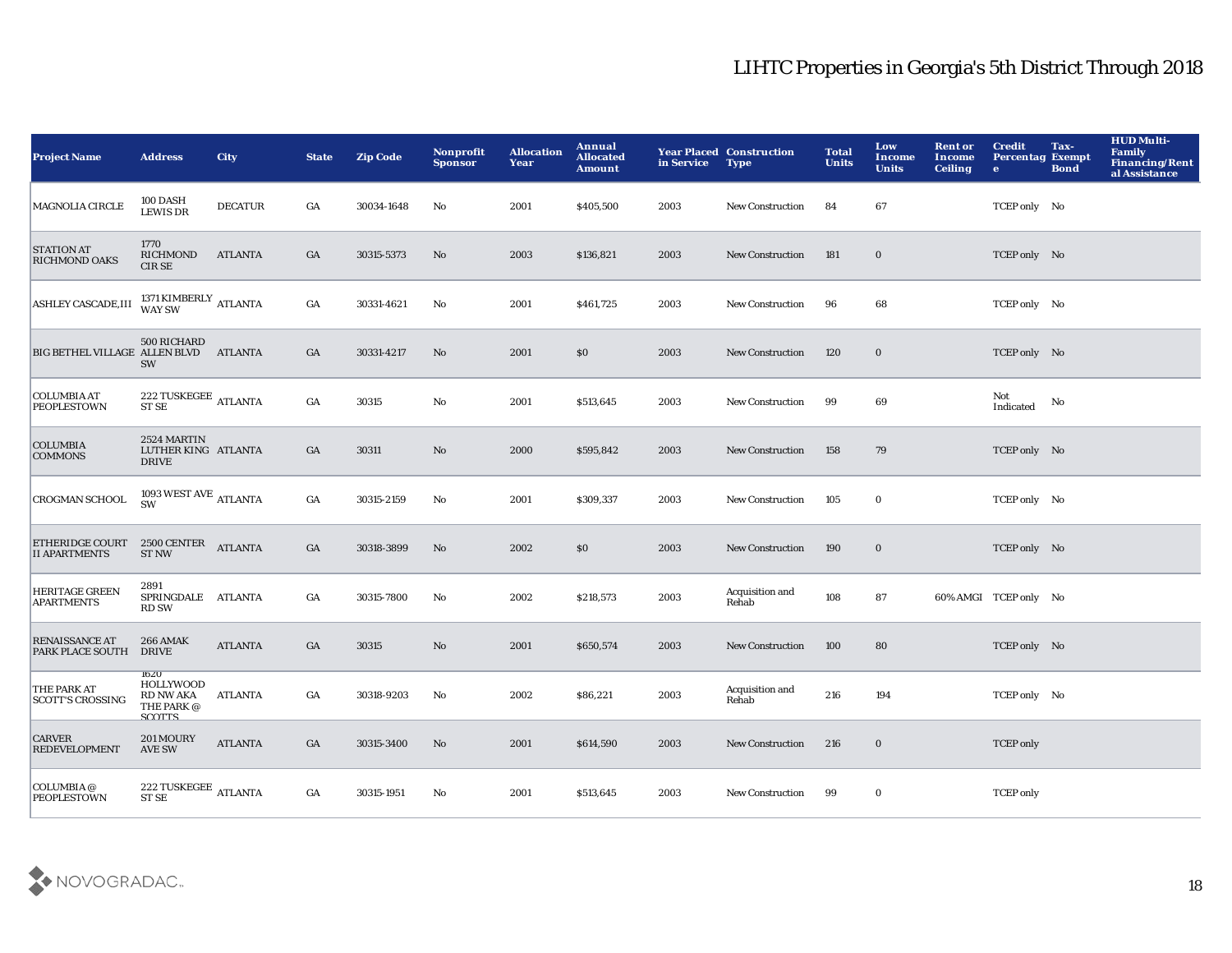| <b>Project Name</b>                       | <b>Address</b>                                                              | <b>City</b>    | <b>State</b>     | <b>Zip Code</b> | Nonprofit<br><b>Sponsor</b> | <b>Allocation</b><br>Year | Annual<br><b>Allocated</b><br><b>Amount</b> | in Service | <b>Year Placed Construction</b><br><b>Type</b> | <b>Total</b><br><b>Units</b> | Low<br>Income<br><b>Units</b> | <b>Rent or</b><br>Income<br><b>Ceiling</b> | <b>Credit</b><br><b>Percentag Exempt</b><br>$\bullet$ | Tax-<br><b>Bond</b> | <b>HUD Multi-</b><br><b>Family</b><br><b>Financing/Rent</b><br>al Assistance |
|-------------------------------------------|-----------------------------------------------------------------------------|----------------|------------------|-----------------|-----------------------------|---------------------------|---------------------------------------------|------------|------------------------------------------------|------------------------------|-------------------------------|--------------------------------------------|-------------------------------------------------------|---------------------|------------------------------------------------------------------------------|
| MAGNOLIA CIRCLE                           | 100 DASH<br><b>LEWIS DR</b>                                                 | <b>DECATUR</b> | GA               | 30034-1648      | No                          | 2001                      | \$405,500                                   | 2003       | New Construction                               | 84                           | 67                            |                                            | TCEP only No                                          |                     |                                                                              |
| <b>STATION AT</b><br><b>RICHMOND OAKS</b> | 1770<br>RICHMOND<br><b>CIRSE</b>                                            | <b>ATLANTA</b> | GA               | 30315-5373      | $\mathbf{N}\mathbf{o}$      | 2003                      | \$136,821                                   | 2003       | <b>New Construction</b>                        | 181                          | $\bf{0}$                      |                                            | TCEP only No                                          |                     |                                                                              |
| ASHLEY CASCADE, III                       | $1371\,$ KIMBERLY ATLANTA WAY SW                                            |                | GA               | 30331-4621      | No                          | 2001                      | \$461,725                                   | 2003       | <b>New Construction</b>                        | 96                           | 68                            |                                            | TCEP only No                                          |                     |                                                                              |
| BIG BETHEL VILLAGE ALLEN BLVD             | 500 RICHARD<br>SW                                                           | <b>ATLANTA</b> | GA               | 30331-4217      | $\mathbf{No}$               | 2001                      | \$0                                         | 2003       | New Construction                               | 120                          | $\bf{0}$                      |                                            | TCEP only No                                          |                     |                                                                              |
| <b>COLUMBIA AT</b><br><b>PEOPLESTOWN</b>  | $222$ TUSKEGEE $\,$ ATLANTA ST SE                                           |                | $_{\mathrm{GA}}$ | 30315           | No                          | 2001                      | \$513,645                                   | 2003       | New Construction                               | 99                           | 69                            |                                            | Not<br>$\label{lem:indicated} \textbf{Indicated}$     | No                  |                                                                              |
| <b>COLUMBIA</b><br><b>COMMONS</b>         | 2524 MARTIN<br>LUTHER KING ATLANTA<br><b>DRIVE</b>                          |                | GA               | 30311           | No                          | 2000                      | \$595,842                                   | 2003       | <b>New Construction</b>                        | 158                          | 79                            |                                            | TCEP only No                                          |                     |                                                                              |
| <b>CROGMAN SCHOOL</b>                     | 1093 WEST AVE $_{\rm ATLANTA}$<br>SW                                        |                | GA               | 30315-2159      | No                          | 2001                      | \$309,337                                   | 2003       | <b>New Construction</b>                        | 105                          | $\bf{0}$                      |                                            | TCEP only No                                          |                     |                                                                              |
| ETHERIDGE COURT<br><b>II APARTMENTS</b>   | 2500 CENTER<br><b>ST NW</b>                                                 | <b>ATLANTA</b> | $_{\mathrm{GA}}$ | 30318-3899      | No                          | 2002                      | \$0                                         | 2003       | <b>New Construction</b>                        | 190                          | $\mathbf 0$                   |                                            | TCEP only No                                          |                     |                                                                              |
| HERITAGE GREEN<br><b>APARTMENTS</b>       | 2891<br>SPRINGDALE ATLANTA<br><b>RD SW</b>                                  |                | GA               | 30315-7800      | No                          | 2002                      | \$218,573                                   | 2003       | Acquisition and<br>Rehab                       | 108                          | 87                            |                                            | 60% AMGI TCEP only No                                 |                     |                                                                              |
| <b>RENAISSANCE AT</b><br>PARK PLACE SOUTH | <b>266 AMAK</b><br><b>DRIVE</b>                                             | <b>ATLANTA</b> | $_{\mathrm{GA}}$ | 30315           | $\mathbf{N}\mathbf{o}$      | 2001                      | \$650,574                                   | 2003       | <b>New Construction</b>                        | 100                          | 80                            |                                            | TCEP only No                                          |                     |                                                                              |
| THE PARK AT<br><b>SCOTT'S CROSSING</b>    | <b>1620</b><br><b>HOLLYWOOD</b><br><b>RD NW AKA</b><br>THE PARK @<br>SCOTTS | <b>ATLANTA</b> | GA               | 30318-9203      | No                          | 2002                      | \$86,221                                    | 2003       | Acquisition and<br>Rehab                       | 216                          | 194                           |                                            | TCEP only No                                          |                     |                                                                              |
| <b>CARVER</b><br><b>REDEVELOPMENT</b>     | <b>201 MOURY</b><br><b>AVE SW</b>                                           | <b>ATLANTA</b> | GA               | 30315-3400      | No                          | 2001                      | \$614,590                                   | 2003       | <b>New Construction</b>                        | 216                          | $\bf{0}$                      |                                            | <b>TCEP</b> only                                      |                     |                                                                              |
| COLUMBIA @<br><b>PEOPLESTOWN</b>          | 222 TUSKEGEE $_{\rm ATLANTA}$<br><b>ST SE</b>                               |                | GA               | 30315-1951      | No                          | 2001                      | \$513,645                                   | 2003       | <b>New Construction</b>                        | 99                           | $\bf{0}$                      |                                            | <b>TCEP</b> only                                      |                     |                                                                              |

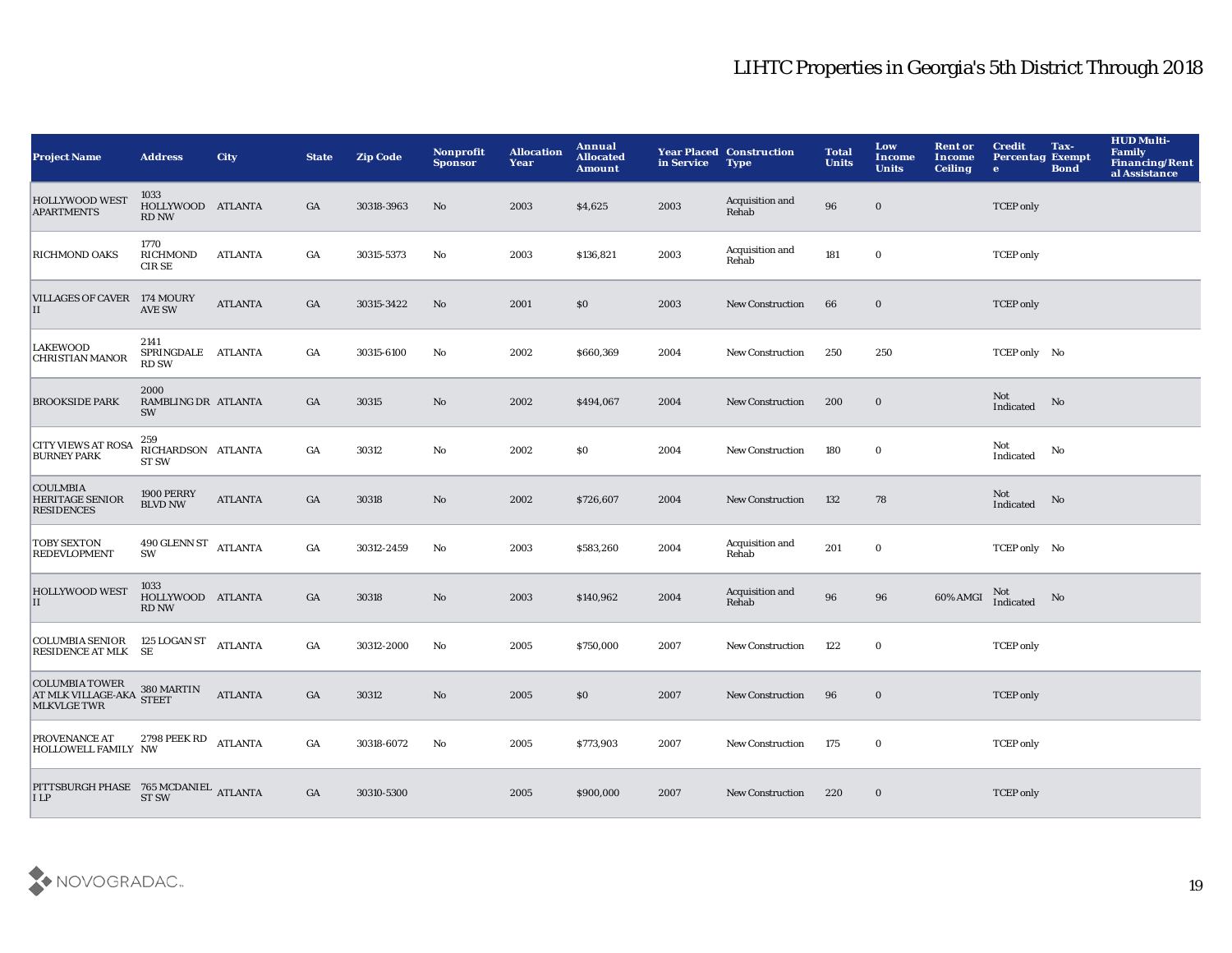| <b>Project Name</b>                                                                                                         | <b>Address</b>                             | <b>City</b>    | <b>State</b>     | <b>Zip Code</b> | Nonprofit<br><b>Sponsor</b> | <b>Allocation</b><br>Year | Annual<br><b>Allocated</b><br><b>Amount</b> | in Service | <b>Year Placed Construction</b><br><b>Type</b> | <b>Total</b><br><b>Units</b> | Low<br><b>Income</b><br><b>Units</b> | <b>Rent or</b><br>Income<br><b>Ceiling</b> | <b>Credit</b><br><b>Percentag Exempt</b><br>$\bullet$ | Tax-<br><b>Bond</b> | <b>HUD Multi-</b><br><b>Family</b><br><b>Financing/Rent</b><br>al Assistance |
|-----------------------------------------------------------------------------------------------------------------------------|--------------------------------------------|----------------|------------------|-----------------|-----------------------------|---------------------------|---------------------------------------------|------------|------------------------------------------------|------------------------------|--------------------------------------|--------------------------------------------|-------------------------------------------------------|---------------------|------------------------------------------------------------------------------|
| <b>HOLLYWOOD WEST</b><br><b>APARTMENTS</b>                                                                                  | 1033<br>HOLLYWOOD ATLANTA<br>RD NW         |                | GA               | 30318-3963      | No                          | 2003                      | \$4,625                                     | 2003       | Acquisition and<br>Rehab                       | 96                           | $\bf{0}$                             |                                            | <b>TCEP</b> only                                      |                     |                                                                              |
| <b>RICHMOND OAKS</b>                                                                                                        | 1770<br>RICHMOND<br><b>CIRSE</b>           | <b>ATLANTA</b> | GA               | 30315-5373      | No                          | 2003                      | \$136,821                                   | 2003       | Acquisition and<br>Rehab                       | 181                          | $\mathbf 0$                          |                                            | <b>TCEP</b> only                                      |                     |                                                                              |
| <b>VILLAGES OF CAVER</b><br>H                                                                                               | 174 MOURY<br><b>AVE SW</b>                 | <b>ATLANTA</b> | GA               | 30315-3422      | No                          | 2001                      | \$0                                         | 2003       | <b>New Construction</b>                        | 66                           | $\bf{0}$                             |                                            | <b>TCEP</b> only                                      |                     |                                                                              |
| <b>LAKEWOOD</b><br><b>CHRISTIAN MANOR</b>                                                                                   | 2141<br>SPRINGDALE ATLANTA<br><b>RD SW</b> |                | GA               | 30315-6100      | No                          | 2002                      | \$660,369                                   | 2004       | New Construction                               | 250                          | 250                                  |                                            | TCEP only No                                          |                     |                                                                              |
| <b>BROOKSIDE PARK</b>                                                                                                       | 2000<br>RAMBLING DR ATLANTA<br><b>SW</b>   |                | GA               | 30315           | $\rm No$                    | 2002                      | \$494,067                                   | 2004       | New Construction                               | 200                          | $\bf{0}$                             |                                            | Not<br>Indicated                                      | No                  |                                                                              |
| <b>CITY VIEWS AT ROSA</b><br><b>BURNEY PARK</b>                                                                             | 259<br>RICHARDSON ATLANTA<br><b>ST SW</b>  |                | GA               | 30312           | $\mathbf {No}$              | 2002                      | \$0                                         | 2004       | <b>New Construction</b>                        | 180                          | $\mathbf 0$                          |                                            | Not<br>$\label{lem:indicated} \textbf{Indicated}$     | No                  |                                                                              |
| <b>COULMBIA</b><br><b>HERITAGE SENIOR</b><br><b>RESIDENCES</b>                                                              | 1900 PERRY<br><b>BLVD NW</b>               | <b>ATLANTA</b> | GA               | 30318           | $\mathbf{No}$               | 2002                      | \$726,607                                   | 2004       | New Construction                               | 132                          | 78                                   |                                            | Not<br>Indicated                                      | No                  |                                                                              |
| <b>TOBY SEXTON</b><br><b>REDEVLOPMENT</b>                                                                                   | 490 GLENN ST<br>SW                         | <b>ATLANTA</b> | $_{\mathrm{GA}}$ | 30312-2459      | No                          | 2003                      | \$583,260                                   | 2004       | Acquisition and<br>Rehab                       | 201                          | $\bf{0}$                             |                                            | TCEP only No                                          |                     |                                                                              |
| <b>HOLLYWOOD WEST</b><br>$\vert$ II                                                                                         | 1033<br>HOLLYWOOD ATLANTA<br>RD NW         |                | GA               | 30318           | No                          | 2003                      | \$140,962                                   | 2004       | Acquisition and<br>Rehab                       | 96                           | 96                                   | 60% AMGI                                   | Not<br>Indicated                                      | No                  |                                                                              |
| COLUMBIA SENIOR 125 LOGAN ST<br><b>RESIDENCE AT MLK</b>                                                                     | <b>SE</b>                                  | <b>ATLANTA</b> | GA               | 30312-2000      | No                          | 2005                      | \$750,000                                   | 2007       | <b>New Construction</b>                        | 122                          | $\mathbf 0$                          |                                            | <b>TCEP</b> only                                      |                     |                                                                              |
| COLUMBIA TOWER<br>AT MLK VILLAGE-AKA STEET<br><b>MLKVLGETWR</b>                                                             |                                            | <b>ATLANTA</b> | GA               | 30312           | No                          | 2005                      | \$0                                         | 2007       | <b>New Construction</b>                        | 96                           | $\bf{0}$                             |                                            | <b>TCEP</b> only                                      |                     |                                                                              |
| PROVENANCE AT<br>HOLLOWELL FAMILY NW                                                                                        | 2798 PEEK RD ATLANTA                       |                | GA               | 30318-6072      | No                          | 2005                      | \$773,903                                   | 2007       | <b>New Construction</b>                        | 175                          | $\bf{0}$                             |                                            | <b>TCEP</b> only                                      |                     |                                                                              |
| $\begin{array}{lll} {\bf PITTSBURGH PHASE} & 765 {\,\rm MCDANIEL} & {\bf ATLANTA} \\ {\bf I LP} & {\bf STSW} & \end{array}$ |                                            |                | GA               | 30310-5300      |                             | 2005                      | \$900,000                                   | 2007       | <b>New Construction</b>                        | 220                          | $\bf{0}$                             |                                            | <b>TCEP</b> only                                      |                     |                                                                              |

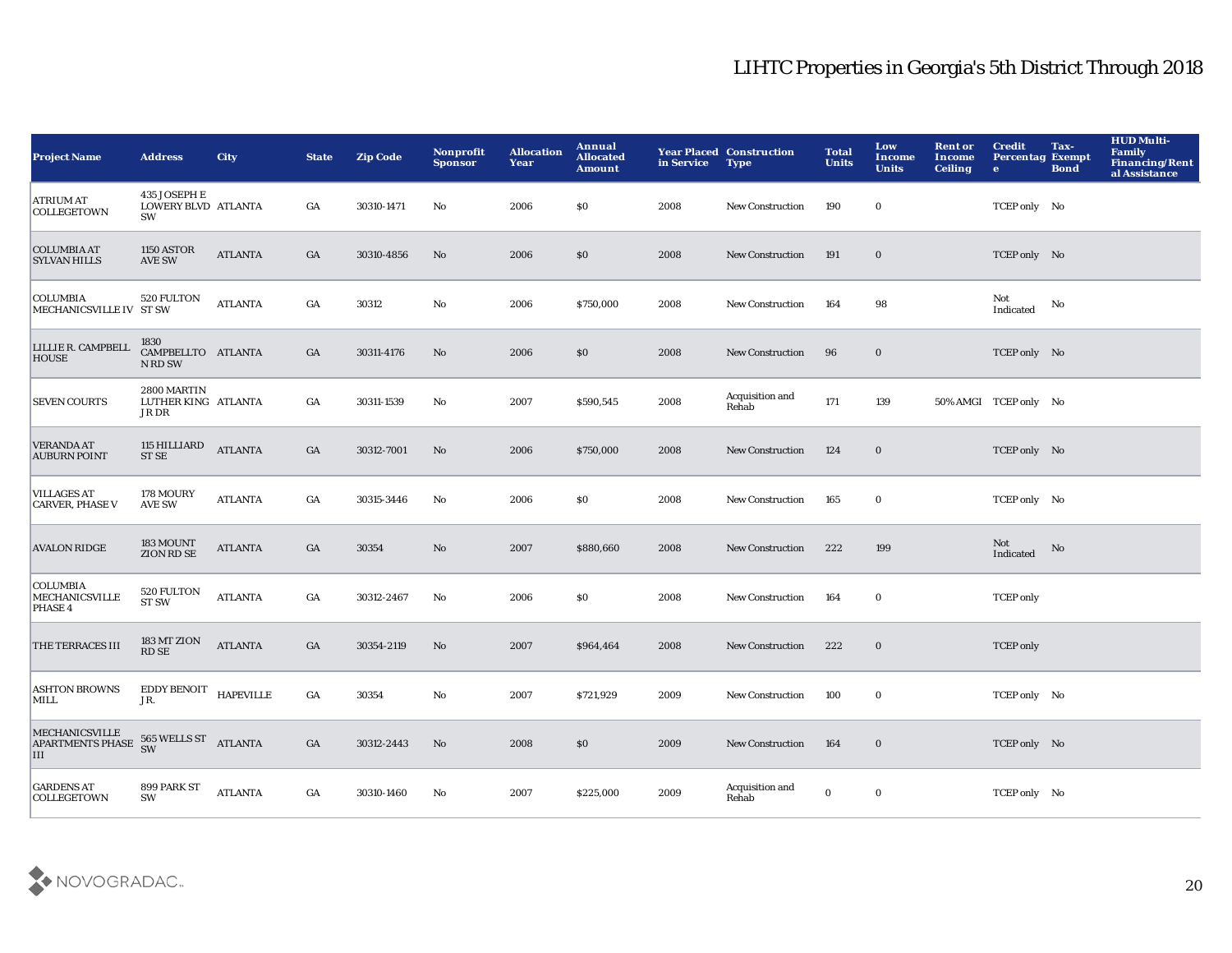| <b>Project Name</b>                                               | <b>Address</b>                              | <b>City</b>    | <b>State</b>     | <b>Zip Code</b> | Nonprofit<br><b>Sponsor</b> | <b>Allocation</b><br>Year | Annual<br><b>Allocated</b><br><b>Amount</b> | in Service | <b>Year Placed Construction</b><br><b>Type</b> | <b>Total</b><br><b>Units</b> | Low<br>Income<br><b>Units</b> | <b>Rent or</b><br>Income<br><b>Ceiling</b> | <b>Credit</b><br><b>Percentag Exempt</b><br>$\bullet$ | Tax-<br><b>Bond</b> | <b>HUD Multi-</b><br><b>Family</b><br><b>Financing/Rent</b><br>al Assistance |
|-------------------------------------------------------------------|---------------------------------------------|----------------|------------------|-----------------|-----------------------------|---------------------------|---------------------------------------------|------------|------------------------------------------------|------------------------------|-------------------------------|--------------------------------------------|-------------------------------------------------------|---------------------|------------------------------------------------------------------------------|
| <b>ATRIUM AT</b><br><b>COLLEGETOWN</b>                            | 435 JOSEPH E<br>LOWERY BLVD ATLANTA<br>SW   |                | GA               | 30310-1471      | No                          | 2006                      | \$0                                         | 2008       | <b>New Construction</b>                        | 190                          | $\bf{0}$                      |                                            | TCEP only No                                          |                     |                                                                              |
| <b>COLUMBIA AT</b><br><b>SYLVAN HILLS</b>                         | <b>1150 ASTOR</b><br><b>AVE SW</b>          | <b>ATLANTA</b> | $_{\mathrm{GA}}$ | 30310-4856      | No                          | 2006                      | \$0                                         | 2008       | <b>New Construction</b>                        | 191                          | $\bf{0}$                      |                                            | TCEP only No                                          |                     |                                                                              |
| <b>COLUMBIA</b><br>MECHANICSVILLE IV ST SW                        | 520 FULTON                                  | <b>ATLANTA</b> | $_{\mathrm{GA}}$ | 30312           | No                          | 2006                      | \$750,000                                   | 2008       | <b>New Construction</b>                        | 164                          | 98                            |                                            | Not<br>Indicated                                      | No                  |                                                                              |
| LILLIE R. CAMPBELL<br><b>HOUSE</b>                                | 1830<br>CAMPBELLTO ATLANTA<br>N RD SW       |                | GA               | 30311-4176      | No                          | 2006                      | \$0                                         | 2008       | <b>New Construction</b>                        | 96                           | $\bf{0}$                      |                                            | TCEP only No                                          |                     |                                                                              |
| <b>SEVEN COURTS</b>                                               | 2800 MARTIN<br>LUTHER KING ATLANTA<br>JR DR |                | GA               | 30311-1539      | No                          | 2007                      | \$590,545                                   | 2008       | Acquisition and<br>Rehab                       | 171                          | 139                           |                                            | 50% AMGI TCEP only No                                 |                     |                                                                              |
| <b>VERANDA AT</b><br><b>AUBURN POINT</b>                          | 115 HILLIARD<br>ST SE                       | <b>ATLANTA</b> | GA               | 30312-7001      | No                          | 2006                      | \$750,000                                   | 2008       | <b>New Construction</b>                        | 124                          | $\bf{0}$                      |                                            | TCEP only No                                          |                     |                                                                              |
| <b>VILLAGES AT</b><br><b>CARVER, PHASE V</b>                      | 178 MOURY<br><b>AVE SW</b>                  | <b>ATLANTA</b> | GA               | 30315-3446      | No                          | 2006                      | \$0                                         | 2008       | New Construction                               | 165                          | $\bf{0}$                      |                                            | TCEP only No                                          |                     |                                                                              |
| <b>AVALON RIDGE</b>                                               | 183 MOUNT<br>ZION RD SE                     | <b>ATLANTA</b> | GA               | 30354           | $\mathbf{N}\mathbf{o}$      | 2007                      | \$880,660                                   | 2008       | <b>New Construction</b>                        | 222                          | 199                           |                                            | Not<br>Indicated                                      | No                  |                                                                              |
| <b>COLUMBIA</b><br>MECHANICSVILLE<br>PHASE 4                      | 520 FULTON<br><b>ST SW</b>                  | <b>ATLANTA</b> | GA               | 30312-2467      | No                          | 2006                      | \$0                                         | 2008       | <b>New Construction</b>                        | 164                          | $\bf{0}$                      |                                            | <b>TCEP</b> only                                      |                     |                                                                              |
| THE TERRACES III                                                  | 183 MT ZION<br><b>RD SE</b>                 | <b>ATLANTA</b> | GA               | 30354-2119      | No                          | 2007                      | \$964,464                                   | 2008       | <b>New Construction</b>                        | 222                          | $\bf{0}$                      |                                            | <b>TCEP</b> only                                      |                     |                                                                              |
| <b>ASHTON BROWNS</b><br>MILL                                      | EDDY BENOIT HAPEVILLE<br>JR.                |                | GA               | 30354           | No                          | 2007                      | \$721,929                                   | 2009       | <b>New Construction</b>                        | 100                          | $\bf{0}$                      |                                            | TCEP only No                                          |                     |                                                                              |
| MECHANICSVILLE<br>APARTMENTS PHASE 565 WELLS ST<br>ATLANTA<br>III |                                             |                | GA               | 30312-2443      | No                          | 2008                      | \$0                                         | 2009       | <b>New Construction</b>                        | 164                          | $\bf{0}$                      |                                            | TCEP only No                                          |                     |                                                                              |
| <b>GARDENS AT</b><br><b>COLLEGETOWN</b>                           | 899 PARK ST<br>SW                           | <b>ATLANTA</b> | GA               | 30310-1460      | No                          | 2007                      | \$225,000                                   | 2009       | Acquisition and<br>Rehab                       | $\bf{0}$                     | $\bf{0}$                      |                                            | TCEP only No                                          |                     |                                                                              |

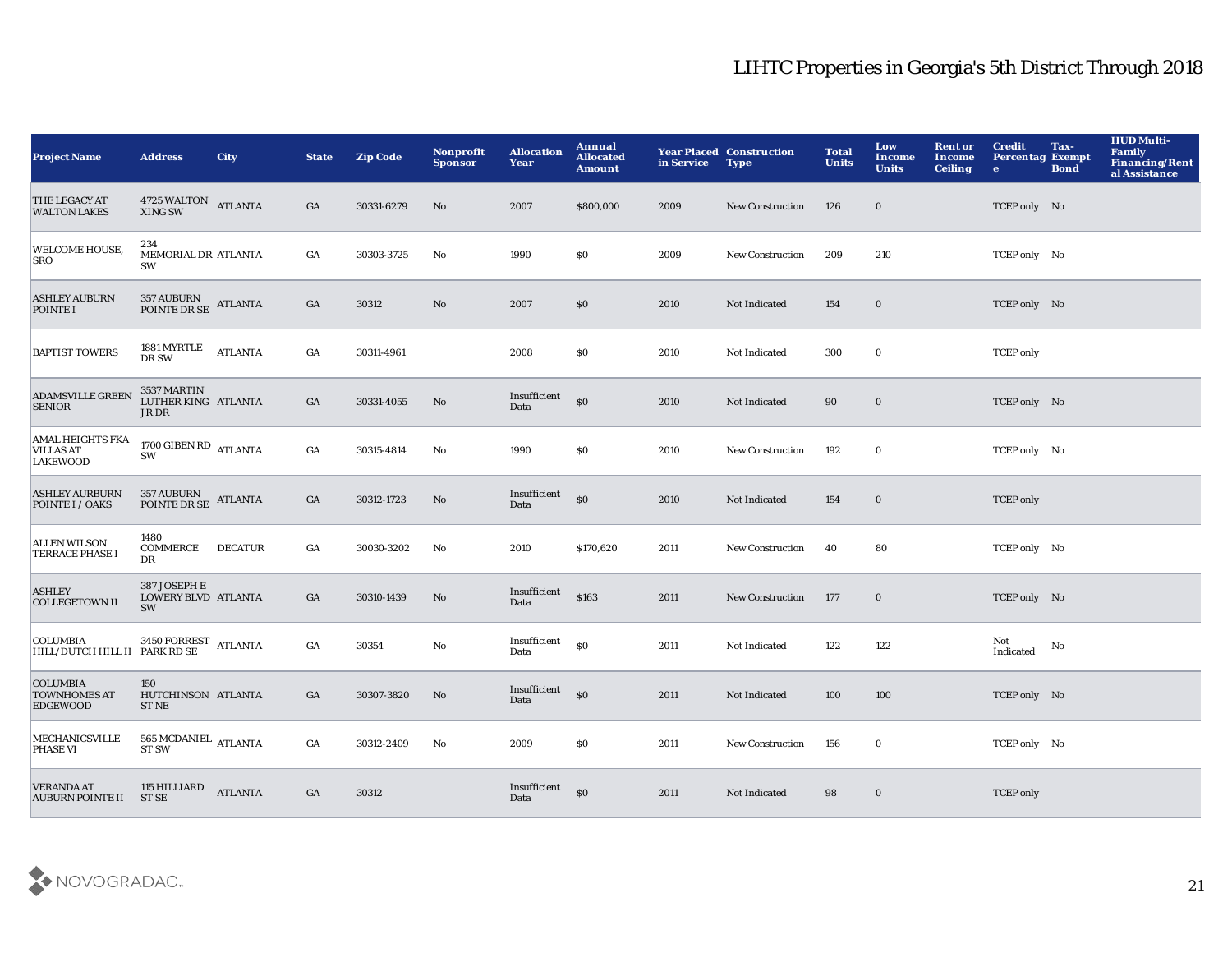| <b>Project Name</b>                                            | <b>Address</b>                                                           | <b>City</b>    | <b>State</b> | <b>Zip Code</b> | Nonprofit<br><b>Sponsor</b> | <b>Allocation</b><br>Year | Annual<br><b>Allocated</b><br><b>Amount</b> | in Service | <b>Year Placed Construction</b><br><b>Type</b> | <b>Total</b><br><b>Units</b> | Low<br><b>Income</b><br><b>Units</b> | <b>Rent or</b><br>Income<br><b>Ceiling</b> | <b>Credit</b><br><b>Percentag Exempt</b><br>$\bullet$ | Tax-<br><b>Bond</b> | <b>HUD Multi-</b><br><b>Family</b><br><b>Financing/Rent</b><br>al Assistance |
|----------------------------------------------------------------|--------------------------------------------------------------------------|----------------|--------------|-----------------|-----------------------------|---------------------------|---------------------------------------------|------------|------------------------------------------------|------------------------------|--------------------------------------|--------------------------------------------|-------------------------------------------------------|---------------------|------------------------------------------------------------------------------|
| <b>THE LEGACY AT</b><br><b>WALTON LAKES</b>                    | $4725\,\rm WALTON-ATLANTA$ XING SW                                       |                | GA           | 30331-6279      | No                          | 2007                      | \$800,000                                   | 2009       | <b>New Construction</b>                        | 126                          | $\bf{0}$                             |                                            | TCEP only No                                          |                     |                                                                              |
| WELCOME HOUSE,<br><b>SRO</b>                                   | 234<br>MEMORIAL DR ATLANTA<br>SW                                         |                | GA           | 30303-3725      | No                          | 1990                      | \$0                                         | 2009       | <b>New Construction</b>                        | 209                          | 210                                  |                                            | TCEP only No                                          |                     |                                                                              |
| <b>ASHLEY AUBURN</b><br>POINTE I                               | $357\text{ AUBURN} \newline \text{POINTE DR SE} \newline \text{ATLANTA}$ |                | GA           | 30312           | $\mathbf{N}\mathbf{o}$      | 2007                      | \$0                                         | 2010       | Not Indicated                                  | 154                          | $\bf{0}$                             |                                            | TCEP only No                                          |                     |                                                                              |
| <b>BAPTIST TOWERS</b>                                          | 1881 MYRTLE<br>DR SW                                                     | <b>ATLANTA</b> | GA           | 30311-4961      |                             | 2008                      | \$0                                         | 2010       | Not Indicated                                  | 300                          | $\bf{0}$                             |                                            | <b>TCEP</b> only                                      |                     |                                                                              |
| <b>ADAMSVILLE GREEN</b><br><b>SENIOR</b>                       | 3537 MARTIN<br>LUTHER KING ATLANTA<br>JR DR                              |                | GA           | 30331-4055      | No                          | Insufficient<br>Data      | \$0                                         | 2010       | Not Indicated                                  | 90                           | $\bf{0}$                             |                                            | TCEP only No                                          |                     |                                                                              |
| <b>AMAL HEIGHTS FKA</b><br><b>VILLAS AT</b><br><b>LAKEWOOD</b> | 1700 GIBEN RD ATLANTA<br>SW                                              |                | GA           | 30315-4814      | No                          | 1990                      | <b>SO</b>                                   | 2010       | <b>New Construction</b>                        | 192                          | $\bf{0}$                             |                                            | TCEP only No                                          |                     |                                                                              |
| <b>ASHLEY AURBURN</b><br>POINTE I / OAKS                       | 357 AUBURN<br>POINTE DR SE                                               | <b>ATLANTA</b> | GA           | 30312-1723      | No                          | Insufficient<br>Data      | $\mathbf{S}$                                | 2010       | Not Indicated                                  | 154                          | $\bf{0}$                             |                                            | <b>TCEP</b> only                                      |                     |                                                                              |
| <b>ALLEN WILSON</b><br><b>TERRACE PHASE I</b>                  | 1480<br>COMMERCE<br>DR                                                   | <b>DECATUR</b> | GA           | 30030-3202      | No                          | 2010                      | \$170,620                                   | 2011       | <b>New Construction</b>                        | 40                           | 80                                   |                                            | TCEP only No                                          |                     |                                                                              |
| <b>ASHLEY</b><br><b>COLLEGETOWN II</b>                         | 387 JOSEPH E<br>LOWERY BLVD ATLANTA<br>SW                                |                | GA           | 30310-1439      | No                          | Insufficient<br>Data      | \$163                                       | 2011       | <b>New Construction</b>                        | 177                          | $\bf{0}$                             |                                            | TCEP only No                                          |                     |                                                                              |
| <b>COLUMBIA</b><br>HILL/DUTCH HILL II PARK RD SE               | 3450 FORREST ATLANTA                                                     |                | GA           | 30354           | No                          | Insufficient<br>Data      | \$0                                         | 2011       | Not Indicated                                  | 122                          | 122                                  |                                            | Not<br>Indicated                                      | No                  |                                                                              |
| <b>COLUMBIA</b><br><b>TOWNHOMES AT</b><br><b>EDGEWOOD</b>      | 150<br>HUTCHINSON ATLANTA<br><b>ST NE</b>                                |                | GA           | 30307-3820      | No                          | Insufficient<br>Data      | \$0                                         | 2011       | Not Indicated                                  | 100                          | 100                                  |                                            | TCEP only No                                          |                     |                                                                              |
| MECHANICSVILLE<br><b>PHASE VI</b>                              | $565\,\mathrm{MCDANIEL}$ ATLANTA ST SW                                   |                | GA           | 30312-2409      | No                          | 2009                      | SO.                                         | 2011       | <b>New Construction</b>                        | 156                          | $\bf{0}$                             |                                            | TCEP only No                                          |                     |                                                                              |
| <b>VERANDA AT</b><br><b>AUBURN POINTE II</b>                   | 115 HILLIARD<br>ST SE                                                    | <b>ATLANTA</b> | GA           | 30312           |                             | Insufficient<br>Data      | \$0                                         | 2011       | Not Indicated                                  | 98                           | $\bf{0}$                             |                                            | <b>TCEP</b> only                                      |                     |                                                                              |

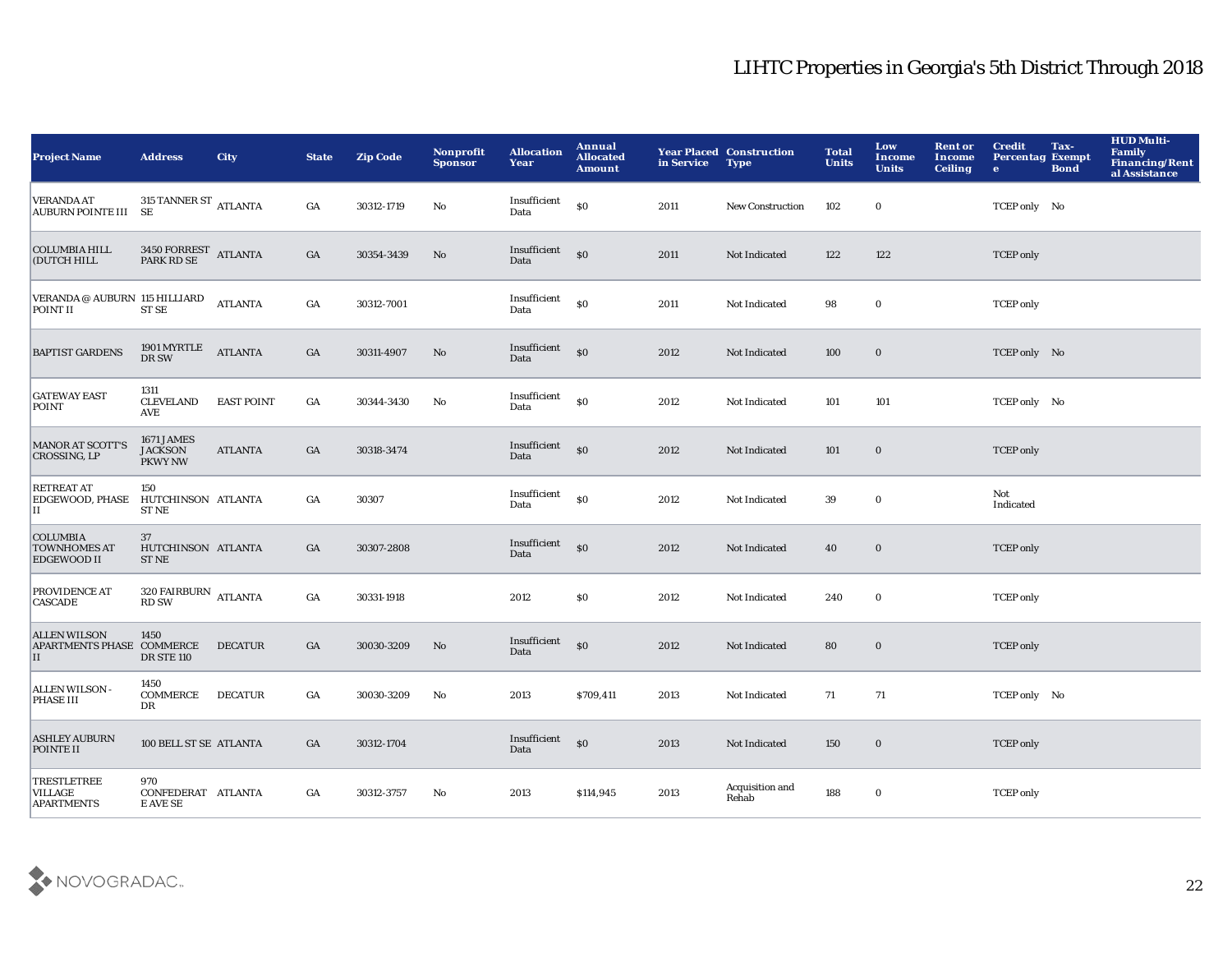| <b>Project Name</b>                                                                                            | <b>Address</b>                                 | <b>City</b>       | <b>State</b>     | <b>Zip Code</b> | Nonprofit<br><b>Sponsor</b> | <b>Allocation</b><br>Year | Annual<br><b>Allocated</b><br><b>Amount</b> | in Service | <b>Year Placed Construction</b><br><b>Type</b> | <b>Total</b><br><b>Units</b> | Low<br>Income<br><b>Units</b> | <b>Rent or</b><br>Income<br><b>Ceiling</b> | <b>Credit</b><br><b>Percentag Exempt</b><br>$\bullet$ | Tax-<br><b>Bond</b> | <b>HUD Multi-</b><br><b>Family</b><br><b>Financing/Rent</b><br>al Assistance |
|----------------------------------------------------------------------------------------------------------------|------------------------------------------------|-------------------|------------------|-----------------|-----------------------------|---------------------------|---------------------------------------------|------------|------------------------------------------------|------------------------------|-------------------------------|--------------------------------------------|-------------------------------------------------------|---------------------|------------------------------------------------------------------------------|
| $\begin{tabular}{ l l } \hline {\bf vERANDA AT} & {\bf 315 TANNER ST} & {\bf ATLANTA} \\ \hline \end{tabular}$ |                                                |                   | GA               | 30312-1719      | No                          | Insufficient<br>Data      | $\$0$                                       | 2011       | New Construction                               | 102                          | $\mathbf 0$                   |                                            | TCEP only No                                          |                     |                                                                              |
| <b>COLUMBIA HILL</b><br>(DUTCH HILL                                                                            | $3450$ FORREST ATLANTA PARK RD SE              |                   | $_{\mathrm{GA}}$ | 30354-3439      | No                          | Insufficient<br>Data      | $\mathbf{S}$                                | 2011       | Not Indicated                                  | 122                          | 122                           |                                            | <b>TCEP</b> only                                      |                     |                                                                              |
| VERANDA @ AUBURN 115 HILLIARD<br>POINT II                                                                      | <b>ST SE</b>                                   | <b>ATLANTA</b>    | GA               | 30312-7001      |                             | Insufficient<br>Data      | S <sub>0</sub>                              | 2011       | Not Indicated                                  | 98                           | $\bf{0}$                      |                                            | <b>TCEP</b> only                                      |                     |                                                                              |
| <b>BAPTIST GARDENS</b>                                                                                         | 1901 MYRTLE<br>DR SW                           | <b>ATLANTA</b>    | $_{\mathrm{GA}}$ | 30311-4907      | No                          | Insufficient<br>Data      | \$0                                         | 2012       | Not Indicated                                  | 100                          | $\bf{0}$                      |                                            | TCEP only No                                          |                     |                                                                              |
| <b>GATEWAY EAST</b><br><b>POINT</b>                                                                            | 1311<br><b>CLEVELAND</b><br>AVE                | <b>EAST POINT</b> | GA               | 30344-3430      | No                          | Insufficient<br>Data      | S <sub>0</sub>                              | 2012       | Not Indicated                                  | 101                          | 101                           |                                            | TCEP only No                                          |                     |                                                                              |
| <b>MANOR AT SCOTT'S</b><br>CROSSING, LP                                                                        | 1671 JAMES<br><b>JACKSON</b><br><b>PKWY NW</b> | <b>ATLANTA</b>    | GA               | 30318-3474      |                             | Insufficient<br>Data      | $\mathbf{S}$                                | 2012       | Not Indicated                                  | 101                          | $\bf{0}$                      |                                            | <b>TCEP</b> only                                      |                     |                                                                              |
| <b>RETREAT AT</b><br>EDGEWOOD, PHASE<br>П                                                                      | 150<br>HUTCHINSON ATLANTA<br><b>ST NE</b>      |                   | GA               | 30307           |                             | Insufficient<br>Data      | \$0                                         | 2012       | Not Indicated                                  | 39                           | $\mathbf 0$                   |                                            | Not<br>Indicated                                      |                     |                                                                              |
| <b>COLUMBIA</b><br><b>TOWNHOMES AT</b><br><b>EDGEWOOD II</b>                                                   | 37<br>HUTCHINSON ATLANTA<br><b>ST NE</b>       |                   | GA               | 30307-2808      |                             | Insufficient<br>Data      | \$0                                         | 2012       | Not Indicated                                  | 40                           | $\bf{0}$                      |                                            | <b>TCEP</b> only                                      |                     |                                                                              |
| PROVIDENCE AT<br><b>CASCADE</b>                                                                                | $320\,$ FAIRBURN $\,$ ATLANTA RD SW            |                   | GA               | 30331-1918      |                             | 2012                      | \$0                                         | 2012       | Not Indicated                                  | 240                          | $\mathbf 0$                   |                                            | <b>TCEP</b> only                                      |                     |                                                                              |
| <b>ALLEN WILSON</b><br>APARTMENTS PHASE COMMERCE<br>II                                                         | 1450<br><b>DR STE 110</b>                      | <b>DECATUR</b>    | GA               | 30030-3209      | No                          | Insufficient<br>Data      | \$0                                         | 2012       | Not Indicated                                  | 80                           | $\bf{0}$                      |                                            | <b>TCEP</b> only                                      |                     |                                                                              |
| ALLEN WILSON -<br><b>PHASE III</b>                                                                             | 1450<br>COMMERCE<br>DR                         | <b>DECATUR</b>    | GA               | 30030-3209      | No                          | 2013                      | \$709,411                                   | 2013       | Not Indicated                                  | 71                           | 71                            |                                            | TCEP only No                                          |                     |                                                                              |
| <b>ASHLEY AUBURN</b><br>POINTE II                                                                              | 100 BELL ST SE ATLANTA                         |                   | GA               | 30312-1704      |                             | Insufficient<br>Data      | \$0                                         | 2013       | Not Indicated                                  | 150                          | $\bf{0}$                      |                                            | <b>TCEP</b> only                                      |                     |                                                                              |
| <b>TRESTLETREE</b><br><b>VILLAGE</b><br><b>APARTMENTS</b>                                                      | 970<br>CONFEDERAT ATLANTA<br>E AVE SE          |                   | GA               | 30312-3757      | No                          | 2013                      | \$114,945                                   | 2013       | Acquisition and<br>Rehab                       | 188                          | $\bf{0}$                      |                                            | <b>TCEP</b> only                                      |                     |                                                                              |

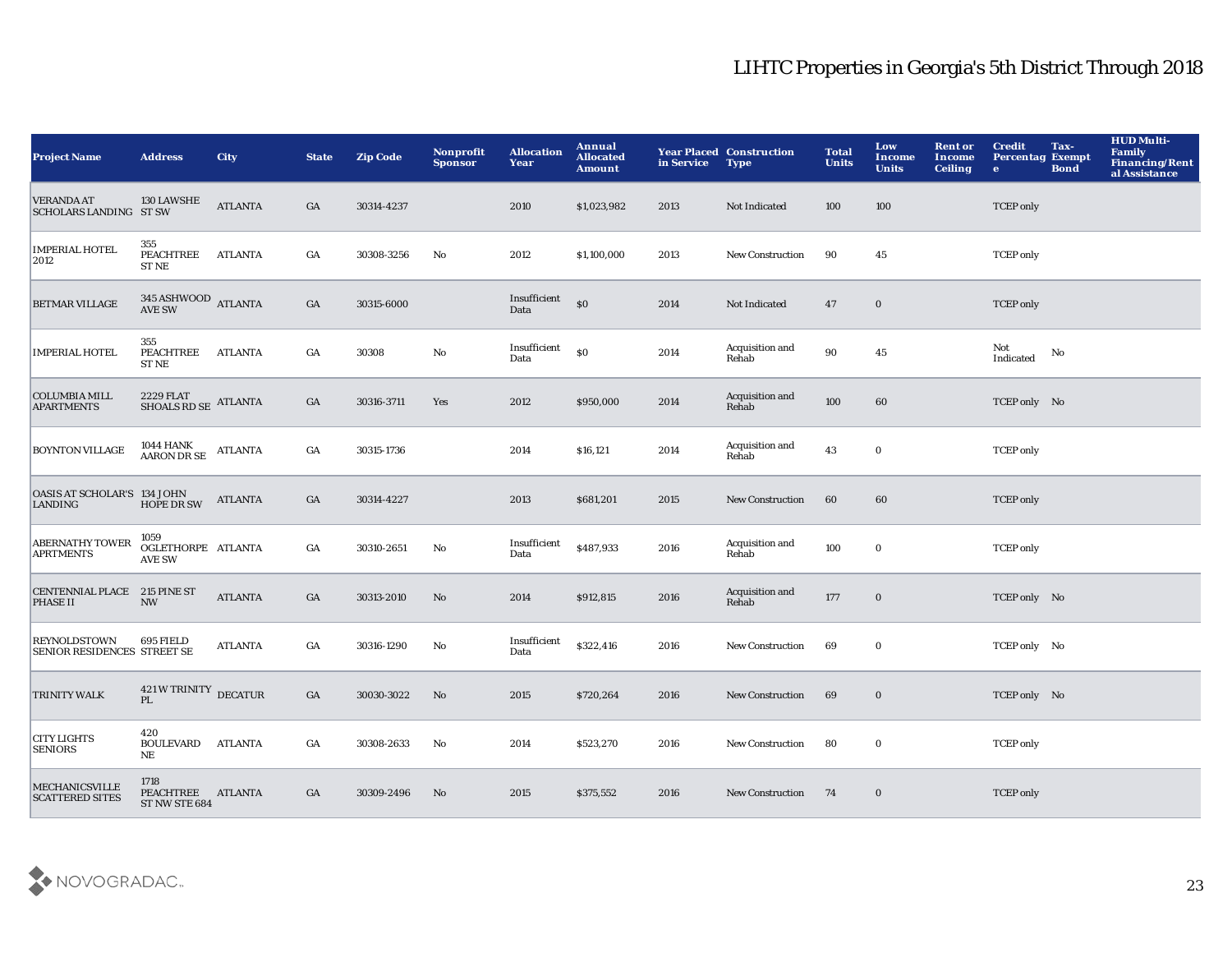| <b>Project Name</b>                                | <b>Address</b>                                       | <b>City</b>    | <b>State</b>     | <b>Zip Code</b> | Nonprofit<br><b>Sponsor</b> | <b>Allocation</b><br>Year | Annual<br><b>Allocated</b><br><b>Amount</b>      | in Service | <b>Year Placed Construction</b><br><b>Type</b> | <b>Total</b><br><b>Units</b> | Low<br>Income<br><b>Units</b> | <b>Rent or</b><br>Income<br><b>Ceiling</b> | <b>Credit</b><br><b>Percentag Exempt</b><br>$\bullet$ | Tax-<br><b>Bond</b> | <b>HUD Multi-</b><br><b>Family</b><br><b>Financing/Rent</b><br>al Assistance |
|----------------------------------------------------|------------------------------------------------------|----------------|------------------|-----------------|-----------------------------|---------------------------|--------------------------------------------------|------------|------------------------------------------------|------------------------------|-------------------------------|--------------------------------------------|-------------------------------------------------------|---------------------|------------------------------------------------------------------------------|
| <b>VERANDA AT</b><br><b>SCHOLARS LANDING ST SW</b> | 130 LAWSHE                                           | <b>ATLANTA</b> | GA               | 30314-4237      |                             | 2010                      | \$1,023,982                                      | 2013       | Not Indicated                                  | 100                          | 100                           |                                            | <b>TCEP</b> only                                      |                     |                                                                              |
| <b>IMPERIAL HOTEL</b><br>2012                      | 355<br>PEACHTREE<br><b>ST NE</b>                     | <b>ATLANTA</b> | $_{\mathrm{GA}}$ | 30308-3256      | No                          | 2012                      | \$1,100,000                                      | 2013       | New Construction                               | 90                           | 45                            |                                            | <b>TCEP</b> only                                      |                     |                                                                              |
| BETMAR VILLAGE                                     | $345$ ASHWOOD $\,$ ATLANTA AVE SW                    |                | GA               | 30315-6000      |                             | Insufficient<br>Data      | $\boldsymbol{\mathsf{S}}\boldsymbol{\mathsf{O}}$ | 2014       | Not Indicated                                  | 47                           | $\bf{0}$                      |                                            | <b>TCEP</b> only                                      |                     |                                                                              |
| <b>IMPERIAL HOTEL</b>                              | 355<br>PEACHTREE<br><b>ST NE</b>                     | <b>ATLANTA</b> | GA               | 30308           | No                          | Insufficient<br>Data      | $\$0$                                            | 2014       | Acquisition and<br>Rehab                       | $90\,$                       | $45\,$                        |                                            | Not<br>Indicated                                      | No                  |                                                                              |
| <b>COLUMBIA MILL</b><br><b>APARTMENTS</b>          | $2229$ FLAT $$\rm SHOALS}$ RD $\rm SE$ $\rm ATLANTA$ |                | GA               | 30316-3711      | Yes                         | 2012                      | \$950,000                                        | 2014       | Acquisition and<br>Rehab                       | 100                          | 60                            |                                            | TCEP only No                                          |                     |                                                                              |
| <b>BOYNTON VILLAGE</b>                             | $1044$ HANK $$\rm ATLANTA$$ AARON DR SE              |                | GA               | 30315-1736      |                             | 2014                      | \$16,121                                         | 2014       | Acquisition and<br>Rehab                       | 43                           | $\bf{0}$                      |                                            | <b>TCEP</b> only                                      |                     |                                                                              |
| OASIS AT SCHOLAR'S 134 JOHN<br><b>LANDING</b>      | <b>HOPE DR SW</b>                                    | <b>ATLANTA</b> | GA               | 30314-4227      |                             | 2013                      | \$681,201                                        | 2015       | <b>New Construction</b>                        | 60                           | 60                            |                                            | <b>TCEP</b> only                                      |                     |                                                                              |
| <b>ABERNATHY TOWER</b><br><b>APRTMENTS</b>         | 1059<br>OGLETHORPE ATLANTA<br><b>AVE SW</b>          |                | GA               | 30310-2651      | No                          | Insufficient<br>Data      | \$487,933                                        | 2016       | Acquisition and<br>Rehab                       | 100                          | $\bf{0}$                      |                                            | <b>TCEP</b> only                                      |                     |                                                                              |
| CENTENNIAL PLACE 215 PINE ST<br><b>PHASE II</b>    | <b>NW</b>                                            | <b>ATLANTA</b> | $_{\mathrm{GA}}$ | 30313-2010      | No                          | 2014                      | \$912,815                                        | 2016       | Acquisition and<br>Rehab                       | 177                          | $\bf{0}$                      |                                            | TCEP only No                                          |                     |                                                                              |
| <b>REYNOLDSTOWN</b><br>SENIOR RESIDENCES STREET SE | 695 FIELD                                            | <b>ATLANTA</b> | GA               | 30316-1290      | No                          | Insufficient<br>Data      | \$322,416                                        | 2016       | New Construction                               | 69                           | $\bf{0}$                      |                                            | TCEP only No                                          |                     |                                                                              |
| <b>TRINITY WALK</b>                                | 421 W TRINITY DECATUR<br>PL.                         |                | $_{\mathrm{GA}}$ | 30030-3022      | No                          | 2015                      | \$720,264                                        | 2016       | <b>New Construction</b>                        | 69                           | $\bf{0}$                      |                                            | TCEP only No                                          |                     |                                                                              |
| <b>CITY LIGHTS</b><br><b>SENIORS</b>               | 420<br><b>BOULEVARD</b><br>NE                        | <b>ATLANTA</b> | GA               | 30308-2633      | No                          | 2014                      | \$523,270                                        | 2016       | <b>New Construction</b>                        | 80                           | $\bf{0}$                      |                                            | <b>TCEP</b> only                                      |                     |                                                                              |
| <b>MECHANICSVILLE</b><br><b>SCATTERED SITES</b>    | 1718<br>PEACHTREE ATLANTA<br>ST NW STE 684           |                | GA               | 30309-2496      | No                          | 2015                      | \$375,552                                        | 2016       | <b>New Construction</b>                        | 74                           | $\bf{0}$                      |                                            | <b>TCEP</b> only                                      |                     |                                                                              |